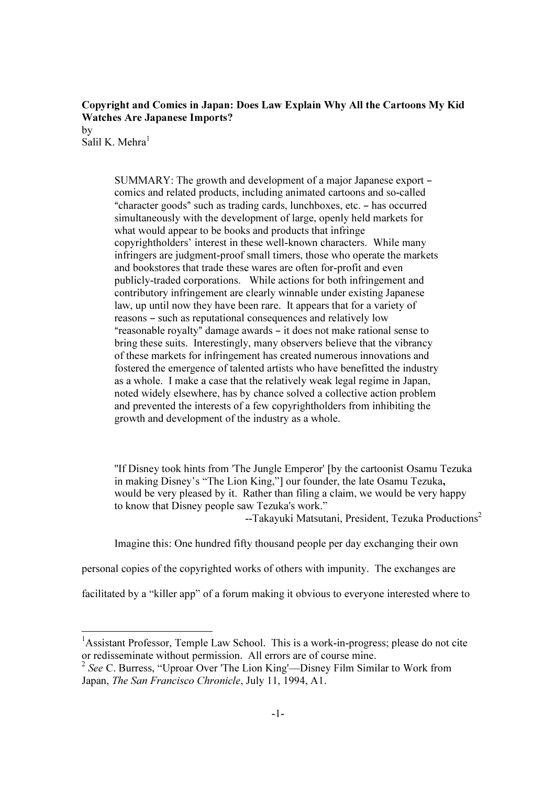## Copyright and Comics in Japan: Does Law Explain Why All the Cartoons My Kid Watches Are Japanese Imports?

by Salil K. Mehra $<sup>1</sup>$ </sup>

-

SUMMARY: The growth and development of a major Japanese export – comics and related products, including animated cartoons and so-called "character goods" such as trading cards, lunchboxes, etc. - has occurred simultaneously with the development of large, openly held markets for what would appear to be books and products that infringe copyrightholders' interest in these well-known characters. While many infringers are judgment-proof small timers, those who operate the markets and bookstores that trade these wares are often for-profit and even publicly-traded corporations. While actions for both infringement and contributory infringement are clearly winnable under existing Japanese law, up until now they have been rare. It appears that for a variety of reasons – such as reputational consequences and relatively low "reasonable royalty" damage awards  $-$  it does not make rational sense to bring these suits. Interestingly, many observers believe that the vibrancy of these markets for infringement has created numerous innovations and fostered the emergence of talented artists who have benefitted the industry as a whole. I make a case that the relatively weak legal regime in Japan, noted widely elsewhere, has by chance solved a collective action problem and prevented the interests of a few copyrightholders from inhibiting the growth and development of the industry as a whole.

''If Disney took hints from 'The Jungle Emperor' [by the cartoonist Osamu Tezuka in making Disney's "The Lion King,"] our founder, the late Osamu Tezuka, would be very pleased by it. Rather than filing a claim, we would be very happy to know that Disney people saw Tezuka's work."

 $\frac{1}{2}$  --Takayuki Matsutani, President, Tezuka Productions<sup>2</sup>

Imagine this: One hundred fifty thousand people per day exchanging their own

personal copies of the copyrighted works of others with impunity. The exchanges are

facilitated by a "killer app" of a forum making it obvious to everyone interested where to

<sup>&</sup>lt;sup>1</sup>Assistant Professor, Temple Law School. This is a work-in-progress; please do not cite or redisseminate without permission. All errors are of course mine.

 $2$  See C. Burress, "Uproar Over 'The Lion King'—Disney Film Similar to Work from Japan, The San Francisco Chronicle, July 11, 1994, A1.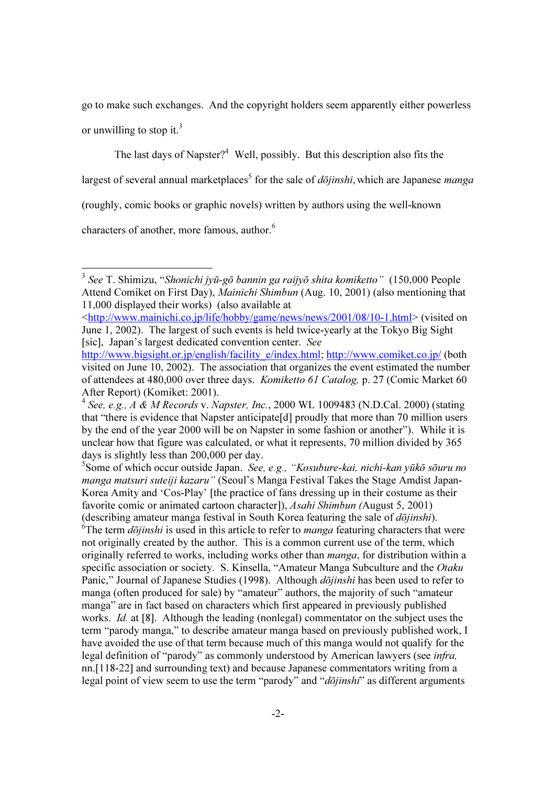go to make such exchanges. And the copyright holders seem apparently either powerless or unwilling to stop it.<sup>3</sup>

The last days of Napster?<sup>4</sup> Well, possibly. But this description also fits the largest of several annual marketplaces<sup>5</sup> for the sale of *dōjinshi*, which are Japanese *manga* (roughly, comic books or graphic novels) written by authors using the well-known characters of another, more famous, author.<sup>6</sup>

-

<sup>5</sup>Some of which occur outside Japan. See, e.g., "Kosubure-kai, nichi-kan yūkō sōuru no manga matsuri suteiji kazaru" (Seoul's Manga Festival Takes the Stage Amdist Japan-Korea Amity and 'Cos-Play' [the practice of fans dressing up in their costume as their favorite comic or animated cartoon character]), Asahi Shimbun (August 5, 2001)

(describing amateur manga festival in South Korea featuring the sale of  $d\bar{oj}$ *inshi*).<br><sup>6</sup>The term  $d\bar{oj}$ *inshi* is used in this article to refer to *manga* featuring characters that were not originally created by the author. This is a common current use of the term, which originally referred to works, including works other than manga, for distribution within a specific association or society. S. Kinsella, "Amateur Manga Subculture and the Otaku Panic," Journal of Japanese Studies (1998). Although *dōjinshi* has been used to refer to manga (often produced for sale) by "amateur" authors, the majority of such "amateur manga" are in fact based on characters which first appeared in previously published works. *Id.* at [8]. Although the leading (nonlegal) commentator on the subject uses the term "parody manga," to describe amateur manga based on previously published work, I have avoided the use of that term because much of this manga would not qualify for the legal definition of "parody" as commonly understood by American lawyers (see *infra*, nn.[118-22] and surrounding text) and because Japanese commentators writing from a legal point of view seem to use the term "parody" and "dōjinshi" as different arguments

 $3$  See T. Shimizu, "Shonichi jyū-gō bannin ga raijyō shita komiketto" (150,000 People Attend Comiket on First Day), Mainichi Shimbun (Aug. 10, 2001) (also mentioning that 11,000 displayed their works) (also available at

<sup>&</sup>lt;http://www.mainichi.co.jp/life/hobby/game/news/news/2001/08/10-1.html> (visited on June 1, 2002). The largest of such events is held twice-yearly at the Tokyo Big Sight [sic], Japan's largest dedicated convention center. See

http://www.bigsight.or.jp/english/facility\_e/index.html; http://www.comiket.co.jp/ (both visited on June 10, 2002). The association that organizes the event estimated the number of attendees at 480,000 over three days. Komiketto 61 Catalog, p. 27 (Comic Market 60 After Report) (Komiket: 2001).

<sup>&</sup>lt;sup>4</sup> See, e.g.,  $\overrightarrow{A}$  & M Records v. Napster, Inc., 2000 WL 1009483 (N.D.Cal. 2000) (stating that "there is evidence that Napster anticipate[d] proudly that more than 70 million users by the end of the year 2000 will be on Napster in some fashion or another"). While it is unclear how that figure was calculated, or what it represents, 70 million divided by 365 days is slightly less than 200,000 per day.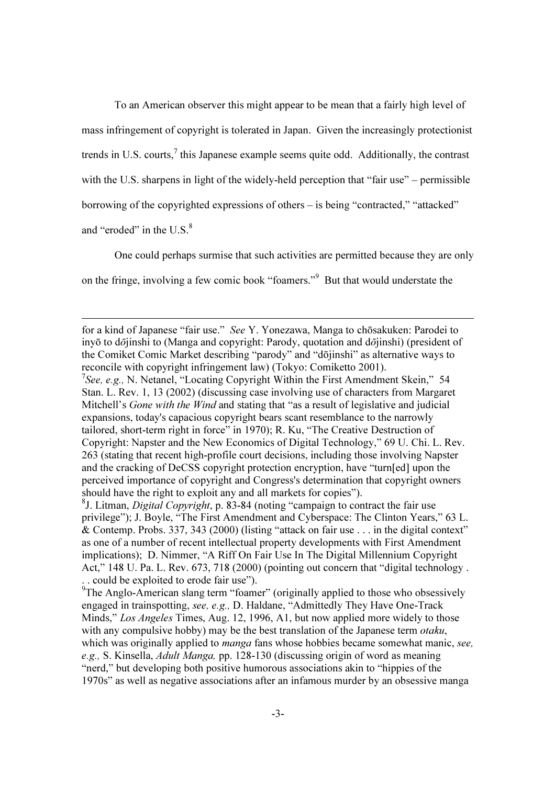To an American observer this might appear to be mean that a fairly high level of mass infringement of copyright is tolerated in Japan. Given the increasingly protectionist trends in U.S. courts,<sup>7</sup> this Japanese example seems quite odd. Additionally, the contrast with the U.S. sharpens in light of the widely-held perception that "fair use" – permissible borrowing of the copyrighted expressions of others – is being "contracted," "attacked" and "eroded" in the U.S. $<sup>8</sup>$ </sup>

One could perhaps surmise that such activities are permitted because they are only on the fringe, involving a few comic book "foamers."<sup>9</sup> But that would understate the

for a kind of Japanese "fair use." See Y. Yonezawa, Manga to chōsakuken: Parodei to inyō to dōjinshi to (Manga and copyright: Parody, quotation and dōjinshi) (president of the Comiket Comic Market describing "parody" and "dōjinshi" as alternative ways to reconcile with copyright infringement law) (Tokyo: Comiketto 2001).

<sup>&</sup>lt;sup>7</sup>See, e.g., N. Netanel, "Locating Copyright Within the First Amendment Skein," 54 Stan. L. Rev. 1, 13 (2002) (discussing case involving use of characters from Margaret Mitchell's *Gone with the Wind* and stating that "as a result of legislative and judicial expansions, today's capacious copyright bears scant resemblance to the narrowly tailored, short-term right in force" in 1970); R. Ku, "The Creative Destruction of Copyright: Napster and the New Economics of Digital Technology," 69 U. Chi. L. Rev. 263 (stating that recent high-profile court decisions, including those involving Napster and the cracking of DeCSS copyright protection encryption, have "turn[ed] upon the perceived importance of copyright and Congress's determination that copyright owners should have the right to exploit any and all markets for copies").

<sup>&</sup>lt;sup>8</sup>J. Litman, *Digital Copyright*, p. 83-84 (noting "campaign to contract the fair use privilege"); J. Boyle, "The First Amendment and Cyberspace: The Clinton Years," 63 L. & Contemp. Probs. 337, 343 (2000) (listing "attack on fair use . . . in the digital context" as one of a number of recent intellectual property developments with First Amendment implications); D. Nimmer, "A Riff On Fair Use In The Digital Millennium Copyright Act," 148 U. Pa. L. Rev. 673, 718 (2000) (pointing out concern that "digital technology . .. could be exploited to erode fair use").<br><sup>9</sup>The Anglo-American slang term "foamer" (originally applied to those who obsessively

engaged in trainspotting, see, e.g., D. Haldane, "Admittedly They Have One-Track Minds," Los Angeles Times, Aug. 12, 1996, A1, but now applied more widely to those with any compulsive hobby) may be the best translation of the Japanese term *otaku*, which was originally applied to *manga* fans whose hobbies became somewhat manic, see, e.g., S. Kinsella, Adult Manga, pp. 128-130 (discussing origin of word as meaning "nerd," but developing both positive humorous associations akin to "hippies of the 1970s" as well as negative associations after an infamous murder by an obsessive manga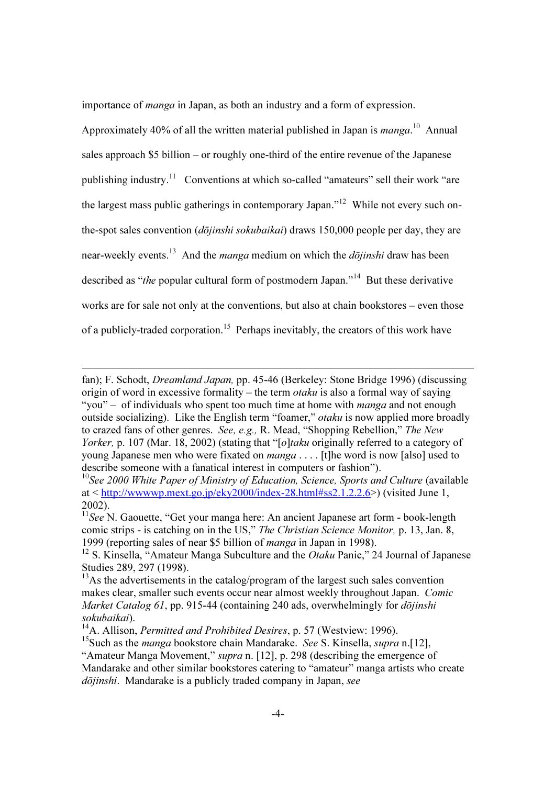importance of manga in Japan, as both an industry and a form of expression.

Approximately 40% of all the written material published in Japan is *manga*.<sup>10</sup> Annual sales approach \$5 billion – or roughly one-third of the entire revenue of the Japanese publishing industry.<sup>11</sup> Conventions at which so-called "amateurs" sell their work "are the largest mass public gatherings in contemporary Japan."<sup>12</sup> While not every such onthe-spot sales convention (*dōjinshi sokubaikai*) draws 150,000 people per day, they are near-weekly events.<sup>13</sup> And the *manga* medium on which the *dōjinshi* draw has been described as "*the* popular cultural form of postmodern Japan."<sup>14</sup> But these derivative works are for sale not only at the conventions, but also at chain bookstores – even those of a publicly-traded corporation.<sup>15</sup> Perhaps inevitably, the creators of this work have

fan); F. Schodt, Dreamland Japan, pp. 45-46 (Berkeley: Stone Bridge 1996) (discussing origin of word in excessive formality – the term *otaku* is also a formal way of saying "you" – of individuals who spent too much time at home with *manga* and not enough outside socializing). Like the English term "foamer," otaku is now applied more broadly to crazed fans of other genres. See, e.g., R. Mead, "Shopping Rebellion," The New Yorker, p. 107 (Mar. 18, 2002) (stating that "[o]taku originally referred to a category of young Japanese men who were fixated on  $manga$ ... It the word is now [also] used to describe someone with a fanatical interest in computers or fashion").

 $10$ See 2000 White Paper of Ministry of Education, Science, Sports and Culture (available at < http://wwwwp.mext.go.jp/eky2000/index-28.html#ss2.1.2.2.6>) (visited June 1, 2002).

<sup>&</sup>lt;sup>11</sup>See N. Gaouette, "Get your manga here: An ancient Japanese art form - book-length comic strips - is catching on in the US," The Christian Science Monitor, p. 13, Jan. 8, 1999 (reporting sales of near \$5 billion of manga in Japan in 1998).

<sup>&</sup>lt;sup>12</sup> S. Kinsella, "Amateur Manga Subculture and the *Otaku* Panic," 24 Journal of Japanese Studies 289, 297 (1998).

 $13\text{As}$  the advertisements in the catalog/program of the largest such sales convention makes clear, smaller such events occur near almost weekly throughout Japan. Comic Market Catalog 61, pp. 915-44 (containing 240 ads, overwhelmingly for *dōjinshi* sokubaikai).

 $14A$ . Allison, *Permitted and Prohibited Desires*, p. 57 (Westview: 1996).

<sup>&</sup>lt;sup>15</sup>Such as the *manga* bookstore chain Mandarake. *See* S. Kinsella, *supra* n. [12],

<sup>&</sup>quot;Amateur Manga Movement," *supra* n. [12], p. 298 (describing the emergence of Mandarake and other similar bookstores catering to "amateur" manga artists who create dōjinshi. Mandarake is a publicly traded company in Japan, see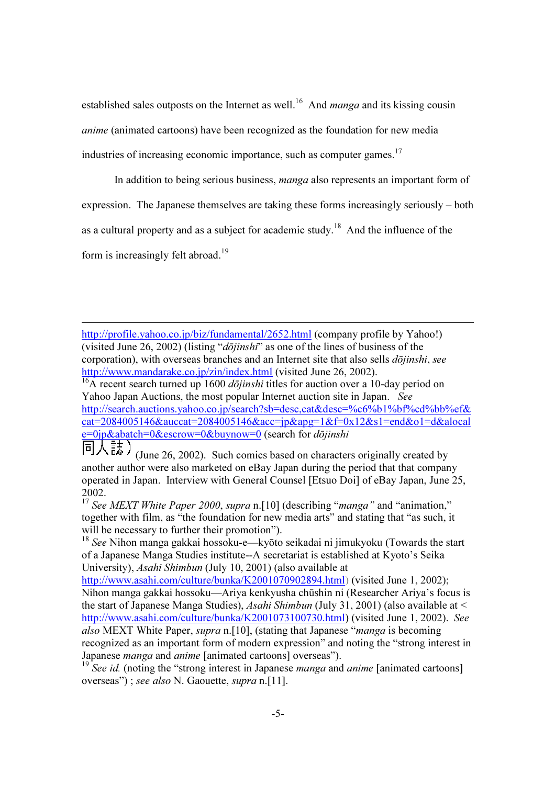established sales outposts on the Internet as well.<sup>16</sup> And *manga* and its kissing cousin anime (animated cartoons) have been recognized as the foundation for new media industries of increasing economic importance, such as computer games.<sup>17</sup>

In addition to being serious business, manga also represents an important form of

expression. The Japanese themselves are taking these forms increasingly seriously – both

as a cultural property and as a subject for academic study.<sup>18</sup> And the influence of the

form is increasingly felt abroad.<sup>19</sup>

-

http://profile.yahoo.co.jp/biz/fundamental/2652.html (company profile by Yahoo!) (visited June 26, 2002) (listing " $d\bar{o}jinshi$ " as one of the lines of business of the corporation), with overseas branches and an Internet site that also sells *dōjinshi*, see http://www.mandarake.co.jp/zin/index.html (visited June 26, 2002).

<sup>16</sup>A recent search turned up 1600 *dōjinshi* titles for auction over a 10-day period on Yahoo Japan Auctions, the most popular Internet auction site in Japan. See http://search.auctions.yahoo.co.jp/search?sb=desc,cat&desc=%c6%b1%bf%cd%bb%ef&  $cat=2084005146&auccat=2084005146&acc=ip&apg=1&f=0x12&s1=end&o1=d&alocal$  $e=0$ jp $\&$ abatch=0 $\&$ escrow=0 $\&$ buynow=0 (search for *dōjinshi* 

 $\overline{\Box}$   $\overline{\bigcup_{i=1}^{n} \overline{\mathbb{R}^{+}}}$  (June 26, 2002). Such comics based on characters originally created by another author were also marketed on eBay Japan during the period that that company operated in Japan. Interview with General Counsel [Etsuo Doi] of eBay Japan, June 25, 2002.

<sup>17</sup> See MEXT White Paper 2000, supra n. [10] (describing "manga" and "animation," together with film, as "the foundation for new media arts" and stating that "as such, it will be necessary to further their promotion").

<sup>18</sup> See Nihon manga gakkai hossoku-e—kyōto seikadai ni jimukyoku (Towards the start of a Japanese Manga Studies institute--A secretariat is established at Kyoto's Seika University), Asahi Shimbun (July 10, 2001) (also available at

http://www.asahi.com/culture/bunka/K2001070902894.html) (visited June 1, 2002); Nihon manga gakkai hossoku—Ariya kenkyusha chūshin ni (Researcher Ariya's focus is the start of Japanese Manga Studies), Asahi Shimbun (July 31, 2001) (also available at < http://www.asahi.com/culture/bunka/K2001073100730.html) (visited June 1, 2002). See also MEXT White Paper, supra n. [10], (stating that Japanese "manga is becoming recognized as an important form of modern expression" and noting the "strong interest in Japanese *manga* and *anime* [animated cartoons] overseas").

See id. (noting the "strong interest in Japanese *manga* and *anime* [animated cartoons] overseas") ; see also N. Gaouette, supra n.[11].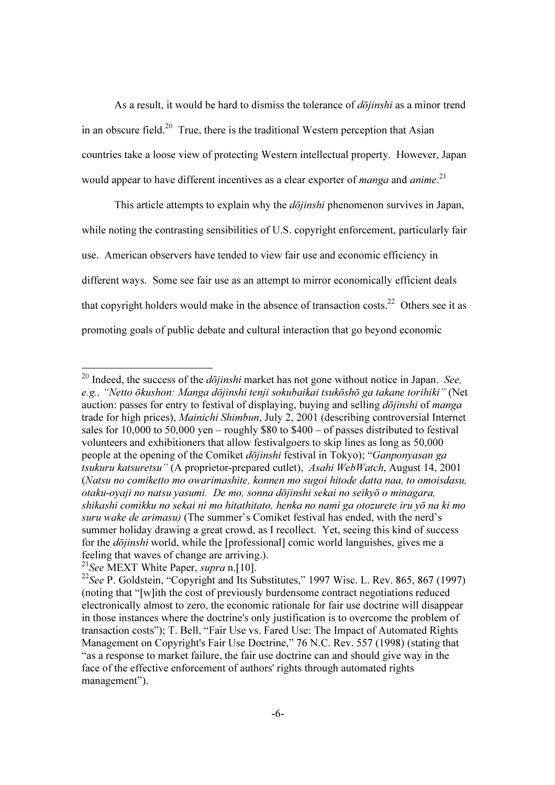As a result, it would be hard to dismiss the tolerance of *dojinshi* as a minor trend in an obscure field.<sup>20</sup> True, there is the traditional Western perception that Asian countries take a loose view of protecting Western intellectual property. However, Japan would appear to have different incentives as a clear exporter of *manga* and *anime*.<sup>21</sup>

This article attempts to explain why the  $d\bar{\rho}$ *iinshi* phenomenon survives in Japan, while noting the contrasting sensibilities of U.S. copyright enforcement, particularly fair use. American observers have tended to view fair use and economic efficiency in different ways. Some see fair use as an attempt to mirror economically efficient deals that copyright holders would make in the absence of transaction costs.<sup>22</sup> Others see it as promoting goals of public debate and cultural interaction that go beyond economic

<sup>&</sup>lt;sup>20</sup> Indeed, the success of the  $d\bar{o}jinshi$  market has not gone without notice in Japan. See, e.g., "Netto ōkushon: Manga dōjinshi tenji sokubaikai tsukōshō ga takane torihiki" (Net auction: passes for entry to festival of displaying, buying and selling *dojinshi* of *manga* trade for high prices), Mainichi Shimbun, July 2, 2001 (describing controversial Internet sales for 10,000 to 50,000 yen – roughly  $$80$  to  $$400 - of$  passes distributed to festival volunteers and exhibitioners that allow festivalgoers to skip lines as long as 50,000 people at the opening of the Comiket dōjinshi festival in Tokyo); "Ganponyasan ga tsukuru katsuretsu" (A proprietor-prepared cutlet), Asahi WebWatch, August 14, 2001 (Natsu no comiketto mo owarimashite, konnen mo sugoi hitode datta naa, to omoisdasu, otaku-oyaji no natsu yasumi. De mo, sonna dōjinshi sekai no seikyō o minagara, shikashi comikku no sekai ni mo hitathitato, henka no nami ga otozurete iru yō na ki mo suru wake de arimasu) (The summer's Comiket festival has ended, with the nerd's summer holiday drawing a great crowd, as I recollect. Yet, seeing this kind of success for the dōjinshi world, while the [professional] comic world languishes, gives me a feeling that waves of change are arriving.).

<sup>&</sup>lt;sup>21</sup>See MEXT White Paper, supra n.[10].

<sup>&</sup>lt;sup>22</sup>See P. Goldstein, "Copyright and Its Substitutes," 1997 Wisc. L. Rev. 865, 867 (1997) (noting that "[w]ith the cost of previously burdensome contract negotiations reduced electronically almost to zero, the economic rationale for fair use doctrine will disappear in those instances where the doctrine's only justification is to overcome the problem of transaction costs"); T. Bell, "Fair Use vs. Fared Use: The Impact of Automated Rights Management on Copyright's Fair Use Doctrine," 76 N.C. Rev. 557 (1998) (stating that "as a response to market failure, the fair use doctrine can and should give way in the face of the effective enforcement of authors' rights through automated rights management").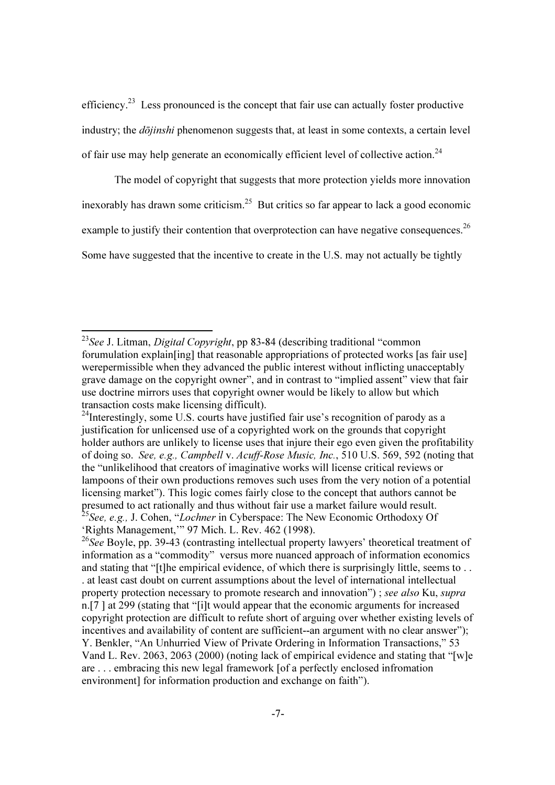efficiency.<sup>23</sup> Less pronounced is the concept that fair use can actually foster productive industry; the  $d\bar{\text{o}}jinshi$  phenomenon suggests that, at least in some contexts, a certain level of fair use may help generate an economically efficient level of collective action.<sup>24</sup>

The model of copyright that suggests that more protection yields more innovation inexorably has drawn some criticism.<sup>25</sup> But critics so far appear to lack a good economic example to justify their contention that overprotection can have negative consequences.<sup>26</sup> Some have suggested that the incentive to create in the U.S. may not actually be tightly

 $\overline{\phantom{a}}$ 

<sup>&</sup>lt;sup>23</sup>See J. Litman, *Digital Copyright*, pp 83-84 (describing traditional "common" forumulation explain[ing] that reasonable appropriations of protected works [as fair use] werepermissible when they advanced the public interest without inflicting unacceptably grave damage on the copyright owner", and in contrast to "implied assent" view that fair use doctrine mirrors uses that copyright owner would be likely to allow but which transaction costs make licensing difficult).

 $^{24}$ Interestingly, some U.S. courts have justified fair use's recognition of parody as a justification for unlicensed use of a copyrighted work on the grounds that copyright holder authors are unlikely to license uses that injure their ego even given the profitability of doing so. See, e.g., Campbell v. Acuff-Rose Music, Inc., 510 U.S. 569, 592 (noting that the "unlikelihood that creators of imaginative works will license critical reviews or lampoons of their own productions removes such uses from the very notion of a potential licensing market"). This logic comes fairly close to the concept that authors cannot be presumed to act rationally and thus without fair use a market failure would result.  $25$ See, e.g., J. Cohen, "Lochner in Cyberspace: The New Economic Orthodoxy Of 'Rights Management,'" 97 Mich. L. Rev. 462 (1998).

 $26$ See Boyle, pp. 39-43 (contrasting intellectual property lawyers' theoretical treatment of information as a "commodity" versus more nuanced approach of information economics and stating that "[t]he empirical evidence, of which there is surprisingly little, seems to . . . at least cast doubt on current assumptions about the level of international intellectual property protection necessary to promote research and innovation") ; see also Ku, supra n.[7 ] at 299 (stating that "[i]t would appear that the economic arguments for increased copyright protection are difficult to refute short of arguing over whether existing levels of incentives and availability of content are sufficient--an argument with no clear answer"); Y. Benkler, "An Unhurried View of Private Ordering in Information Transactions," 53 Vand L. Rev. 2063, 2063 (2000) (noting lack of empirical evidence and stating that "[w]e are . . . embracing this new legal framework [of a perfectly enclosed infromation environment] for information production and exchange on faith").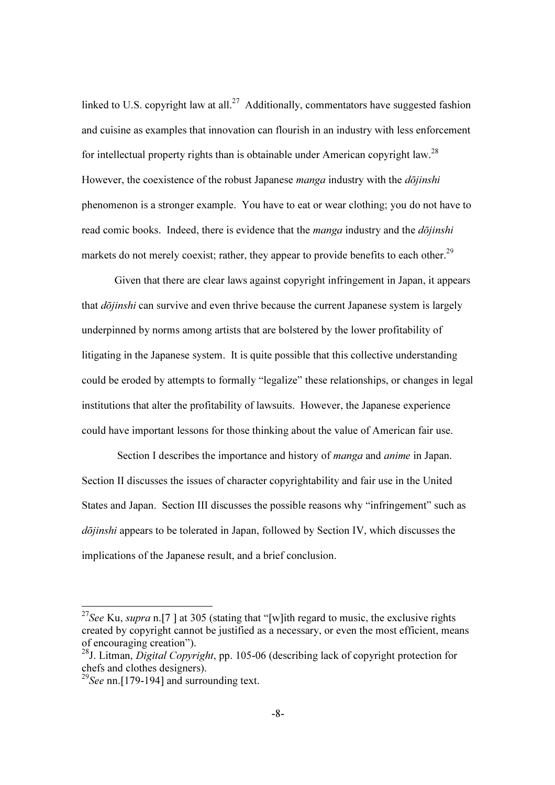linked to U.S. copyright law at all.<sup>27</sup> Additionally, commentators have suggested fashion and cuisine as examples that innovation can flourish in an industry with less enforcement for intellectual property rights than is obtainable under American copyright law.<sup>28</sup> However, the coexistence of the robust Japanese *manga* industry with the  $d\overline{\overline{o}}$ *iinshi* phenomenon is a stronger example. You have to eat or wear clothing; you do not have to read comic books. Indeed, there is evidence that the *manga* industry and the  $d\overline{\overline{o}}$ *iinshi* markets do not merely coexist; rather, they appear to provide benefits to each other.<sup>29</sup>

Given that there are clear laws against copyright infringement in Japan, it appears that *dōjinshi* can survive and even thrive because the current Japanese system is largely underpinned by norms among artists that are bolstered by the lower profitability of litigating in the Japanese system. It is quite possible that this collective understanding could be eroded by attempts to formally "legalize" these relationships, or changes in legal institutions that alter the profitability of lawsuits. However, the Japanese experience could have important lessons for those thinking about the value of American fair use.

Section I describes the importance and history of *manga* and *anime* in Japan. Section II discusses the issues of character copyrightability and fair use in the United States and Japan. Section III discusses the possible reasons why "infringement" such as dōjinshi appears to be tolerated in Japan, followed by Section IV, which discusses the implications of the Japanese result, and a brief conclusion.

 $\overline{\phantom{a}}$ 

<sup>&</sup>lt;sup>27</sup>See Ku, supra n.[7] at 305 (stating that "[w]ith regard to music, the exclusive rights created by copyright cannot be justified as a necessary, or even the most efficient, means of encouraging creation").

 $^{28}$ J. Litman, *Digital Copyright*, pp. 105-06 (describing lack of copyright protection for chefs and clothes designers).

<sup>&</sup>lt;sup>29</sup>See nn.<sup>[179-194]</sup> and surrounding text.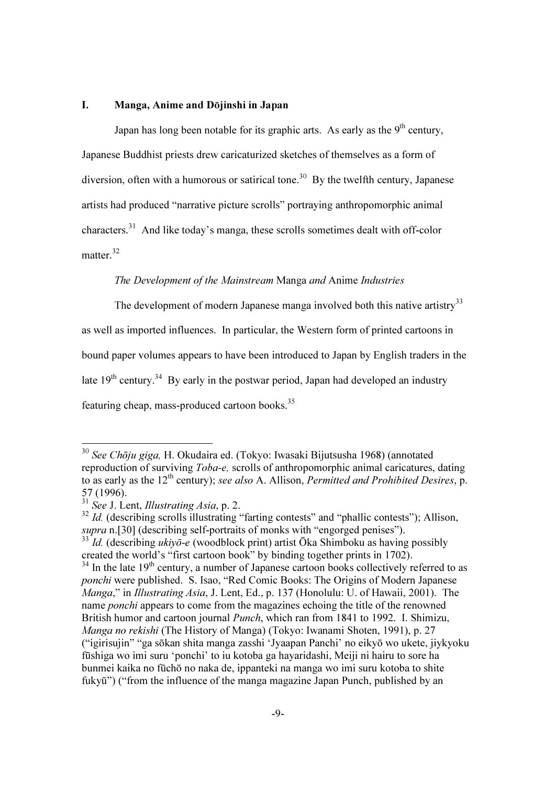### I. Manga, Anime and Dōjinshi in Japan

Japan has long been notable for its graphic arts. As early as the  $9<sup>th</sup>$  century, Japanese Buddhist priests drew caricaturized sketches of themselves as a form of diversion, often with a humorous or satirical tone.<sup>30</sup> By the twelfth century, Japanese artists had produced "narrative picture scrolls" portraying anthropomorphic animal characters.<sup>31</sup> And like today's manga, these scrolls sometimes dealt with off-color matter.<sup>32</sup>

# The Development of the Mainstream Manga and Anime Industries

The development of modern Japanese manga involved both this native artistry<sup>33</sup> as well as imported influences. In particular, the Western form of printed cartoons in bound paper volumes appears to have been introduced to Japan by English traders in the late  $19<sup>th</sup>$  century.<sup>34</sup> By early in the postwar period, Japan had developed an industry featuring cheap, mass-produced cartoon books.<sup>35</sup>

<sup>&</sup>lt;sup>30</sup> See Chōju giga, H. Okudaira ed. (Tokyo: Iwasaki Bijutsusha 1968) (annotated reproduction of surviving Toba-e, scrolls of anthropomorphic animal caricatures, dating to as early as the  $12<sup>th</sup>$  century); see also A. Allison, *Permitted and Prohibited Desires*, p. 57 (1996).

 $31$  See J. Lent, *Illustrating Asia*, p. 2.

 $32$  Id. (describing scrolls illustrating "farting contests" and "phallic contests"); Allison, supra n.[30] (describing self-portraits of monks with "engorged penises").

 $33 \overline{1}$ d. (describing ukiyo-e (woodblock print) artist Ōka Shimboku as having possibly created the world's "first cartoon book" by binding together prints in 1702).  $34$  In the late 19<sup>th</sup> century, a number of Japanese cartoon books collectively referred to as

ponchi were published. S. Isao, "Red Comic Books: The Origins of Modern Japanese Manga," in Illustrating Asia, J. Lent, Ed., p. 137 (Honolulu: U. of Hawaii, 2001). The name ponchi appears to come from the magazines echoing the title of the renowned British humor and cartoon journal *Punch*, which ran from 1841 to 1992. I. Shimizu, Manga no rekishi (The History of Manga) (Tokyo: Iwanami Shoten, 1991), p. 27 ("igirisujin" "ga sōkan shita manga zasshi 'Jyaapan Panchi' no eikyō wo ukete, jiykyoku fūshiga wo imi suru 'ponchi' to iu kotoba ga hayaridashi, Meiji ni hairu to sore ha bunmei kaika no fūchō no naka de, ippanteki na manga wo imi suru kotoba to shite fukyū") ("from the influence of the manga magazine Japan Punch, published by an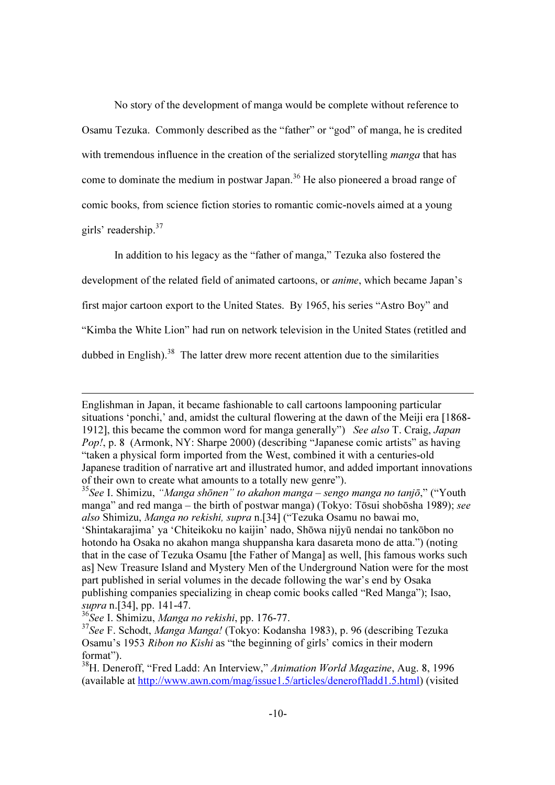No story of the development of manga would be complete without reference to Osamu Tezuka. Commonly described as the "father" or "god" of manga, he is credited with tremendous influence in the creation of the serialized storytelling *manga* that has come to dominate the medium in postwar Japan.<sup>36</sup> He also pioneered a broad range of comic books, from science fiction stories to romantic comic-novels aimed at a young girls' readership.<sup>37</sup>

In addition to his legacy as the "father of manga," Tezuka also fostered the development of the related field of animated cartoons, or anime, which became Japan's first major cartoon export to the United States. By 1965, his series "Astro Boy" and "Kimba the White Lion" had run on network television in the United States (retitled and dubbed in English).<sup>38</sup> The latter drew more recent attention due to the similarities

<u>.</u>

Englishman in Japan, it became fashionable to call cartoons lampooning particular situations 'ponchi,' and, amidst the cultural flowering at the dawn of the Meiji era [1868- 1912], this became the common word for manga generally") See also T. Craig, Japan Pop!, p. 8 (Armonk, NY: Sharpe 2000) (describing "Japanese comic artists" as having "taken a physical form imported from the West, combined it with a centuries-old Japanese tradition of narrative art and illustrated humor, and added important innovations of their own to create what amounts to a totally new genre").

<sup>&</sup>lt;sup>35</sup>See I. Shimizu, "Manga shōnen" to akahon manga – sengo manga no tanjō," ("Youth manga" and red manga – the birth of postwar manga) (Tokyo: Tōsui shobōsha 1989); see also Shimizu, Manga no rekishi, supra n.[34] ("Tezuka Osamu no bawai mo, 'Shintakarajima' ya 'Chiteikoku no kaijin' nado, Shōwa nijyū nendai no tankōbon no hotondo ha Osaka no akahon manga shuppansha kara dasareta mono de atta.") (noting that in the case of Tezuka Osamu [the Father of Manga] as well, [his famous works such as] New Treasure Island and Mystery Men of the Underground Nation were for the most part published in serial volumes in the decade following the war's end by Osaka publishing companies specializing in cheap comic books called "Red Manga"); Isao, supra n.[34], pp. 141-47.

 $36$ See I. Shimizu, Manga no rekishi, pp. 176-77.

<sup>&</sup>lt;sup>37</sup>See F. Schodt, *Manga Manga!* (Tokyo: Kodansha 1983), p. 96 (describing Tezuka Osamu's 1953 Ribon no Kishi as "the beginning of girls' comics in their modern format").

<sup>&</sup>lt;sup>38</sup>H. Deneroff, "Fred Ladd: An Interview," Animation World Magazine, Aug. 8, 1996 (available at http://www.awn.com/mag/issue1.5/articles/deneroffladd1.5.html) (visited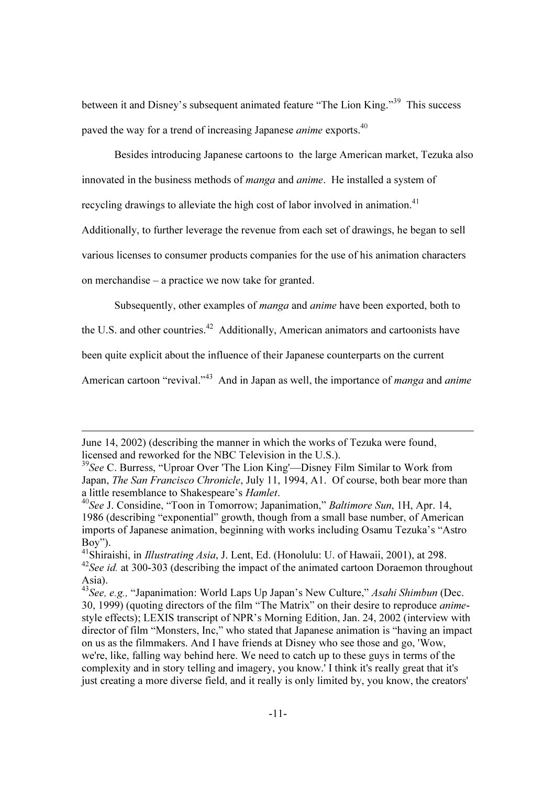between it and Disney's subsequent animated feature "The Lion King."<sup>39</sup> This success paved the way for a trend of increasing Japanese *anime* exports.<sup>40</sup>

Besides introducing Japanese cartoons to the large American market, Tezuka also innovated in the business methods of manga and anime. He installed a system of

recycling drawings to alleviate the high cost of labor involved in animation.<sup>41</sup>

Additionally, to further leverage the revenue from each set of drawings, he began to sell

various licenses to consumer products companies for the use of his animation characters

on merchandise – a practice we now take for granted.

-

Subsequently, other examples of *manga* and *anime* have been exported, both to

the U.S. and other countries.<sup>42</sup> Additionally, American animators and cartoonists have

been quite explicit about the influence of their Japanese counterparts on the current

American cartoon "revival."<sup>43</sup> And in Japan as well, the importance of *manga* and *anime* 

June 14, 2002) (describing the manner in which the works of Tezuka were found, licensed and reworked for the NBC Television in the U.S.).

 $39$ See C. Burress, "Uproar Over 'The Lion King'—Disney Film Similar to Work from Japan, The San Francisco Chronicle, July 11, 1994, A1. Of course, both bear more than a little resemblance to Shakespeare's *Hamlet*.<br><sup>40</sup>See J. Considine, "Toon in Tomorrow; Japanimation," *Baltimore Sun*, 1H, Apr. 14,

<sup>1986 (</sup>describing "exponential" growth, though from a small base number, of American imports of Japanese animation, beginning with works including Osamu Tezuka's "Astro Boy").

<sup>&</sup>lt;sup>41</sup>Shiraishi, in *Illustrating Asia*, J. Lent, Ed. (Honolulu: U. of Hawaii, 2001), at 298.  $42$ See id. at 300-303 (describing the impact of the animated cartoon Doraemon throughout Asia).

<sup>&</sup>lt;sup>43</sup>See, e.g., "Japanimation: World Laps Up Japan's New Culture," Asahi Shimbun (Dec. 30, 1999) (quoting directors of the film "The Matrix" on their desire to reproduce animestyle effects); LEXIS transcript of NPR's Morning Edition, Jan. 24, 2002 (interview with director of film "Monsters, Inc," who stated that Japanese animation is "having an impact on us as the filmmakers. And I have friends at Disney who see those and go, 'Wow, we're, like, falling way behind here. We need to catch up to these guys in terms of the complexity and in story telling and imagery, you know.' I think it's really great that it's just creating a more diverse field, and it really is only limited by, you know, the creators'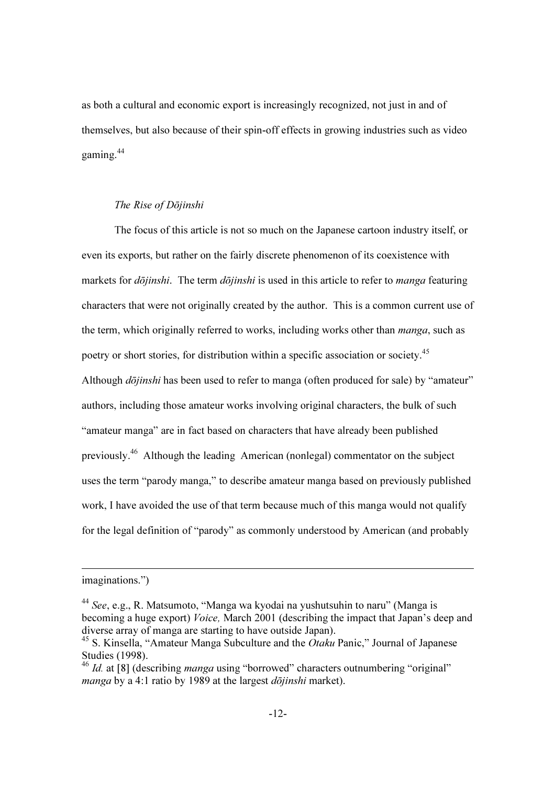as both a cultural and economic export is increasingly recognized, not just in and of themselves, but also because of their spin-off effects in growing industries such as video gaming. $44$ 

### The Rise of Dōjinshi

 The focus of this article is not so much on the Japanese cartoon industry itself, or even its exports, but rather on the fairly discrete phenomenon of its coexistence with markets for *dōjinshi*. The term *dōjinshi* is used in this article to refer to *manga* featuring characters that were not originally created by the author. This is a common current use of the term, which originally referred to works, including works other than *manga*, such as poetry or short stories, for distribution within a specific association or society.<sup>45</sup> Although *dōjinshi* has been used to refer to manga (often produced for sale) by "amateur" authors, including those amateur works involving original characters, the bulk of such "amateur manga" are in fact based on characters that have already been published previously.<sup>46</sup> Although the leading American (nonlegal) commentator on the subject uses the term "parody manga," to describe amateur manga based on previously published work, I have avoided the use of that term because much of this manga would not qualify for the legal definition of "parody" as commonly understood by American (and probably

imaginations.")

 $44$  See, e.g., R. Matsumoto, "Manga wa kyodai na yushutsuhin to naru" (Manga is becoming a huge export) Voice, March 2001 (describing the impact that Japan's deep and diverse array of manga are starting to have outside Japan).

 $45$  S. Kinsella, "Amateur Manga Subculture and the *Otaku* Panic," Journal of Japanese Studies (1998).

 $\frac{46}{1}$  Id. at [8] (describing *manga* using "borrowed" characters outnumbering "original" manga by a 4:1 ratio by 1989 at the largest  $d\bar{o}jinski$  market).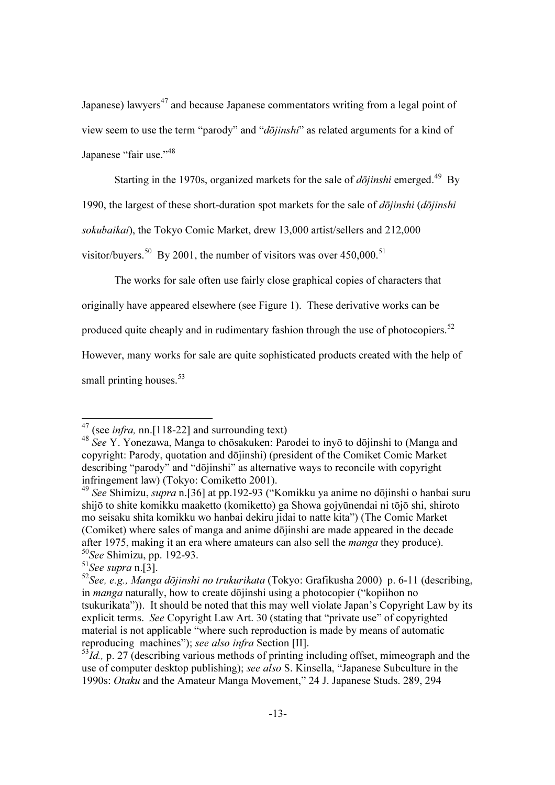Japanese) lawyers<sup>47</sup> and because Japanese commentators writing from a legal point of view seem to use the term "parody" and "dōjinshi" as related arguments for a kind of Japanese "fair use."<sup>48</sup>

Starting in the 1970s, organized markets for the sale of  $d\bar{\rho}$ *iinshi* emerged.<sup>49</sup> By

1990, the largest of these short-duration spot markets for the sale of  $d\bar{o}i$ *inshi* ( $d\bar{o}i$ *inshi*)

sokubaikai), the Tokyo Comic Market, drew 13,000 artist/sellers and 212,000

visitor/buyers.<sup>50</sup> By 2001, the number of visitors was over  $450,000$ .<sup>51</sup>

The works for sale often use fairly close graphical copies of characters that

originally have appeared elsewhere (see Figure 1). These derivative works can be

produced quite cheaply and in rudimentary fashion through the use of photocopiers.<sup>52</sup>

However, many works for sale are quite sophisticated products created with the help of

small printing houses.  $53$ 

 $47$  (see *infra*, nn.[118-22] and surrounding text)

<sup>48</sup> See Y. Yonezawa, Manga to chōsakuken: Parodei to inyō to dōjinshi to (Manga and copyright: Parody, quotation and dōjinshi) (president of the Comiket Comic Market describing "parody" and "dōjinshi" as alternative ways to reconcile with copyright infringement law) (Tokyo: Comiketto 2001).

<sup>49</sup> See Shimizu, supra n.[36] at pp.192-93 ("Komikku ya anime no dōjinshi o hanbai suru shijō to shite komikku maaketto (komiketto) ga Showa gojyūnendai ni tōjō shi, shiroto mo seisaku shita komikku wo hanbai dekiru jidai to natte kita") (The Comic Market (Comiket) where sales of manga and anime dōjinshi are made appeared in the decade after 1975, making it an era where amateurs can also sell the manga they produce).  $50$ See Shimizu, pp. 192-93.

 $51$ See supra n.[3].

 $52$ See, e.g., Manga dōjinshi no trukurikata (Tokyo: Grafikusha 2000) p. 6-11 (describing, in *manga* naturally, how to create dōjinshi using a photocopier ("kopiihon no tsukurikata")). It should be noted that this may well violate Japan's Copyright Law by its explicit terms. See Copyright Law Art. 30 (stating that "private use" of copyrighted material is not applicable "where such reproduction is made by means of automatic reproducing machines"); see also infra Section [II].

 $53$ Id., p. 27 (describing various methods of printing including offset, mimeograph and the use of computer desktop publishing); see also S. Kinsella, "Japanese Subculture in the 1990s: Otaku and the Amateur Manga Movement," 24 J. Japanese Studs. 289, 294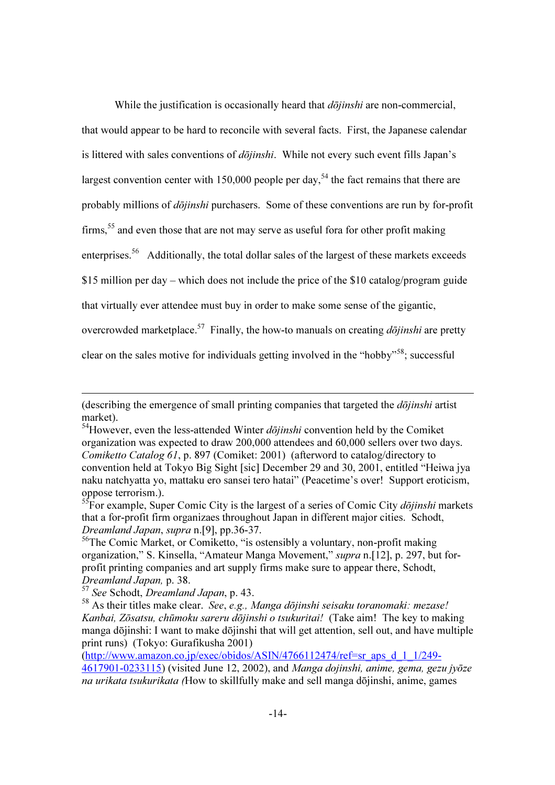While the justification is occasionally heard that  $d\bar{\rho}$ *jinshi* are non-commercial, that would appear to be hard to reconcile with several facts. First, the Japanese calendar is littered with sales conventions of  $d\bar{o}jinshi$ . While not every such event fills Japan's largest convention center with 150,000 people per day,<sup>54</sup> the fact remains that there are probably millions of dōjinshi purchasers. Some of these conventions are run by for-profit firms,  $55$  and even those that are not may serve as useful fora for other profit making enterprises.<sup>56</sup> Additionally, the total dollar sales of the largest of these markets exceeds \$15 million per day – which does not include the price of the \$10 catalog/program guide that virtually ever attendee must buy in order to make some sense of the gigantic, overcrowded marketplace.<sup>57</sup> Finally, the how-to manuals on creating  $d\bar{o}jinshi$  are pretty clear on the sales motive for individuals getting involved in the "hobby"<sup>58</sup>; successful

<u>.</u>

(http://www.amazon.co.jp/exec/obidos/ASIN/4766112474/ref=sr\_aps\_d\_1\_1/249-

<sup>(</sup>describing the emergence of small printing companies that targeted the  $d\overline{\phi}$ *iinshi* artist market).

 $54$ However, even the less-attended Winter *dōjinshi* convention held by the Comiket organization was expected to draw 200,000 attendees and 60,000 sellers over two days. Comiketto Catalog 61, p. 897 (Comiket: 2001) (afterword to catalog/directory to convention held at Tokyo Big Sight [sic] December 29 and 30, 2001, entitled "Heiwa jya naku natchyatta yo, mattaku ero sansei tero hatai" (Peacetime's over! Support eroticism, oppose terrorism.).

 ${}^{55}$ For example, Super Comic City is the largest of a series of Comic City *dojinshi* markets that a for-profit firm organizaes throughout Japan in different major cities. Schodt, Dreamland Japan, supra n.[9], pp.36-37.

 $56$ The Comic Market, or Comiketto, "is ostensibly a voluntary, non-profit making organization," S. Kinsella, "Amateur Manga Movement," supra n.[12], p. 297, but forprofit printing companies and art supply firms make sure to appear there, Schodt, Dreamland Japan, p. 38.

 $57$  See Schodt, Dreamland Japan, p. 43.

 $58$  As their titles make clear. See, e.g., Manga dōjinshi seisaku toranomaki: mezase! Kanbai, Zōsatsu, chūmoku sareru dōjinshi o tsukuritai! (Take aim! The key to making manga dōjinshi: I want to make dōjinshi that will get attention, sell out, and have multiple print runs) (Tokyo: Gurafikusha 2001)

<sup>4617901-0233115) (</sup>visited June 12, 2002), and Manga dojinshi, anime, gema, gezu jyōze na urikata tsukurikata (How to skillfully make and sell manga dōjinshi, anime, games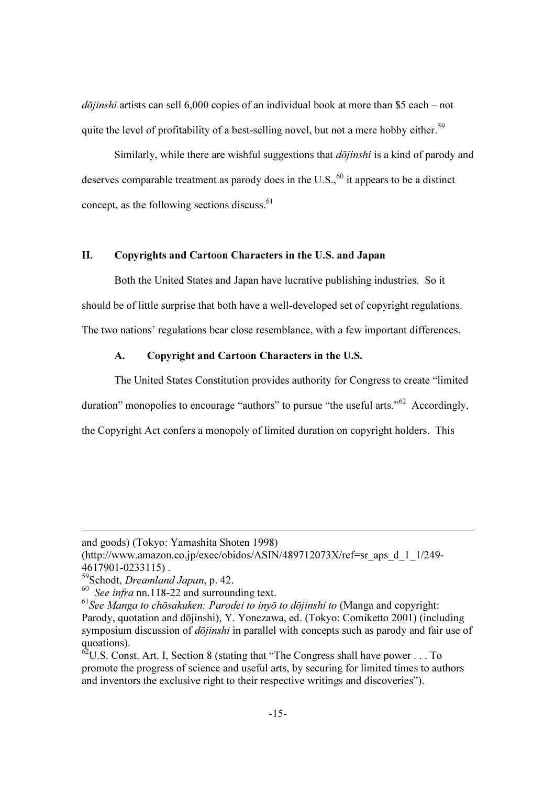$d\bar{o}jinski$  artists can sell 6,000 copies of an individual book at more than \$5 each – not quite the level of profitability of a best-selling novel, but not a mere hobby either.<sup>59</sup>

Similarly, while there are wishful suggestions that  $d\overline{\phi}$ *jinshi* is a kind of parody and deserves comparable treatment as parody does in the U.S., $^{60}$  it appears to be a distinct concept, as the following sections discuss. $61$ 

# II. Copyrights and Cartoon Characters in the U.S. and Japan

Both the United States and Japan have lucrative publishing industries. So it should be of little surprise that both have a well-developed set of copyright regulations. The two nations' regulations bear close resemblance, with a few important differences.

### A. Copyright and Cartoon Characters in the U.S.

The United States Constitution provides authority for Congress to create "limited duration" monopolies to encourage "authors" to pursue "the useful arts."<sup>62</sup> Accordingly, the Copyright Act confers a monopoly of limited duration on copyright holders. This

and goods) (Tokyo: Yamashita Shoten 1998)

<sup>(</sup>http://www.amazon.co.jp/exec/obidos/ASIN/489712073X/ref=sr\_aps\_d\_1\_1/249- 4617901-0233115) .

<sup>59</sup>Schodt, Dreamland Japan, p. 42.

 $60$  See infra nn.118-22 and surrounding text.

 $61$ See Manga to chōsakuken: Parodei to inyō to dōjinshi to (Manga and copyright: Parody, quotation and dōjinshi), Y. Yonezawa, ed. (Tokyo: Comiketto 2001) (including symposium discussion of *dōjinshi* in parallel with concepts such as parody and fair use of quoations).

 $62$ U.S. Const. Art. I, Section 8 (stating that "The Congress shall have power . . . To promote the progress of science and useful arts, by securing for limited times to authors and inventors the exclusive right to their respective writings and discoveries").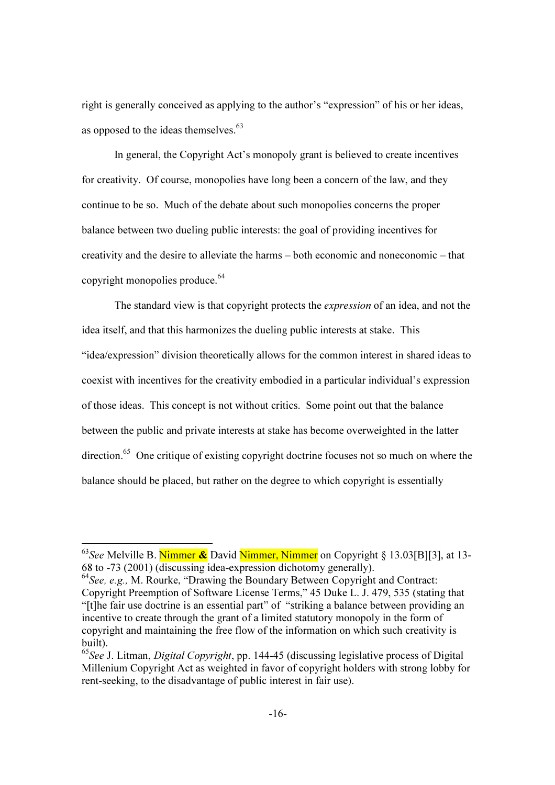right is generally conceived as applying to the author's "expression" of his or her ideas, as opposed to the ideas themselves.<sup>63</sup>

In general, the Copyright Act's monopoly grant is believed to create incentives for creativity. Of course, monopolies have long been a concern of the law, and they continue to be so. Much of the debate about such monopolies concerns the proper balance between two dueling public interests: the goal of providing incentives for creativity and the desire to alleviate the harms – both economic and noneconomic – that copyright monopolies produce.<sup>64</sup>

The standard view is that copyright protects the expression of an idea, and not the idea itself, and that this harmonizes the dueling public interests at stake. This "idea/expression" division theoretically allows for the common interest in shared ideas to coexist with incentives for the creativity embodied in a particular individual's expression of those ideas. This concept is not without critics. Some point out that the balance between the public and private interests at stake has become overweighted in the latter  $direction<sup>65</sup>$  One critique of existing copyright doctrine focuses not so much on where the balance should be placed, but rather on the degree to which copyright is essentially

<u>.</u>

 $^{63}$ See Melville B. Nimmer & David Nimmer, Nimmer on Copyright § 13.03[B][3], at 13-68 to -73 (2001) (discussing idea-expression dichotomy generally).

 $64$ See, e.g., M. Rourke, "Drawing the Boundary Between Copyright and Contract: Copyright Preemption of Software License Terms," 45 Duke L. J. 479, 535 (stating that "[t]he fair use doctrine is an essential part" of "striking a balance between providing an incentive to create through the grant of a limited statutory monopoly in the form of copyright and maintaining the free flow of the information on which such creativity is built).

<sup>&</sup>lt;sup>65</sup>See J. Litman, *Digital Copyright*, pp. 144-45 (discussing legislative process of Digital Millenium Copyright Act as weighted in favor of copyright holders with strong lobby for rent-seeking, to the disadvantage of public interest in fair use).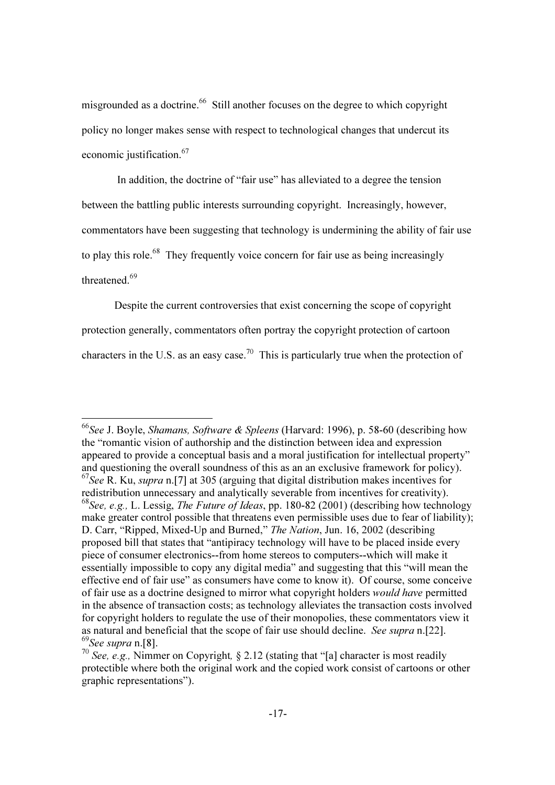misgrounded as a doctrine.<sup>66</sup> Still another focuses on the degree to which copyright policy no longer makes sense with respect to technological changes that undercut its economic justification.<sup>67</sup>

 In addition, the doctrine of "fair use" has alleviated to a degree the tension between the battling public interests surrounding copyright. Increasingly, however, commentators have been suggesting that technology is undermining the ability of fair use to play this role.<sup>68</sup> They frequently voice concern for fair use as being increasingly threatened.<sup>69</sup>

Despite the current controversies that exist concerning the scope of copyright protection generally, commentators often portray the copyright protection of cartoon characters in the U.S. as an easy case.<sup>70</sup> This is particularly true when the protection of

 $^{66}$ See J. Boyle, Shamans, Software & Spleens (Harvard: 1996), p. 58-60 (describing how the "romantic vision of authorship and the distinction between idea and expression appeared to provide a conceptual basis and a moral justification for intellectual property" and questioning the overall soundness of this as an an exclusive framework for policy).  $^{67}$ See R. Ku, *supra* n. [7] at 305 (arguing that digital distribution makes incentives for redistribution unnecessary and analytically severable from incentives for creativity). <sup>68</sup>See, e.g., L. Lessig, *The Future of Ideas*, pp. 180-82 (2001) (describing how technology make greater control possible that threatens even permissible uses due to fear of liability); D. Carr, "Ripped, Mixed-Up and Burned," The Nation, Jun. 16, 2002 (describing proposed bill that states that "antipiracy technology will have to be placed inside every piece of consumer electronics--from home stereos to computers--which will make it essentially impossible to copy any digital media" and suggesting that this "will mean the effective end of fair use" as consumers have come to know it). Of course, some conceive of fair use as a doctrine designed to mirror what copyright holders would have permitted in the absence of transaction costs; as technology alleviates the transaction costs involved for copyright holders to regulate the use of their monopolies, these commentators view it as natural and beneficial that the scope of fair use should decline. See supra n.[22].  $^{69}$ See supra n.[8].

 $\frac{70}{2}$  See, e.g., Nimmer on Copyright, § 2.12 (stating that "[a] character is most readily protectible where both the original work and the copied work consist of cartoons or other graphic representations").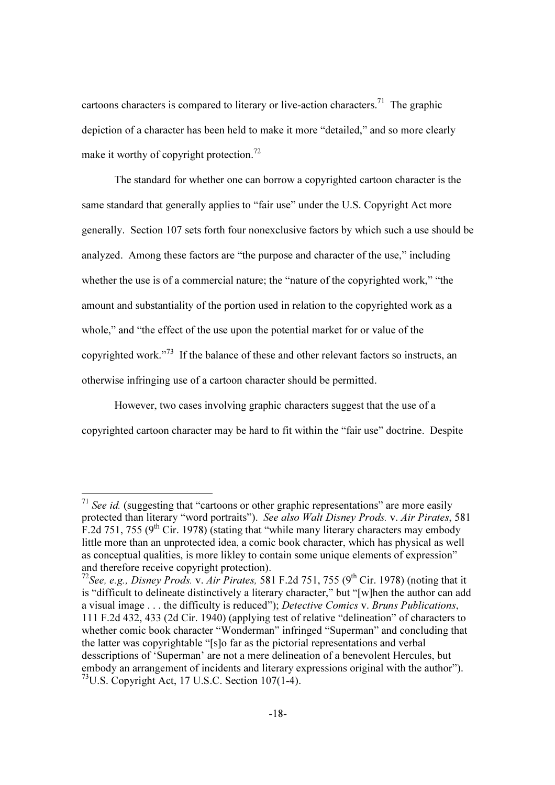cartoons characters is compared to literary or live-action characters.<sup>71</sup> The graphic depiction of a character has been held to make it more "detailed," and so more clearly make it worthy of copyright protection.<sup>72</sup>

The standard for whether one can borrow a copyrighted cartoon character is the same standard that generally applies to "fair use" under the U.S. Copyright Act more generally. Section 107 sets forth four nonexclusive factors by which such a use should be analyzed. Among these factors are "the purpose and character of the use," including whether the use is of a commercial nature; the "nature of the copyrighted work," "the amount and substantiality of the portion used in relation to the copyrighted work as a whole," and "the effect of the use upon the potential market for or value of the copyrighted work."<sup>73</sup> If the balance of these and other relevant factors so instructs, an otherwise infringing use of a cartoon character should be permitted.

However, two cases involving graphic characters suggest that the use of a copyrighted cartoon character may be hard to fit within the "fair use" doctrine. Despite

 $71$  See id. (suggesting that "cartoons or other graphic representations" are more easily protected than literary "word portraits"). See also Walt Disney Prods. v. Air Pirates, 581 F.2d 751, 755 ( $9<sup>th</sup>$  Cir. 1978) (stating that "while many literary characters may embody little more than an unprotected idea, a comic book character, which has physical as well as conceptual qualities, is more likley to contain some unique elements of expression" and therefore receive copyright protection).

<sup>&</sup>lt;sup>72</sup>See, e.g., *Disney Prods. v. Air Pirates,* 581 F.2d 751, 755 (9<sup>th</sup> Cir. 1978) (noting that it is "difficult to delineate distinctively a literary character," but "[w]hen the author can add a visual image . . . the difficulty is reduced"); Detective Comics v. Bruns Publications, 111 F.2d 432, 433 (2d Cir. 1940) (applying test of relative "delineation" of characters to whether comic book character "Wonderman" infringed "Superman" and concluding that the latter was copyrightable "[s]o far as the pictorial representations and verbal desscriptions of 'Superman' are not a mere delineation of a benevolent Hercules, but embody an arrangement of incidents and literary expressions original with the author"). <sup>73</sup>U.S. Copyright Act, 17 U.S.C. Section 107(1-4).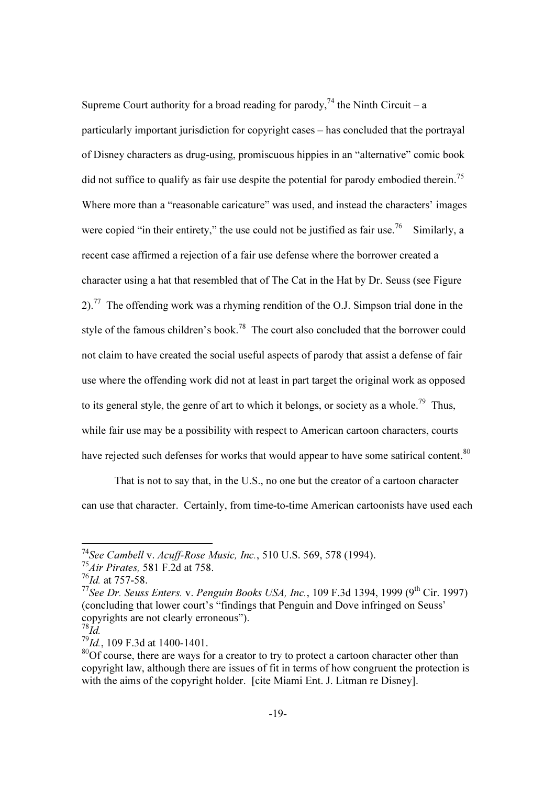Supreme Court authority for a broad reading for parody,<sup>74</sup> the Ninth Circuit – a particularly important jurisdiction for copyright cases – has concluded that the portrayal of Disney characters as drug-using, promiscuous hippies in an "alternative" comic book did not suffice to qualify as fair use despite the potential for parody embodied therein.<sup>75</sup> Where more than a "reasonable caricature" was used, and instead the characters' images were copied "in their entirety," the use could not be justified as fair use.<sup>76</sup> Similarly, a recent case affirmed a rejection of a fair use defense where the borrower created a character using a hat that resembled that of The Cat in the Hat by Dr. Seuss (see Figure 2).<sup>77</sup> The offending work was a rhyming rendition of the O.J. Simpson trial done in the style of the famous children's book.<sup>78</sup> The court also concluded that the borrower could not claim to have created the social useful aspects of parody that assist a defense of fair use where the offending work did not at least in part target the original work as opposed to its general style, the genre of art to which it belongs, or society as a whole.<sup>79</sup> Thus, while fair use may be a possibility with respect to American cartoon characters, courts have rejected such defenses for works that would appear to have some satirical content.<sup>80</sup>

That is not to say that, in the U.S., no one but the creator of a cartoon character can use that character. Certainly, from time-to-time American cartoonists have used each

<u>.</u>

<sup>&</sup>lt;sup>74</sup>See Cambell v. Acuff-Rose Music, Inc., 510 U.S. 569, 578 (1994).

 $75A$ ir Pirates, 581 F.2d at 758.

 $^{76}$ Id. at 757-58.

<sup>&</sup>lt;sup>77</sup>See Dr. Seuss Enters. v. Penguin Books USA, Inc., 109 F.3d 1394, 1999 (9<sup>th</sup> Cir. 1997) (concluding that lower court's "findings that Penguin and Dove infringed on Seuss' copyrights are not clearly erroneous").

 $^{78}$ Id.

 $^{79}$ Id., 109 F.3d at 1400-1401.

 $80$ Of course, there are ways for a creator to try to protect a cartoon character other than copyright law, although there are issues of fit in terms of how congruent the protection is with the aims of the copyright holder. [cite Miami Ent. J. Litman re Disney].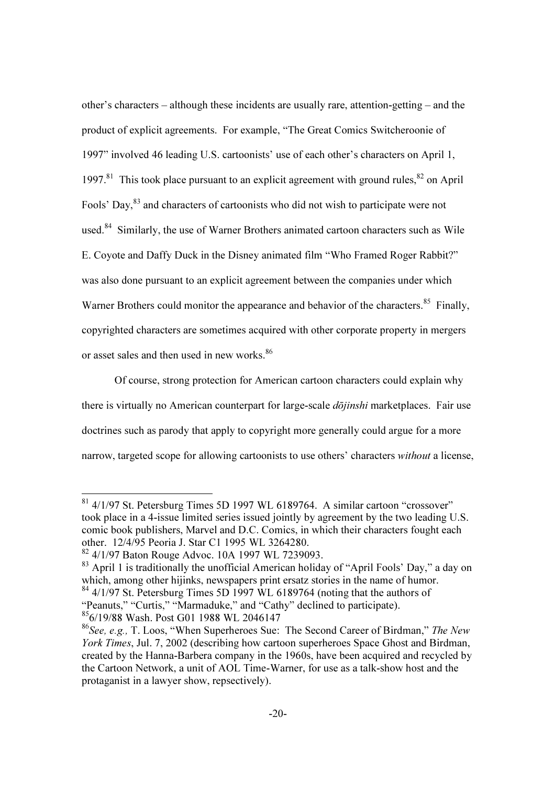other's characters – although these incidents are usually rare, attention-getting – and the product of explicit agreements. For example, "The Great Comics Switcheroonie of 1997" involved 46 leading U.S. cartoonists' use of each other's characters on April 1, 1997.<sup>81</sup> This took place pursuant to an explicit agreement with ground rules,  $82$  on April Fools' Day,<sup>83</sup> and characters of cartoonists who did not wish to participate were not used.<sup>84</sup> Similarly, the use of Warner Brothers animated cartoon characters such as Wile E. Coyote and Daffy Duck in the Disney animated film "Who Framed Roger Rabbit?" was also done pursuant to an explicit agreement between the companies under which Warner Brothers could monitor the appearance and behavior of the characters.<sup>85</sup> Finally, copyrighted characters are sometimes acquired with other corporate property in mergers or asset sales and then used in new works.<sup>86</sup>

Of course, strong protection for American cartoon characters could explain why there is virtually no American counterpart for large-scale *dōjinshi* marketplaces. Fair use doctrines such as parody that apply to copyright more generally could argue for a more narrow, targeted scope for allowing cartoonists to use others' characters without a license,

-

 $83$  April 1 is traditionally the unofficial American holiday of "April Fools' Day," a day on which, among other hijinks, newspapers print ersatz stories in the name of humor.

 $81$  4/1/97 St. Petersburg Times 5D 1997 WL 6189764. A similar cartoon "crossover" took place in a 4-issue limited series issued jointly by agreement by the two leading U.S. comic book publishers, Marvel and D.C. Comics, in which their characters fought each other. 12/4/95 Peoria J. Star C1 1995 WL 3264280.

<sup>82</sup> 4/1/97 Baton Rouge Advoc. 10A 1997 WL 7239093.

 $84$  4/1/97 St. Petersburg Times 5D 1997 WL 6189764 (noting that the authors of "Peanuts," "Curtis," "Marmaduke," and "Cathy" declined to participate). <sup>85</sup>6/19/88 Wash. Post G01 1988 WL 2046147

 $86$ See, e.g., T. Loos, "When Superheroes Sue: The Second Career of Birdman," The New York Times, Jul. 7, 2002 (describing how cartoon superheroes Space Ghost and Birdman, created by the Hanna-Barbera company in the 1960s, have been acquired and recycled by the Cartoon Network, a unit of AOL Time-Warner, for use as a talk-show host and the protaganist in a lawyer show, repsectively).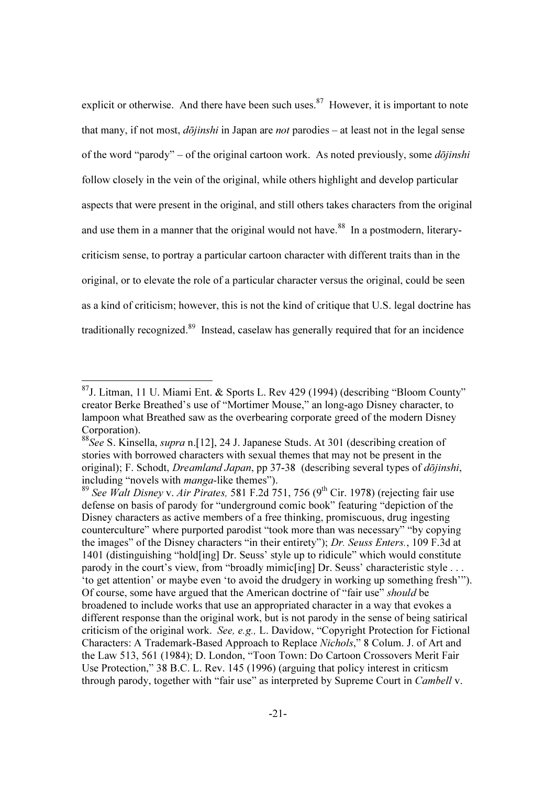explicit or otherwise. And there have been such uses. $87$  However, it is important to note that many, if not most,  $d\overrightarrow{o}j$ *inshi* in Japan are *not* parodies – at least not in the legal sense of the word "parody" – of the original cartoon work. As noted previously, some  $d\overline{\phi}$ *iinshi* follow closely in the vein of the original, while others highlight and develop particular aspects that were present in the original, and still others takes characters from the original and use them in a manner that the original would not have.<sup>88</sup> In a postmodern, literarycriticism sense, to portray a particular cartoon character with different traits than in the original, or to elevate the role of a particular character versus the original, could be seen as a kind of criticism; however, this is not the kind of critique that U.S. legal doctrine has traditionally recognized.<sup>89</sup> Instead, caselaw has generally required that for an incidence

 $\overline{\phantom{a}}$ 

 $87$ J. Litman, 11 U. Miami Ent. & Sports L. Rev 429 (1994) (describing "Bloom County" creator Berke Breathed's use of "Mortimer Mouse," an long-ago Disney character, to lampoon what Breathed saw as the overbearing corporate greed of the modern Disney Corporation).

<sup>&</sup>lt;sup>88</sup>See S. Kinsella, *supra* n. [12], 24 J. Japanese Studs. At 301 (describing creation of stories with borrowed characters with sexual themes that may not be present in the original); F. Schodt, *Dreamland Japan*, pp 37-38 (describing several types of *dōjinshi*, including "novels with *manga*-like themes").

<sup>&</sup>lt;sup>89</sup> See Walt Disney v. Air Pirates, 581 F.2d  $751$ , 756 (9<sup>th</sup> Cir. 1978) (rejecting fair use defense on basis of parody for "underground comic book" featuring "depiction of the Disney characters as active members of a free thinking, promiscuous, drug ingesting counterculture" where purported parodist "took more than was necessary" "by copying the images" of the Disney characters "in their entirety"); Dr. Seuss Enters., 109 F.3d at 1401 (distinguishing "hold[ing] Dr. Seuss' style up to ridicule" which would constitute parody in the court's view, from "broadly mimic[ing] Dr. Seuss' characteristic style . . . 'to get attention' or maybe even 'to avoid the drudgery in working up something fresh'"). Of course, some have argued that the American doctrine of "fair use" should be broadened to include works that use an appropriated character in a way that evokes a different response than the original work, but is not parody in the sense of being satirical criticism of the original work. See, e.g., L. Davidow, "Copyright Protection for Fictional Characters: A Trademark-Based Approach to Replace Nichols," 8 Colum. J. of Art and the Law 513, 561 (1984); D. London, "Toon Town: Do Cartoon Crossovers Merit Fair Use Protection," 38 B.C. L. Rev. 145 (1996) (arguing that policy interest in criticsm through parody, together with "fair use" as interpreted by Supreme Court in Cambell v.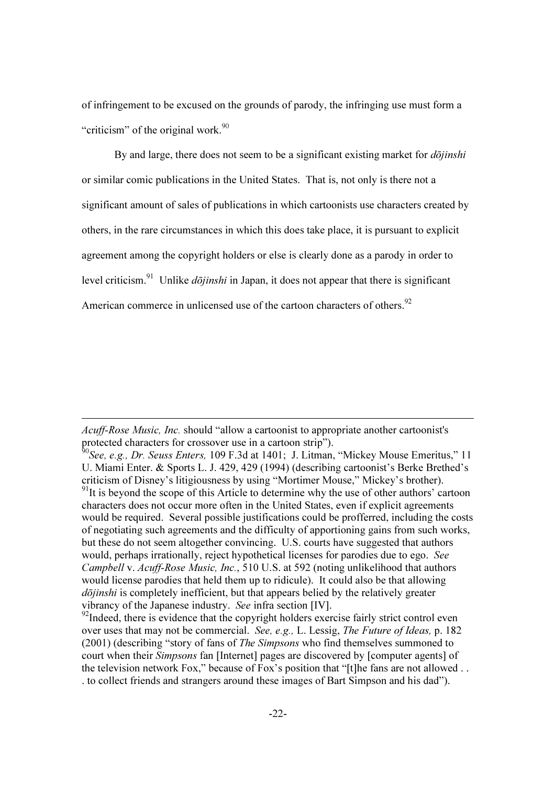of infringement to be excused on the grounds of parody, the infringing use must form a "criticism" of the original work.<sup>90</sup>

By and large, there does not seem to be a significant existing market for  $d\bar{o}jinshi$ or similar comic publications in the United States. That is, not only is there not a significant amount of sales of publications in which cartoonists use characters created by others, in the rare circumstances in which this does take place, it is pursuant to explicit agreement among the copyright holders or else is clearly done as a parody in order to level criticism.<sup>91</sup> Unlike *dōjinshi* in Japan, it does not appear that there is significant American commerce in unlicensed use of the cartoon characters of others.<sup>92</sup>

-

 $^{92}$ Indeed, there is evidence that the copyright holders exercise fairly strict control even over uses that may not be commercial. See, e.g., L. Lessig, The Future of Ideas, p. 182 (2001) (describing "story of fans of The Simpsons who find themselves summoned to court when their Simpsons fan [Internet] pages are discovered by [computer agents] of the television network Fox," because of Fox's position that "[t]he fans are not allowed . . . to collect friends and strangers around these images of Bart Simpson and his dad").

Acuff-Rose Music, Inc. should "allow a cartoonist to appropriate another cartoonist's protected characters for crossover use in a cartoon strip").

 $^{50}$ See, e.g., Dr. Seuss Enters, 109 F.3d at 1401; J. Litman, "Mickey Mouse Emeritus," 11 U. Miami Enter. & Sports L. J. 429, 429 (1994) (describing cartoonist's Berke Brethed's criticism of Disney's litigiousness by using "Mortimer Mouse," Mickey's brother).  $91$ It is beyond the scope of this Article to determine why the use of other authors' cartoon characters does not occur more often in the United States, even if explicit agreements would be required. Several possible justifications could be profferred, including the costs of negotiating such agreements and the difficulty of apportioning gains from such works, but these do not seem altogether convincing. U.S. courts have suggested that authors would, perhaps irrationally, reject hypothetical licenses for parodies due to ego. See Campbell v. Acuff-Rose Music, Inc., 510 U.S. at 592 (noting unlikelihood that authors would license parodies that held them up to ridicule). It could also be that allowing dōjinshi is completely inefficient, but that appears belied by the relatively greater vibrancy of the Japanese industry. See infra section [IV].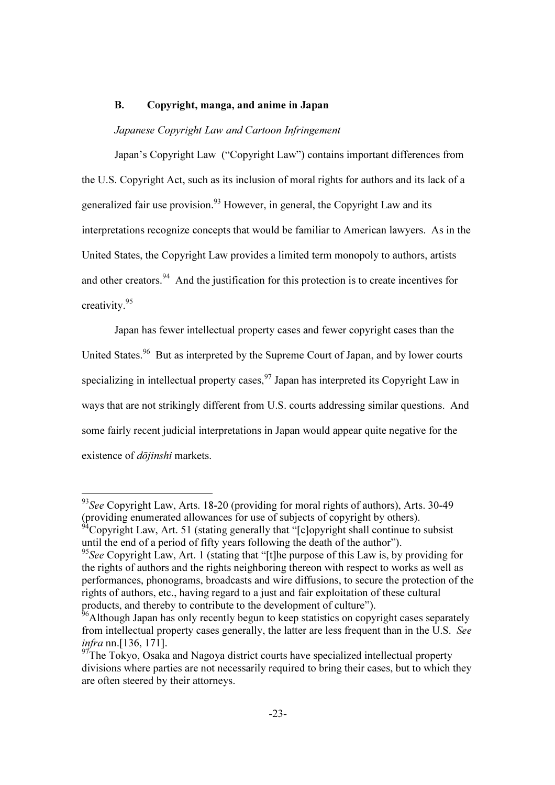### B. Copyright, manga, and anime in Japan

## Japanese Copyright Law and Cartoon Infringement

 Japan's Copyright Law ("Copyright Law") contains important differences from the U.S. Copyright Act, such as its inclusion of moral rights for authors and its lack of a generalized fair use provision.<sup>93</sup> However, in general, the Copyright Law and its interpretations recognize concepts that would be familiar to American lawyers. As in the United States, the Copyright Law provides a limited term monopoly to authors, artists and other creators.<sup>94</sup> And the justification for this protection is to create incentives for creativity.<sup>95</sup>

 Japan has fewer intellectual property cases and fewer copyright cases than the United States.<sup>96</sup> But as interpreted by the Supreme Court of Japan, and by lower courts specializing in intellectual property cases.  $97$  Japan has interpreted its Copyright Law in ways that are not strikingly different from U.S. courts addressing similar questions. And some fairly recent judicial interpretations in Japan would appear quite negative for the existence of *dōjinshi* markets.

 $93$ See Copyright Law, Arts. 18-20 (providing for moral rights of authors), Arts. 30-49 (providing enumerated allowances for use of subjects of copyright by others).

 $\rm^{4}$ Copyright Law, Art. 51 (stating generally that "[c]opyright shall continue to subsist until the end of a period of fifty years following the death of the author").

 $95$ See Copyright Law, Art. 1 (stating that "[t]he purpose of this Law is, by providing for the rights of authors and the rights neighboring thereon with respect to works as well as performances, phonograms, broadcasts and wire diffusions, to secure the protection of the rights of authors, etc., having regard to a just and fair exploitation of these cultural products, and thereby to contribute to the development of culture").

<sup>&</sup>lt;sup>96</sup>Although Japan has only recently begun to keep statistics on copyright cases separately from intellectual property cases generally, the latter are less frequent than in the U.S. See infra nn.[136, 171].

<sup>&</sup>lt;sup>97</sup>The Tokyo, Osaka and Nagoya district courts have specialized intellectual property divisions where parties are not necessarily required to bring their cases, but to which they are often steered by their attorneys.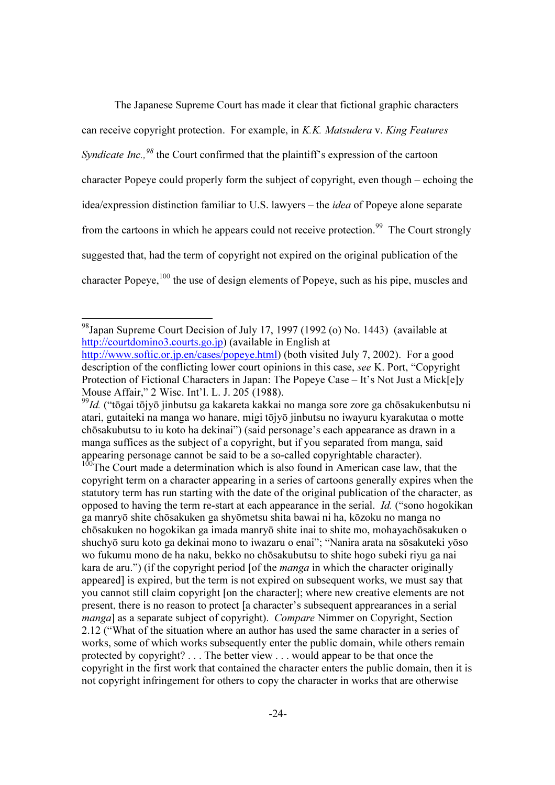The Japanese Supreme Court has made it clear that fictional graphic characters can receive copyright protection. For example, in K.K. Matsudera v. King Features Syndicate Inc.,  $98$  the Court confirmed that the plaintiff's expression of the cartoon character Popeye could properly form the subject of copyright, even though – echoing the idea/expression distinction familiar to U.S. lawyers – the idea of Popeye alone separate from the cartoons in which he appears could not receive protection.<sup>99</sup> The Court strongly suggested that, had the term of copyright not expired on the original publication of the character Popeye,  $100$  the use of design elements of Popeye, such as his pipe, muscles and

 $\overline{\phantom{a}}$ 

<sup>&</sup>lt;sup>98</sup>Japan Supreme Court Decision of July 17, 1997 (1992 (o) No. 1443) (available at http://courtdomino3.courts.go.jp) (available in English at http://www.softic.or.jp.en/cases/popeye.html) (both visited July 7, 2002). For a good description of the conflicting lower court opinions in this case, see K. Port, "Copyright Protection of Fictional Characters in Japan: The Popeye Case – It's Not Just a Mick[e]y Mouse Affair," 2 Wisc. Int'l. L. J. 205 (1988).

 $^{99}$ Id. ("tōgai tōjyō jinbutsu ga kakareta kakkai no manga sore zore ga chōsakukenbutsu ni atari, gutaiteki na manga wo hanare, migi tōjyō jinbutsu no iwayuru kyarakutaa o motte chōsakubutsu to iu koto ha dekinai") (said personage's each appearance as drawn in a manga suffices as the subject of a copyright, but if you separated from manga, said appearing personage cannot be said to be a so-called copyrightable character).

 $100$ The Court made a determination which is also found in American case law, that the copyright term on a character appearing in a series of cartoons generally expires when the statutory term has run starting with the date of the original publication of the character, as opposed to having the term re-start at each appearance in the serial. Id. ("sono hogokikan ga manryō shite chōsakuken ga shyōmetsu shita bawai ni ha, kōzoku no manga no chōsakuken no hogokikan ga imada manryō shite inai to shite mo, mohayachōsakuken o shuchyō suru koto ga dekinai mono to iwazaru o enai"; "Nanira arata na sōsakuteki yōso wo fukumu mono de ha naku, bekko no chōsakubutsu to shite hogo subeki riyu ga nai kara de aru.") (if the copyright period [of the *manga* in which the character originally appeared] is expired, but the term is not expired on subsequent works, we must say that you cannot still claim copyright [on the character]; where new creative elements are not present, there is no reason to protect [a character's subsequent apprearances in a serial manga] as a separate subject of copyright). Compare Nimmer on Copyright, Section 2.12 ("What of the situation where an author has used the same character in a series of works, some of which works subsequently enter the public domain, while others remain protected by copyright? . . . The better view . . . would appear to be that once the copyright in the first work that contained the character enters the public domain, then it is not copyright infringement for others to copy the character in works that are otherwise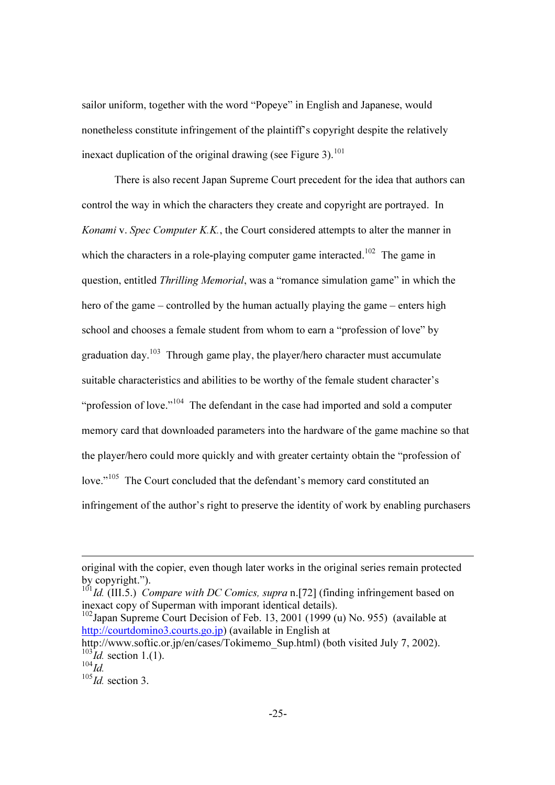sailor uniform, together with the word "Popeye" in English and Japanese, would nonetheless constitute infringement of the plaintiff's copyright despite the relatively inexact duplication of the original drawing (see Figure 3).<sup>101</sup>

 There is also recent Japan Supreme Court precedent for the idea that authors can control the way in which the characters they create and copyright are portrayed. In Konami v. Spec Computer K.K., the Court considered attempts to alter the manner in which the characters in a role-playing computer game interacted.<sup>102</sup> The game in question, entitled Thrilling Memorial, was a "romance simulation game" in which the hero of the game – controlled by the human actually playing the game – enters high school and chooses a female student from whom to earn a "profession of love" by graduation day.<sup>103</sup> Through game play, the player/hero character must accumulate suitable characteristics and abilities to be worthy of the female student character's "profession of love."<sup>104</sup> The defendant in the case had imported and sold a computer memory card that downloaded parameters into the hardware of the game machine so that the player/hero could more quickly and with greater certainty obtain the "profession of love."<sup>105</sup> The Court concluded that the defendant's memory card constituted an infringement of the author's right to preserve the identity of work by enabling purchasers

 $101$   $Id.$  (III.5.) Compare with DC Comics, supra n.[72] (finding infringement based on inexact copy of Superman with imporant identical details).

 $102$ Japan Supreme Court Decision of Feb. 13, 2001 (1999 (u) No. 955) (available at http://courtdomino3.courts.go.jp) (available in English at

original with the copier, even though later works in the original series remain protected by copyright.").

http://www.softic.or.jp/en/cases/Tokimemo\_Sup.html) (both visited July 7, 2002).  $^{103}$ Id. section 1.(1).

 $^{104}$ Id.

 $^{105}$ Id. section 3.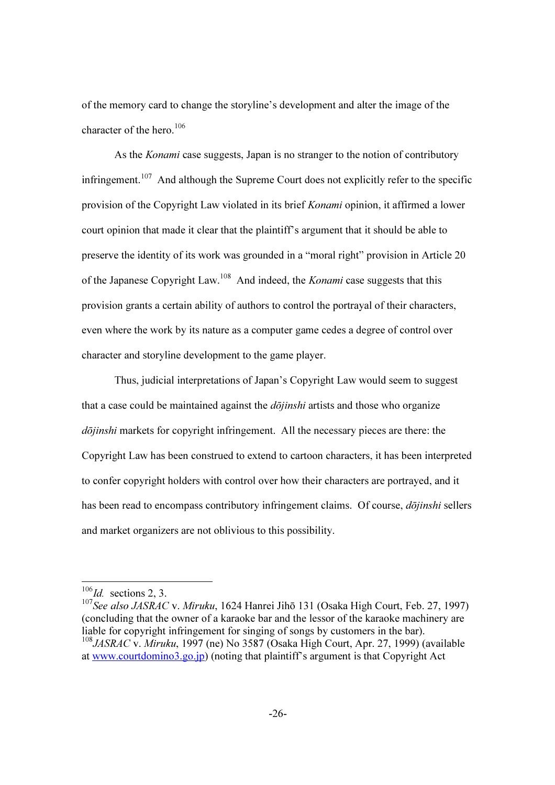of the memory card to change the storyline's development and alter the image of the character of the hero.<sup>106</sup>

As the *Konami* case suggests, Japan is no stranger to the notion of contributory infringement.<sup>107</sup> And although the Supreme Court does not explicitly refer to the specific provision of the Copyright Law violated in its brief Konami opinion, it affirmed a lower court opinion that made it clear that the plaintiff's argument that it should be able to preserve the identity of its work was grounded in a "moral right" provision in Article 20 of the Japanese Copyright Law.<sup>108</sup> And indeed, the *Konami* case suggests that this provision grants a certain ability of authors to control the portrayal of their characters, even where the work by its nature as a computer game cedes a degree of control over character and storyline development to the game player.

 Thus, judicial interpretations of Japan's Copyright Law would seem to suggest that a case could be maintained against the  $d\overrightarrow{o}jinshi$  artists and those who organize dōjinshi markets for copyright infringement. All the necessary pieces are there: the Copyright Law has been construed to extend to cartoon characters, it has been interpreted to confer copyright holders with control over how their characters are portrayed, and it has been read to encompass contributory infringement claims. Of course, *dōjinshi* sellers and market organizers are not oblivious to this possibility.

 $\overline{\phantom{a}}$ 

 $106$ Id. sections 2, 3.

<sup>&</sup>lt;sup>107</sup>See also JASRAC v. Miruku, 1624 Hanrei Jihō 131 (Osaka High Court, Feb. 27, 1997) (concluding that the owner of a karaoke bar and the lessor of the karaoke machinery are liable for copyright infringement for singing of songs by customers in the bar).  $108$  JASRAC v. Miruku, 1997 (ne) No 3587 (Osaka High Court, Apr. 27, 1999) (available

at www.courtdomino3.go.jp) (noting that plaintiff's argument is that Copyright Act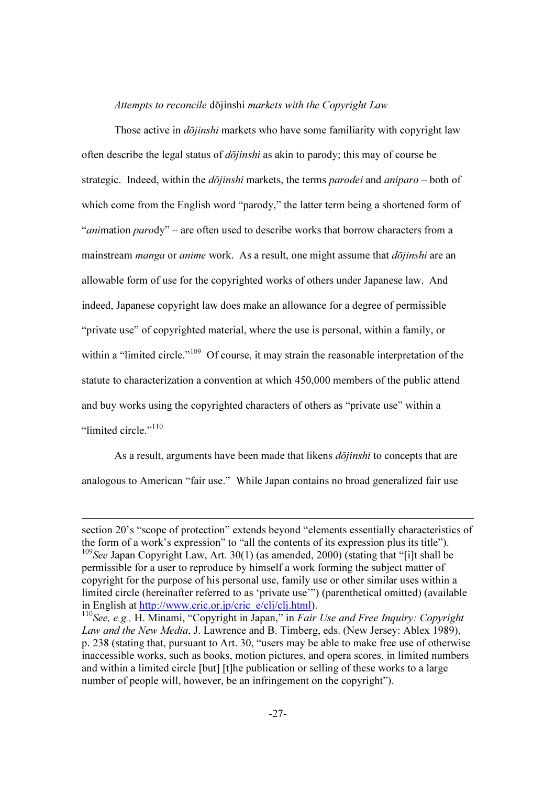#### Attempts to reconcile dōjinshi markets with the Copyright Law

Those active in *dōjinshi* markets who have some familiarity with copyright law often describe the legal status of  $d\overrightarrow{o}j$ *inshi* as akin to parody; this may of course be strategic. Indeed, within the  $d\bar{o}jinshi$  markets, the terms *parodei* and *aniparo* – both of which come from the English word "parody," the latter term being a shortened form of "*animation parody*" – are often used to describe works that borrow characters from a mainstream *manga* or *anime* work. As a result, one might assume that *dojinshi* are an allowable form of use for the copyrighted works of others under Japanese law. And indeed, Japanese copyright law does make an allowance for a degree of permissible "private use" of copyrighted material, where the use is personal, within a family, or within a "limited circle."<sup>109</sup> Of course, it may strain the reasonable interpretation of the statute to characterization a convention at which 450,000 members of the public attend and buy works using the copyrighted characters of others as "private use" within a "limited circle."<sup>110</sup>

As a result, arguments have been made that likens *dōjinshi* to concepts that are analogous to American "fair use." While Japan contains no broad generalized fair use

section 20's "scope of protection" extends beyond "elements essentially characteristics of the form of a work's expression" to "all the contents of its expression plus its title"). <sup>109</sup>See Japan Copyright Law, Art. 30(1) (as amended, 2000) (stating that "[i]t shall be permissible for a user to reproduce by himself a work forming the subject matter of copyright for the purpose of his personal use, family use or other similar uses within a limited circle (hereinafter referred to as 'private use'") (parenthetical omitted) (available in English at http://www.cric.or.jp/cric\_e/clj/clj.html).

 $110$  See, e.g., H. Minami, "Copyright in Japan," in *Fair Use and Free Inquiry: Copyright* Law and the New Media, J. Lawrence and B. Timberg, eds. (New Jersey: Ablex 1989), p. 238 (stating that, pursuant to Art. 30, "users may be able to make free use of otherwise inaccessible works, such as books, motion pictures, and opera scores, in limited numbers and within a limited circle [but] [t]he publication or selling of these works to a large number of people will, however, be an infringement on the copyright").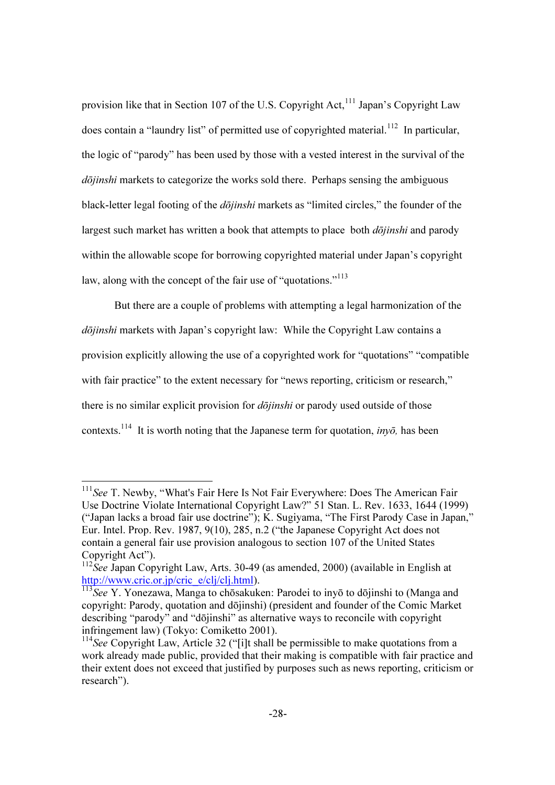provision like that in Section 107 of the U.S. Copyright Act,<sup>111</sup> Japan's Copyright Law does contain a "laundry list" of permitted use of copyrighted material.<sup>112</sup> In particular, the logic of "parody" has been used by those with a vested interest in the survival of the dōjinshi markets to categorize the works sold there. Perhaps sensing the ambiguous black-letter legal footing of the dōjinshi markets as "limited circles," the founder of the largest such market has written a book that attempts to place both  $d\bar{o}jinshi$  and parody within the allowable scope for borrowing copyrighted material under Japan's copyright law, along with the concept of the fair use of "quotations."<sup>113</sup>

But there are a couple of problems with attempting a legal harmonization of the dōjinshi markets with Japan's copyright law: While the Copyright Law contains a provision explicitly allowing the use of a copyrighted work for "quotations" "compatible with fair practice" to the extent necessary for "news reporting, criticism or research," there is no similar explicit provision for  $d\overline{\phi}$ *jinshi* or parody used outside of those contexts.<sup>114</sup> It is worth noting that the Japanese term for quotation, *invo*, has been

 $\overline{a}$ 

 $111$ See T. Newby, "What's Fair Here Is Not Fair Everywhere: Does The American Fair Use Doctrine Violate International Copyright Law?" 51 Stan. L. Rev. 1633, 1644 (1999) ("Japan lacks a broad fair use doctrine"); K. Sugiyama, "The First Parody Case in Japan," Eur. Intel. Prop. Rev. 1987, 9(10), 285, n.2 ("the Japanese Copyright Act does not contain a general fair use provision analogous to section 107 of the United States Copyright Act").

 $112$ See Japan Copyright Law, Arts. 30-49 (as amended, 2000) (available in English at http://www.cric.or.jp/cric\_e/clj/clj.html).

<sup>113</sup>See Y. Yonezawa, Manga to chōsakuken: Parodei to inyō to dōjinshi to (Manga and copyright: Parody, quotation and dōjinshi) (president and founder of the Comic Market describing "parody" and "dōjinshi" as alternative ways to reconcile with copyright infringement law) (Tokyo: Comiketto 2001).

 $114$ See Copyright Law, Article 32 ("[i]t shall be permissible to make quotations from a work already made public, provided that their making is compatible with fair practice and their extent does not exceed that justified by purposes such as news reporting, criticism or research").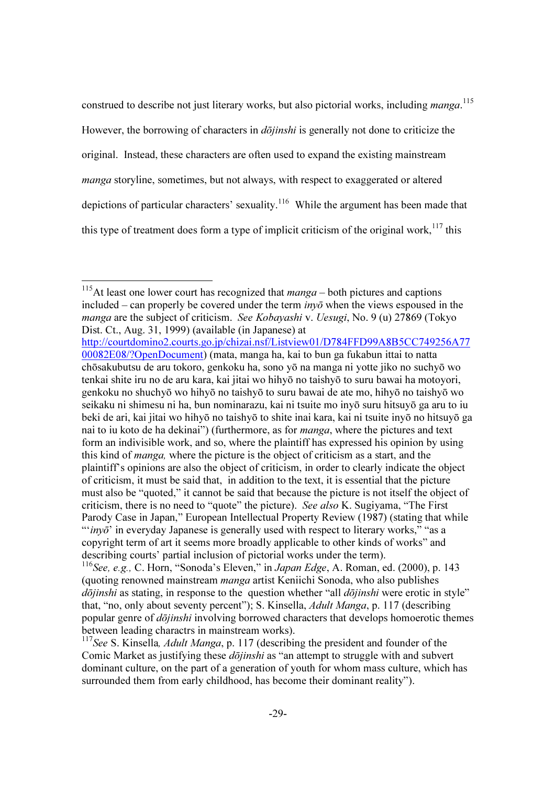construed to describe not just literary works, but also pictorial works, including manga.<sup>115</sup> However, the borrowing of characters in  $d\bar{\theta}$ *jinshi* is generally not done to criticize the original. Instead, these characters are often used to expand the existing mainstream manga storyline, sometimes, but not always, with respect to exaggerated or altered depictions of particular characters' sexuality.<sup>116</sup> While the argument has been made that this type of treatment does form a type of implicit criticism of the original work,  $117$  this

<sup>&</sup>lt;sup>115</sup>At least one lower court has recognized that  $manga - both$  pictures and captions included – can properly be covered under the term  $inv\bar{\sigma}$  when the views espoused in the manga are the subject of criticism. See Kobayashi v. Uesugi, No. 9 (u) 27869 (Tokyo Dist. Ct., Aug. 31, 1999) (available (in Japanese) at

http://courtdomino2.courts.go.jp/chizai.nsf/Listview01/D784FFD99A8B5CC749256A77 00082E08/?OpenDocument) (mata, manga ha, kai to bun ga fukabun ittai to natta chōsakubutsu de aru tokoro, genkoku ha, sono yō na manga ni yotte jiko no suchyō wo tenkai shite iru no de aru kara, kai jitai wo hihyō no taishyō to suru bawai ha motoyori, genkoku no shuchyō wo hihyō no taishyō to suru bawai de ate mo, hihyō no taishyō wo seikaku ni shimesu ni ha, bun nominarazu, kai ni tsuite mo inyō suru hitsuyō ga aru to iu beki de ari, kai jitai wo hihyō no taishyō to shite inai kara, kai ni tsuite inyō no hitsuyō ga nai to iu koto de ha dekinai") (furthermore, as for manga, where the pictures and text form an indivisible work, and so, where the plaintiff has expressed his opinion by using this kind of manga, where the picture is the object of criticism as a start, and the plaintiff's opinions are also the object of criticism, in order to clearly indicate the object of criticism, it must be said that, in addition to the text, it is essential that the picture must also be "quoted," it cannot be said that because the picture is not itself the object of criticism, there is no need to "quote" the picture). See also K. Sugiyama, "The First Parody Case in Japan," European Intellectual Property Review (1987) (stating that while " $inv\bar{o}$  in everyday Japanese is generally used with respect to literary works," "as a copyright term of art it seems more broadly applicable to other kinds of works" and describing courts' partial inclusion of pictorial works under the term).  $116$ See, e.g., C. Horn, "Sonoda's Eleven," in *Japan Edge*, A. Roman, ed. (2000), p. 143

<sup>(</sup>quoting renowned mainstream manga artist Keniichi Sonoda, who also publishes  $d\bar{o}jinshi$  as stating, in response to the question whether "all  $d\bar{o}jinshi$  were erotic in style" that, "no, only about seventy percent"); S. Kinsella, Adult Manga, p. 117 (describing popular genre of dōjinshi involving borrowed characters that develops homoerotic themes between leading charactrs in mainstream works).

 $117$ See S. Kinsella, *Adult Manga*, p. 117 (describing the president and founder of the Comic Market as justifying these *dōjinshi* as "an attempt to struggle with and subvert dominant culture, on the part of a generation of youth for whom mass culture, which has surrounded them from early childhood, has become their dominant reality").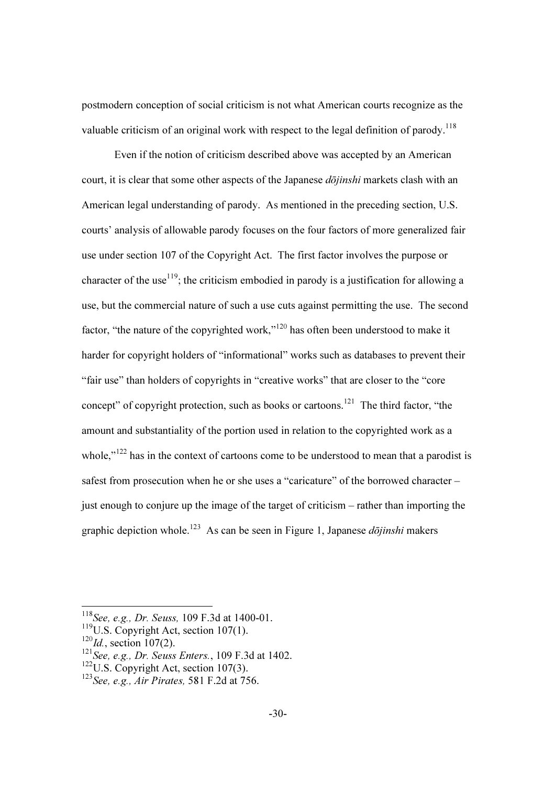postmodern conception of social criticism is not what American courts recognize as the valuable criticism of an original work with respect to the legal definition of parody.<sup>118</sup>

Even if the notion of criticism described above was accepted by an American court, it is clear that some other aspects of the Japanese *dōjinshi* markets clash with an American legal understanding of parody. As mentioned in the preceding section, U.S. courts' analysis of allowable parody focuses on the four factors of more generalized fair use under section 107 of the Copyright Act. The first factor involves the purpose or character of the use<sup>119</sup>; the criticism embodied in parody is a justification for allowing a use, but the commercial nature of such a use cuts against permitting the use. The second factor, "the nature of the copyrighted work,"<sup>120</sup> has often been understood to make it harder for copyright holders of "informational" works such as databases to prevent their "fair use" than holders of copyrights in "creative works" that are closer to the "core concept" of copyright protection, such as books or cartoons.<sup>121</sup> The third factor, "the amount and substantiality of the portion used in relation to the copyrighted work as a whole."<sup>122</sup> has in the context of cartoons come to be understood to mean that a parodist is safest from prosecution when he or she uses a "caricature" of the borrowed character – just enough to conjure up the image of the target of criticism – rather than importing the graphic depiction whole.<sup>123</sup> As can be seen in Figure 1, Japanese *dōjinshi* makers

 $\overline{\phantom{a}}$ 

<sup>&</sup>lt;sup>118</sup>See, e.g., Dr. Seuss, 109 F.3d at 1400-01.

<sup>&</sup>lt;sup>119</sup>U.S. Copyright Act, section 107(1).

 $120$ Id., section 107(2).

 $121$ See, e.g., Dr. Seuss Enters., 109 F.3d at 1402.

 $122$ U.S. Copyright Act, section 107(3).

 $123$  See, e.g., Air Pirates, 581 F.2d at 756.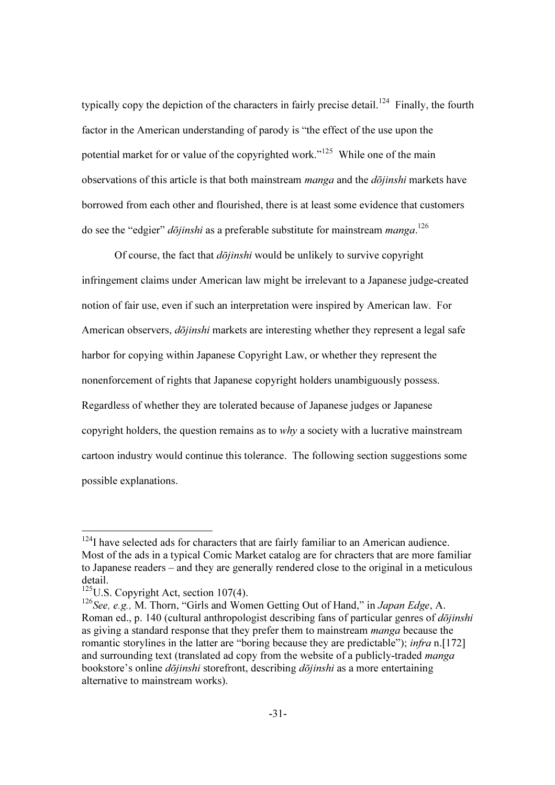typically copy the depiction of the characters in fairly precise detail.<sup>124</sup> Finally, the fourth factor in the American understanding of parody is "the effect of the use upon the potential market for or value of the copyrighted work."<sup>125</sup> While one of the main observations of this article is that both mainstream *manga* and the  $d\overline{\overline{o}}$ *inshi* markets have borrowed from each other and flourished, there is at least some evidence that customers do see the "edgier" *dōjinshi* as a preferable substitute for mainstream *manga*.<sup>126</sup>

Of course, the fact that  $d\overrightarrow{o}j$ *inshi* would be unlikely to survive copyright infringement claims under American law might be irrelevant to a Japanese judge-created notion of fair use, even if such an interpretation were inspired by American law. For American observers, *dōjinshi* markets are interesting whether they represent a legal safe harbor for copying within Japanese Copyright Law, or whether they represent the nonenforcement of rights that Japanese copyright holders unambiguously possess. Regardless of whether they are tolerated because of Japanese judges or Japanese copyright holders, the question remains as to  $why$  a society with a lucrative mainstream cartoon industry would continue this tolerance. The following section suggestions some possible explanations.

 $124$ I have selected ads for characters that are fairly familiar to an American audience. Most of the ads in a typical Comic Market catalog are for chracters that are more familiar to Japanese readers – and they are generally rendered close to the original in a meticulous detail.

 $125$ U.S. Copyright Act, section 107(4).

<sup>&</sup>lt;sup>126</sup>See, e.g., M. Thorn, "Girls and Women Getting Out of Hand," in Japan Edge, A. Roman ed., p. 140 (cultural anthropologist describing fans of particular genres of *dōjinshi* as giving a standard response that they prefer them to mainstream *manga* because the romantic storylines in the latter are "boring because they are predictable"); *infra* n.[172] and surrounding text (translated ad copy from the website of a publicly-traded *manga* bookstore's online *dōjinshi* storefront, describing *dōjinshi* as a more entertaining alternative to mainstream works).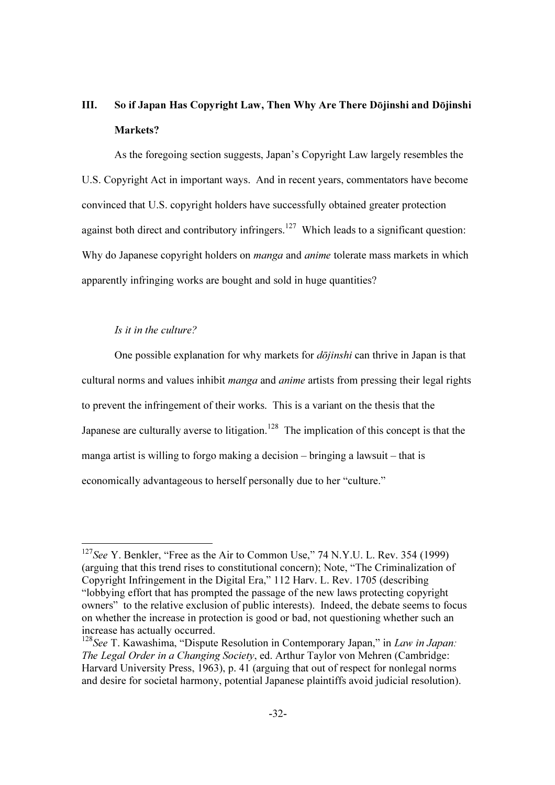# III. So if Japan Has Copyright Law, Then Why Are There Dōjinshi and Dōjinshi Markets?

As the foregoing section suggests, Japan's Copyright Law largely resembles the U.S. Copyright Act in important ways. And in recent years, commentators have become convinced that U.S. copyright holders have successfully obtained greater protection against both direct and contributory infringers.<sup>127</sup> Which leads to a significant question: Why do Japanese copyright holders on *manga* and *anime* tolerate mass markets in which apparently infringing works are bought and sold in huge quantities?

## Is it in the culture?

 $\overline{\phantom{a}}$ 

One possible explanation for why markets for *dōjinshi* can thrive in Japan is that cultural norms and values inhibit *manga* and *anime* artists from pressing their legal rights to prevent the infringement of their works. This is a variant on the thesis that the Japanese are culturally averse to litigation.<sup>128</sup> The implication of this concept is that the manga artist is willing to forgo making a decision – bringing a lawsuit – that is economically advantageous to herself personally due to her "culture."

 $127$ See Y. Benkler, "Free as the Air to Common Use," 74 N.Y.U. L. Rev. 354 (1999) (arguing that this trend rises to constitutional concern); Note, "The Criminalization of Copyright Infringement in the Digital Era," 112 Harv. L. Rev. 1705 (describing "lobbying effort that has prompted the passage of the new laws protecting copyright owners" to the relative exclusion of public interests). Indeed, the debate seems to focus on whether the increase in protection is good or bad, not questioning whether such an increase has actually occurred.

 $128$  See T. Kawashima, "Dispute Resolution in Contemporary Japan," in Law in Japan: The Legal Order in a Changing Society, ed. Arthur Taylor von Mehren (Cambridge: Harvard University Press, 1963), p. 41 (arguing that out of respect for nonlegal norms and desire for societal harmony, potential Japanese plaintiffs avoid judicial resolution).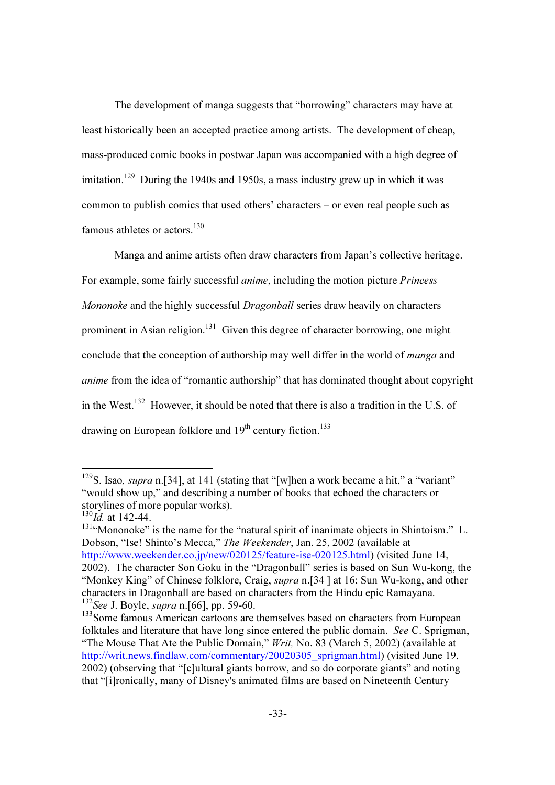The development of manga suggests that "borrowing" characters may have at least historically been an accepted practice among artists. The development of cheap, mass-produced comic books in postwar Japan was accompanied with a high degree of imitation.<sup>129</sup> During the 1940s and 1950s, a mass industry grew up in which it was common to publish comics that used others' characters – or even real people such as famous athletes or actors.<sup>130</sup>

Manga and anime artists often draw characters from Japan's collective heritage. For example, some fairly successful anime, including the motion picture Princess Mononoke and the highly successful *Dragonball* series draw heavily on characters prominent in Asian religion.<sup>131</sup> Given this degree of character borrowing, one might conclude that the conception of authorship may well differ in the world of manga and anime from the idea of "romantic authorship" that has dominated thought about copyright in the West.<sup>132</sup> However, it should be noted that there is also a tradition in the U.S. of drawing on European folklore and  $19<sup>th</sup>$  century fiction.<sup>133</sup>

 $\overline{\phantom{a}}$ 

<sup>&</sup>lt;sup>129</sup>S. Isao, *supra* n.[34], at 141 (stating that "[w]hen a work became a hit," a "variant" "would show up," and describing a number of books that echoed the characters or storylines of more popular works).

 $130$ Id. at 142-44.

 $131$ "Mononoke" is the name for the "natural spirit of inanimate objects in Shintoism." L. Dobson, "Ise! Shinto's Mecca," The Weekender, Jan. 25, 2002 (available at http://www.weekender.co.jp/new/020125/feature-ise-020125.html) (visited June 14, 2002). The character Son Goku in the "Dragonball" series is based on Sun Wu-kong, the "Monkey King" of Chinese folklore, Craig, *supra* n. [34 ] at 16; Sun Wu-kong, and other characters in Dragonball are based on characters from the Hindu epic Ramayana.  $132$ See J. Boyle, *supra* n. [66], pp. 59-60.

<sup>&</sup>lt;sup>133</sup>Some famous American cartoons are themselves based on characters from European folktales and literature that have long since entered the public domain. See C. Sprigman, "The Mouse That Ate the Public Domain," Writ, No. 83 (March 5, 2002) (available at http://writ.news.findlaw.com/commentary/20020305\_sprigman.html) (visited June 19, 2002) (observing that "[c]ultural giants borrow, and so do corporate giants" and noting that "[i]ronically, many of Disney's animated films are based on Nineteenth Century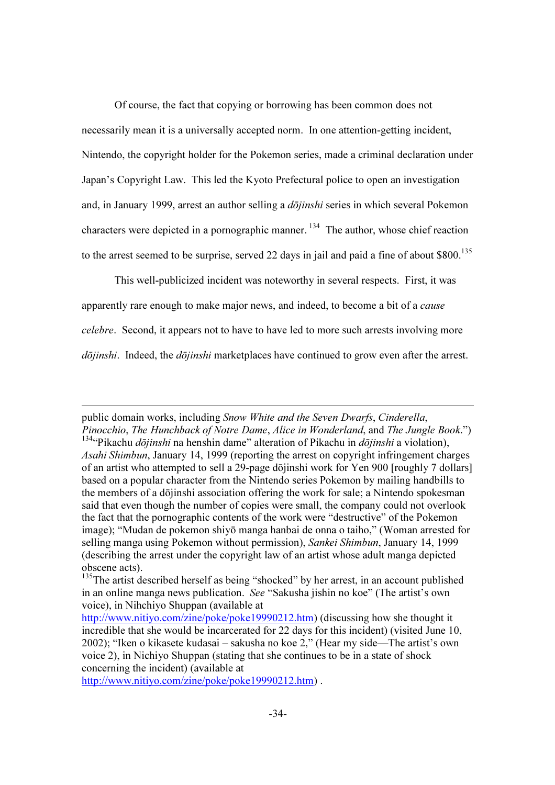Of course, the fact that copying or borrowing has been common does not necessarily mean it is a universally accepted norm. In one attention-getting incident, Nintendo, the copyright holder for the Pokemon series, made a criminal declaration under Japan's Copyright Law. This led the Kyoto Prefectural police to open an investigation and, in January 1999, arrest an author selling a *dōjinshi* series in which several Pokemon characters were depicted in a pornographic manner.<sup>134</sup> The author, whose chief reaction to the arrest seemed to be surprise, served 22 days in jail and paid a fine of about  $$800$ <sup>135</sup>

This well-publicized incident was noteworthy in several respects. First, it was apparently rare enough to make major news, and indeed, to become a bit of a *cause* celebre. Second, it appears not to have to have led to more such arrests involving more  $d\bar{o}jinski$ . Indeed, the  $d\bar{o}jinski$  marketplaces have continued to grow even after the arrest.

http://www.nitiyo.com/zine/poke/poke19990212.htm) .

public domain works, including Snow White and the Seven Dwarfs, Cinderella, Pinocchio, The Hunchback of Notre Dame, Alice in Wonderland, and The Jungle Book.") <sup>134</sup>"Pikachu *dōjinshi* na henshin dame" alteration of Pikachu in *dōjinshi* a violation), Asahi Shimbun, January 14, 1999 (reporting the arrest on copyright infringement charges of an artist who attempted to sell a 29-page dōjinshi work for Yen 900 [roughly 7 dollars] based on a popular character from the Nintendo series Pokemon by mailing handbills to the members of a dōjinshi association offering the work for sale; a Nintendo spokesman said that even though the number of copies were small, the company could not overlook the fact that the pornographic contents of the work were "destructive" of the Pokemon image); "Mudan de pokemon shiyō manga hanbai de onna o taiho," (Woman arrested for selling manga using Pokemon without permission), Sankei Shimbun, January 14, 1999 (describing the arrest under the copyright law of an artist whose adult manga depicted obscene acts).

<sup>&</sup>lt;sup>135</sup>The artist described herself as being "shocked" by her arrest, in an account published in an online manga news publication. See "Sakusha jishin no koe" (The artist's own voice), in Nihchiyo Shuppan (available at

http://www.nitiyo.com/zine/poke/poke19990212.htm) (discussing how she thought it incredible that she would be incarcerated for 22 days for this incident) (visited June 10, 2002); "Iken o kikasete kudasai – sakusha no koe 2," (Hear my side—The artist's own voice 2), in Nichiyo Shuppan (stating that she continues to be in a state of shock concerning the incident) (available at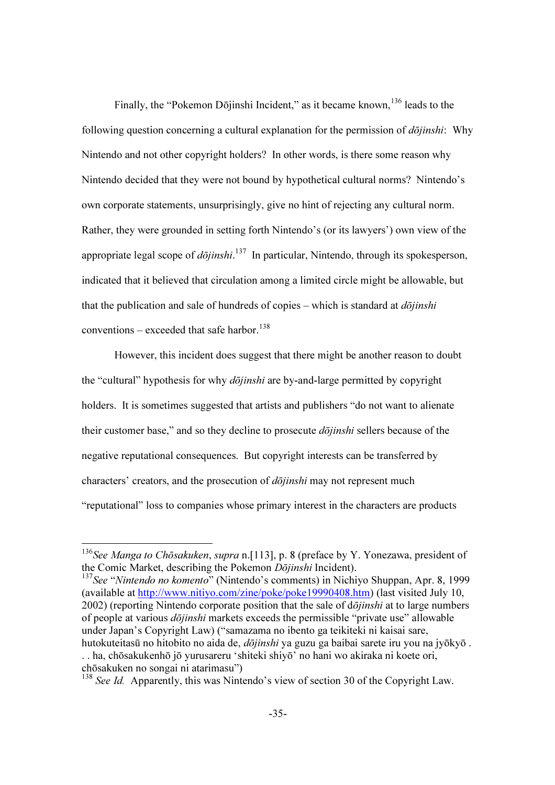Finally, the "Pokemon Dōjinshi Incident," as it became known,  $136$  leads to the following question concerning a cultural explanation for the permission of  $d\overline{\overline{oj}}$ *inshi*: Why Nintendo and not other copyright holders? In other words, is there some reason why Nintendo decided that they were not bound by hypothetical cultural norms? Nintendo's own corporate statements, unsurprisingly, give no hint of rejecting any cultural norm. Rather, they were grounded in setting forth Nintendo's (or its lawyers') own view of the appropriate legal scope of *dōjinshi*.<sup>137</sup> In particular, Nintendo, through its spokesperson, indicated that it believed that circulation among a limited circle might be allowable, but that the publication and sale of hundreds of copies – which is standard at  $d\overline{\phi}$ *iinshi* conventions – exceeded that safe harbor.<sup>138</sup>

However, this incident does suggest that there might be another reason to doubt the "cultural" hypothesis for why *dōjinshi* are by-and-large permitted by copyright holders. It is sometimes suggested that artists and publishers "do not want to alienate their customer base," and so they decline to prosecute *dojinshi* sellers because of the negative reputational consequences. But copyright interests can be transferred by characters' creators, and the prosecution of *dōjinshi* may not represent much "reputational" loss to companies whose primary interest in the characters are products

 $\overline{\phantom{a}}$ 

 $137$ See "Nintendo no komento" (Nintendo's comments) in Nichiyo Shuppan, Apr. 8, 1999 (available at http://www.nitiyo.com/zine/poke/poke19990408.htm) (last visited July 10,  $2002$ ) (reporting Nintendo corporate position that the sale of d $\bar{o}jinshi$  at to large numbers of people at various dōjinshi markets exceeds the permissible "private use" allowable under Japan's Copyright Law) ("samazama no ibento ga teikiteki ni kaisai sare, hutokuteitasū no hitobito no aida de, *dōjinshi* ya guzu ga baibai sarete iru you na jyōkyō. . . ha, chōsakukenhō jō yurusareru 'shiteki shiyō' no hani wo akiraka ni koete ori, chōsakuken no songai ni atarimasu")

<sup>&</sup>lt;sup>136</sup>See Manga to Chōsakuken, supra n. [113], p. 8 (preface by Y. Yonezawa, president of the Comic Market, describing the Pokemon Dōjinshi Incident).

<sup>&</sup>lt;sup>138</sup> See Id. Apparently, this was Nintendo's view of section 30 of the Copyright Law.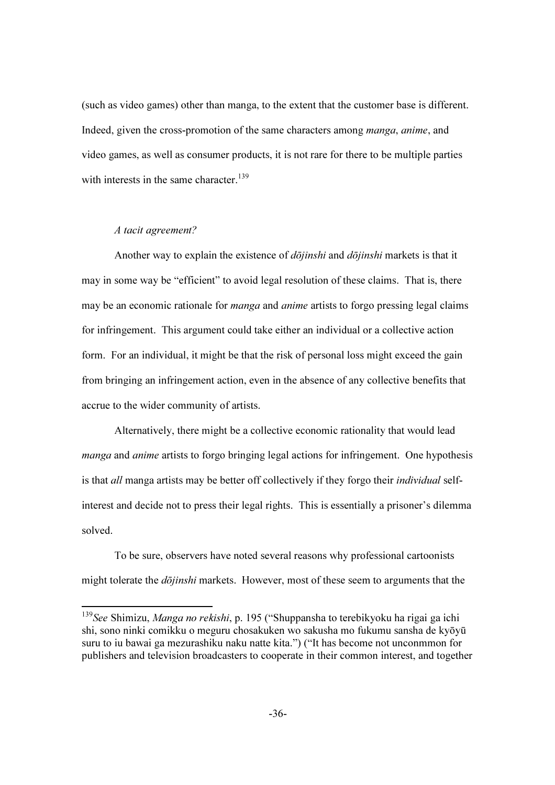(such as video games) other than manga, to the extent that the customer base is different. Indeed, given the cross-promotion of the same characters among manga, anime, and video games, as well as consumer products, it is not rare for there to be multiple parties with interests in the same character.<sup>139</sup>

### A tacit agreement?

-

Another way to explain the existence of  $d\bar{o}jinshi$  and  $d\bar{o}jinshi$  markets is that it may in some way be "efficient" to avoid legal resolution of these claims. That is, there may be an economic rationale for *manga* and *anime* artists to forgo pressing legal claims for infringement. This argument could take either an individual or a collective action form. For an individual, it might be that the risk of personal loss might exceed the gain from bringing an infringement action, even in the absence of any collective benefits that accrue to the wider community of artists.

Alternatively, there might be a collective economic rationality that would lead *manga* and *anime* artists to forgo bringing legal actions for infringement. One hypothesis is that all manga artists may be better off collectively if they forgo their individual selfinterest and decide not to press their legal rights. This is essentially a prisoner's dilemma solved.

To be sure, observers have noted several reasons why professional cartoonists might tolerate the *dōjinshi* markets. However, most of these seem to arguments that the

<sup>&</sup>lt;sup>139</sup>See Shimizu, Manga no rekishi, p. 195 ("Shuppansha to terebikyoku ha rigai ga ichi shi, sono ninki comikku o meguru chosakuken wo sakusha mo fukumu sansha de kyōyū suru to iu bawai ga mezurashiku naku natte kita.") ("It has become not unconmmon for publishers and television broadcasters to cooperate in their common interest, and together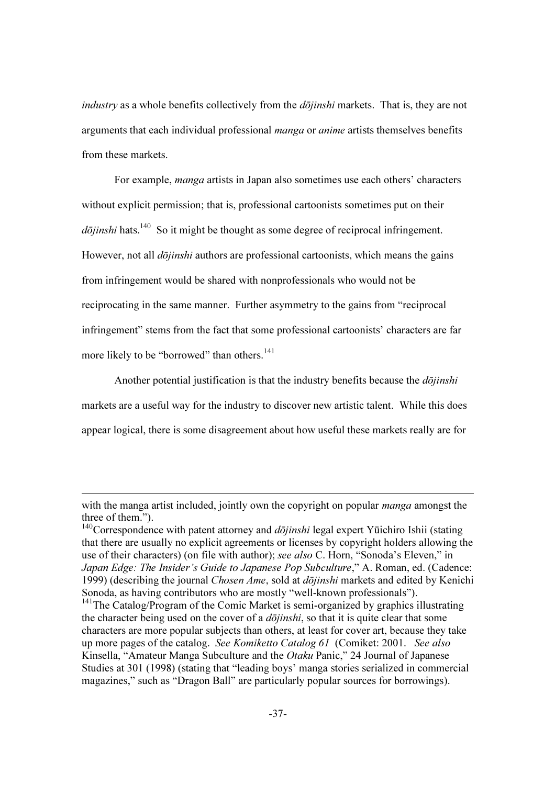industry as a whole benefits collectively from the *dōjinshi* markets. That is, they are not arguments that each individual professional manga or anime artists themselves benefits from these markets.

For example, *manga* artists in Japan also sometimes use each others' characters without explicit permission; that is, professional cartoonists sometimes put on their  $d\bar{\theta}$ *jinshi* hats.<sup>140</sup> So it might be thought as some degree of reciprocal infringement. However, not all  $d\bar{\text{o}}j\text{in}shi$  authors are professional cartoonists, which means the gains from infringement would be shared with nonprofessionals who would not be reciprocating in the same manner. Further asymmetry to the gains from "reciprocal infringement" stems from the fact that some professional cartoonists' characters are far more likely to be "borrowed" than others.<sup>141</sup>

Another potential justification is that the industry benefits because the *dōjinshi* markets are a useful way for the industry to discover new artistic talent. While this does appear logical, there is some disagreement about how useful these markets really are for

with the manga artist included, jointly own the copyright on popular *manga* amongst the three of them.").

 $140$ Correspondence with patent attorney and *dōjinshi* legal expert Yūichiro Ishii (stating that there are usually no explicit agreements or licenses by copyright holders allowing the use of their characters) (on file with author); see also C. Horn, "Sonoda's Eleven," in Japan Edge: The Insider's Guide to Japanese Pop Subculture," A. Roman, ed. (Cadence: 1999) (describing the journal Chosen Ame, sold at dōjinshi markets and edited by Kenichi Sonoda, as having contributors who are mostly "well-known professionals").

<sup>&</sup>lt;sup>141</sup>The Catalog/Program of the Comic Market is semi-organized by graphics illustrating the character being used on the cover of a  $d\overline{\phi}$ *inshi*, so that it is quite clear that some characters are more popular subjects than others, at least for cover art, because they take up more pages of the catalog. See Komiketto Catalog 61 (Comiket: 2001. See also Kinsella, "Amateur Manga Subculture and the Otaku Panic," 24 Journal of Japanese Studies at 301 (1998) (stating that "leading boys' manga stories serialized in commercial magazines," such as "Dragon Ball" are particularly popular sources for borrowings).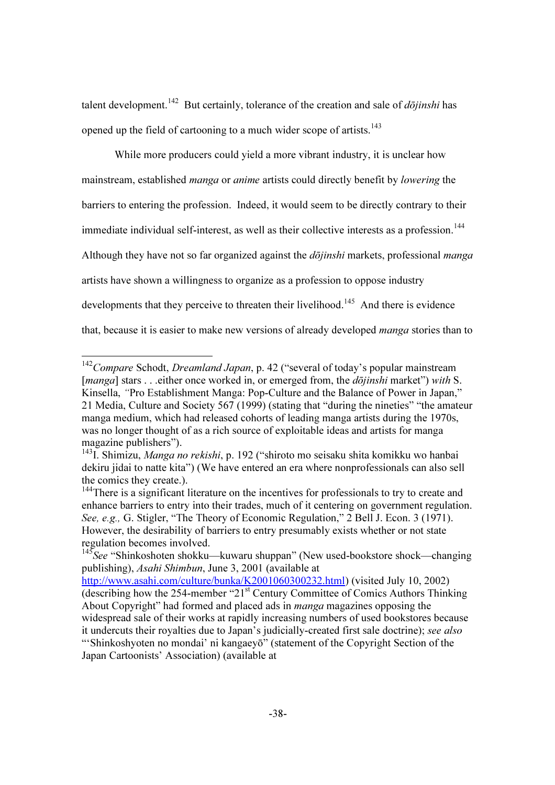talent development.<sup>142</sup> But certainly, tolerance of the creation and sale of  $d\bar{o}jinshi$  has opened up the field of cartooning to a much wider scope of artists.<sup>143</sup>

While more producers could yield a more vibrant industry, it is unclear how mainstream, established manga or anime artists could directly benefit by lowering the barriers to entering the profession. Indeed, it would seem to be directly contrary to their immediate individual self-interest, as well as their collective interests as a profession.<sup>144</sup> Although they have not so far organized against the  $d\bar{o}jinshi$  markets, professional *manga* artists have shown a willingness to organize as a profession to oppose industry developments that they perceive to threaten their livelihood.<sup>145</sup> And there is evidence that, because it is easier to make new versions of already developed manga stories than to

 $142$ Compare Schodt, Dreamland Japan, p. 42 ("several of today's popular mainstream [manga] stars . . . either once worked in, or emerged from, the *dōjinshi* market") with S. Kinsella, "Pro Establishment Manga: Pop-Culture and the Balance of Power in Japan," 21 Media, Culture and Society 567 (1999) (stating that "during the nineties" "the amateur manga medium, which had released cohorts of leading manga artists during the 1970s, was no longer thought of as a rich source of exploitable ideas and artists for manga magazine publishers").

<sup>&</sup>lt;sup>143</sup>I. Shimizu, *Manga no rekishi*, p. 192 ("shiroto mo seisaku shita komikku wo hanbai dekiru jidai to natte kita") (We have entered an era where nonprofessionals can also sell the comics they create.).

<sup>&</sup>lt;sup>144</sup>There is a significant literature on the incentives for professionals to try to create and enhance barriers to entry into their trades, much of it centering on government regulation. See, e.g., G. Stigler, "The Theory of Economic Regulation," 2 Bell J. Econ. 3 (1971). However, the desirability of barriers to entry presumably exists whether or not state regulation becomes involved.

 $145$ See "Shinkoshoten shokku—kuwaru shuppan" (New used-bookstore shock—changing publishing), Asahi Shimbun, June 3, 2001 (available at

http://www.asahi.com/culture/bunka/K2001060300232.html) (visited July 10, 2002) (describing how the 254-member "21<sup>st</sup> Century Committee of Comics Authors Thinking About Copyright" had formed and placed ads in manga magazines opposing the widespread sale of their works at rapidly increasing numbers of used bookstores because it undercuts their royalties due to Japan's judicially-created first sale doctrine); see also "'Shinkoshyoten no mondai' ni kangaeyō" (statement of the Copyright Section of the Japan Cartoonists' Association) (available at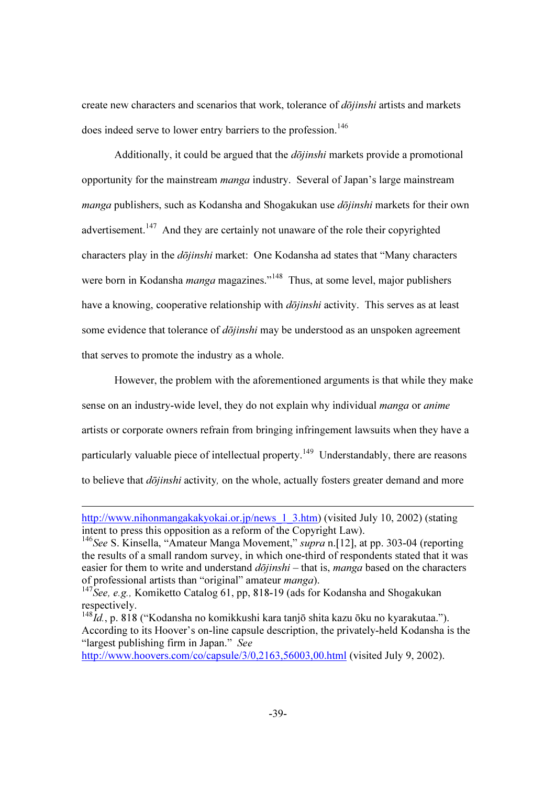create new characters and scenarios that work, tolerance of *dōjinshi* artists and markets does indeed serve to lower entry barriers to the profession.<sup>146</sup>

Additionally, it could be argued that the  $d\overline{\phi}$  *jinshi* markets provide a promotional opportunity for the mainstream manga industry. Several of Japan's large mainstream *manga* publishers, such as Kodansha and Shogakukan use  $d\overline{\phi}$ *jinshi* markets for their own advertisement.<sup>147</sup> And they are certainly not unaware of the role their copyrighted characters play in the *dōjinshi* market: One Kodansha ad states that "Many characters" were born in Kodansha *manga* magazines."<sup>148</sup> Thus, at some level, major publishers have a knowing, cooperative relationship with  $d\overline{\delta}jinshi$  activity. This serves as at least some evidence that tolerance of  $d\bar{o}jinshi$  may be understood as an unspoken agreement that serves to promote the industry as a whole.

However, the problem with the aforementioned arguments is that while they make sense on an industry-wide level, they do not explain why individual *manga* or *anime* artists or corporate owners refrain from bringing infringement lawsuits when they have a particularly valuable piece of intellectual property.<sup>149</sup> Understandably, there are reasons to believe that  $d\bar{o}jinshi$  activity, on the whole, actually fosters greater demand and more

-

http://www.hoovers.com/co/capsule/3/0,2163,56003,00.html (visited July 9, 2002).

http://www.nihonmangakakyokai.or.jp/news\_1\_3.htm) (visited July 10, 2002) (stating intent to press this opposition as a reform of the Copyright Law).

<sup>&</sup>lt;sup>146</sup>See S. Kinsella, "Amateur Manga Movement," *supra* n. [12], at pp. 303-04 (reporting the results of a small random survey, in which one-third of respondents stated that it was easier for them to write and understand  $d\overline{\overline{oj}}$  inshi – that is, manga based on the characters of professional artists than "original" amateur manga).

<sup>&</sup>lt;sup>147</sup>See, e.g., Komiketto Catalog 61, pp, 818-19 (ads for Kodansha and Shogakukan respectively.

<sup>&</sup>lt;sup>148</sup>Id., p. 818 ("Kodansha no komikkushi kara tanjō shita kazu ōku no kyarakutaa."). According to its Hoover's on-line capsule description, the privately-held Kodansha is the "largest publishing firm in Japan." See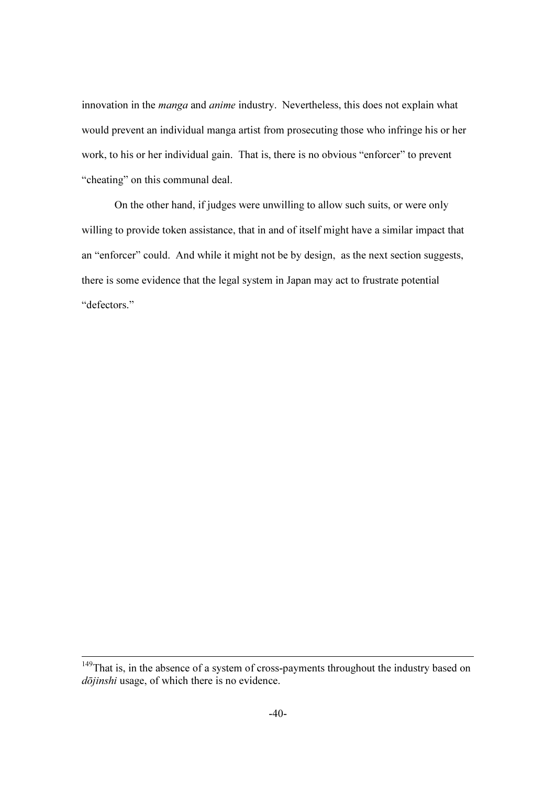innovation in the manga and anime industry. Nevertheless, this does not explain what would prevent an individual manga artist from prosecuting those who infringe his or her work, to his or her individual gain. That is, there is no obvious "enforcer" to prevent "cheating" on this communal deal.

On the other hand, if judges were unwilling to allow such suits, or were only willing to provide token assistance, that in and of itself might have a similar impact that an "enforcer" could. And while it might not be by design, as the next section suggests, there is some evidence that the legal system in Japan may act to frustrate potential "defectors."

<sup>&</sup>lt;sup>149</sup>That is, in the absence of a system of cross-payments throughout the industry based on dōjinshi usage, of which there is no evidence.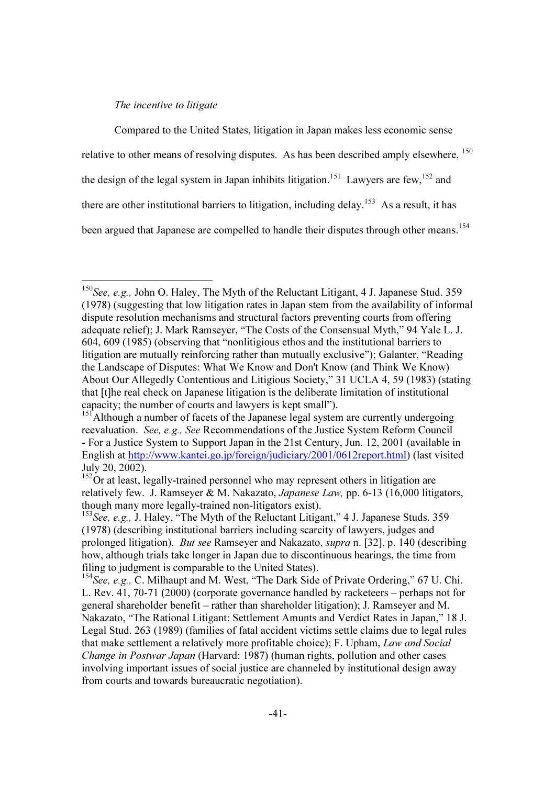### The incentive to litigate

-

Compared to the United States, litigation in Japan makes less economic sense relative to other means of resolving disputes. As has been described amply elsewhere. <sup>150</sup> the design of the legal system in Japan inhibits litigation.<sup>151</sup> Lawyers are few,<sup>152</sup> and there are other institutional barriers to litigation, including delay.<sup>153</sup> As a result, it has been argued that Japanese are compelled to handle their disputes through other means.<sup>154</sup>

<sup>&</sup>lt;sup>150</sup>See, e.g., John O. Haley, The Myth of the Reluctant Litigant, 4 J. Japanese Stud. 359 (1978) (suggesting that low litigation rates in Japan stem from the availability of informal dispute resolution mechanisms and structural factors preventing courts from offering adequate relief); J. Mark Ramseyer, "The Costs of the Consensual Myth," 94 Yale L. J. 604, 609 (1985) (observing that "nonlitigious ethos and the institutional barriers to litigation are mutually reinforcing rather than mutually exclusive"); Galanter, "Reading the Landscape of Disputes: What We Know and Don't Know (and Think We Know) About Our Allegedly Contentious and Litigious Society," 31 UCLA 4, 59 (1983) (stating that [t]he real check on Japanese litigation is the deliberate limitation of institutional capacity; the number of courts and lawyers is kept small").

<sup>&</sup>lt;sup>151</sup>Although a number of facets of the Japanese legal system are currently undergoing reevaluation. See, e.g., See Recommendations of the Justice System Reform Council - For a Justice System to Support Japan in the 21st Century, Jun. 12, 2001 (available in English at http://www.kantei.go.jp/foreign/judiciary/2001/0612report.html) (last visited July 20, 2002).

 $152<sup>152</sup>$ Or at least, legally-trained personnel who may represent others in litigation are relatively few. J. Ramseyer & M. Nakazato, Japanese Law, pp. 6-13 (16,000 litigators, though many more legally-trained non-litigators exist).

<sup>&</sup>lt;sup>153</sup>See, e.g., J. Haley, "The Myth of the Reluctant Litigant," 4 J. Japanese Studs. 359 (1978) (describing institutional barriers including scarcity of lawyers, judges and prolonged litigation). But see Ramseyer and Nakazato, supra n. [32], p. 140 (describing how, although trials take longer in Japan due to discontinuous hearings, the time from filing to judgment is comparable to the United States).

<sup>&</sup>lt;sup>154</sup>See, e.g., C. Milhaupt and M. West, "The Dark Side of Private Ordering," 67 U. Chi. L. Rev. 41, 70-71 (2000) (corporate governance handled by racketeers – perhaps not for general shareholder benefit – rather than shareholder litigation); J. Ramseyer and M. Nakazato, "The Rational Litigant: Settlement Amunts and Verdict Rates in Japan," 18 J. Legal Stud. 263 (1989) (families of fatal accident victims settle claims due to legal rules that make settlement a relatively more profitable choice); F. Upham, Law and Social Change in Postwar Japan (Harvard: 1987) (human rights, pollution and other cases involving important issues of social justice are channeled by institutional design away from courts and towards bureaucratic negotiation).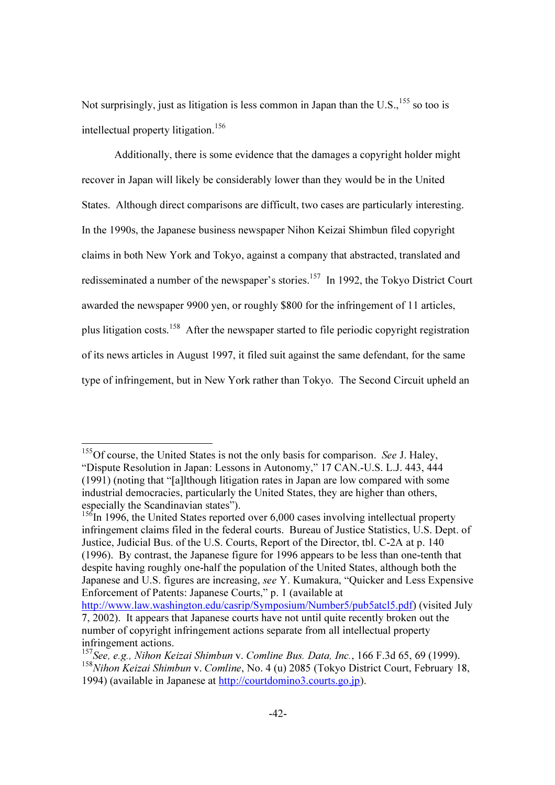Not surprisingly, just as litigation is less common in Japan than the U.S.,  $^{155}$  so too is intellectual property litigation.<sup>156</sup>

Additionally, there is some evidence that the damages a copyright holder might recover in Japan will likely be considerably lower than they would be in the United States. Although direct comparisons are difficult, two cases are particularly interesting. In the 1990s, the Japanese business newspaper Nihon Keizai Shimbun filed copyright claims in both New York and Tokyo, against a company that abstracted, translated and redisseminated a number of the newspaper's stories.<sup>157</sup> In 1992, the Tokyo District Court awarded the newspaper 9900 yen, or roughly \$800 for the infringement of 11 articles, plus litigation costs.<sup>158</sup> After the newspaper started to file periodic copyright registration of its news articles in August 1997, it filed suit against the same defendant, for the same type of infringement, but in New York rather than Tokyo. The Second Circuit upheld an

<sup>&</sup>lt;sup>155</sup>Of course, the United States is not the only basis for comparison. See J. Haley, "Dispute Resolution in Japan: Lessons in Autonomy," 17 CAN.-U.S. L.J. 443, 444 (1991) (noting that "[a]lthough litigation rates in Japan are low compared with some industrial democracies, particularly the United States, they are higher than others, especially the Scandinavian states").

 $156$ In 1996, the United States reported over 6,000 cases involving intellectual property infringement claims filed in the federal courts. Bureau of Justice Statistics, U.S. Dept. of Justice, Judicial Bus. of the U.S. Courts, Report of the Director, tbl. C-2A at p. 140 (1996). By contrast, the Japanese figure for 1996 appears to be less than one-tenth that despite having roughly one-half the population of the United States, although both the Japanese and U.S. figures are increasing, see Y. Kumakura, "Quicker and Less Expensive Enforcement of Patents: Japanese Courts," p. 1 (available at

http://www.law.washington.edu/casrip/Symposium/Number5/pub5atcl5.pdf) (visited July 7, 2002). It appears that Japanese courts have not until quite recently broken out the number of copyright infringement actions separate from all intellectual property infringement actions.

<sup>&</sup>lt;sup>157</sup>See, e.g., Nihon Keizai Shimbun v. Comline Bus. Data, Inc., 166 F.3d 65, 69 (1999). <sup>158</sup>Nihon Keizai Shimbun v. Comline, No. 4 (u) 2085 (Tokyo District Court, February 18, 1994) (available in Japanese at http://courtdomino3.courts.go.jp).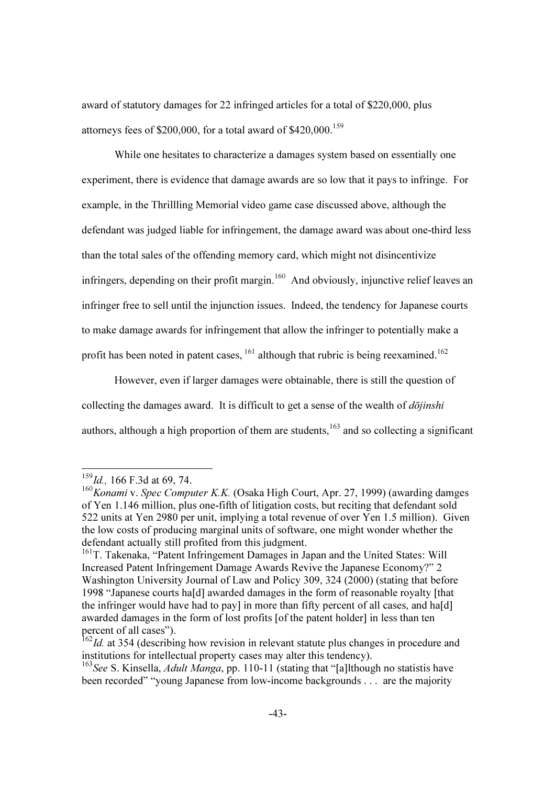award of statutory damages for 22 infringed articles for a total of \$220,000, plus attorneys fees of \$200,000, for a total award of  $$420,000$ ,  $^{159}$ 

While one hesitates to characterize a damages system based on essentially one experiment, there is evidence that damage awards are so low that it pays to infringe. For example, in the Thrillling Memorial video game case discussed above, although the defendant was judged liable for infringement, the damage award was about one-third less than the total sales of the offending memory card, which might not disincentivize infringers, depending on their profit margin.<sup>160</sup> And obviously, injunctive relief leaves an infringer free to sell until the injunction issues. Indeed, the tendency for Japanese courts to make damage awards for infringement that allow the infringer to potentially make a profit has been noted in patent cases,  $161$  although that rubric is being reexamined.<sup>162</sup>

However, even if larger damages were obtainable, there is still the question of collecting the damages award. It is difficult to get a sense of the wealth of  $d\overline{\overline{oj}}$ *inshi* authors, although a high proportion of them are students,  $163$  and so collecting a significant

 $\overline{\phantom{a}}$ 

 $159$ Id., 166 F.3d at 69, 74.

 $160$ Konami v. Spec Computer K.K. (Osaka High Court, Apr. 27, 1999) (awarding damges of Yen 1.146 million, plus one-fifth of litigation costs, but reciting that defendant sold 522 units at Yen 2980 per unit, implying a total revenue of over Yen 1.5 million). Given the low costs of producing marginal units of software, one might wonder whether the defendant actually still profited from this judgment.

<sup>161</sup>T. Takenaka, "Patent Infringement Damages in Japan and the United States: Will Increased Patent Infringement Damage Awards Revive the Japanese Economy?" 2 Washington University Journal of Law and Policy 309, 324 (2000) (stating that before 1998 "Japanese courts ha[d] awarded damages in the form of reasonable royalty [that the infringer would have had to pay] in more than fifty percent of all cases, and ha[d] awarded damages in the form of lost profits [of the patent holder] in less than ten percent of all cases").

 $\frac{162}{162}$ Id. at 354 (describing how revision in relevant statute plus changes in procedure and institutions for intellectual property cases may alter this tendency).

<sup>&</sup>lt;sup>163</sup>See S. Kinsella, *Adult Manga*, pp. 110-11 (stating that "[a]lthough no statistis have been recorded" "young Japanese from low-income backgrounds . . . are the majority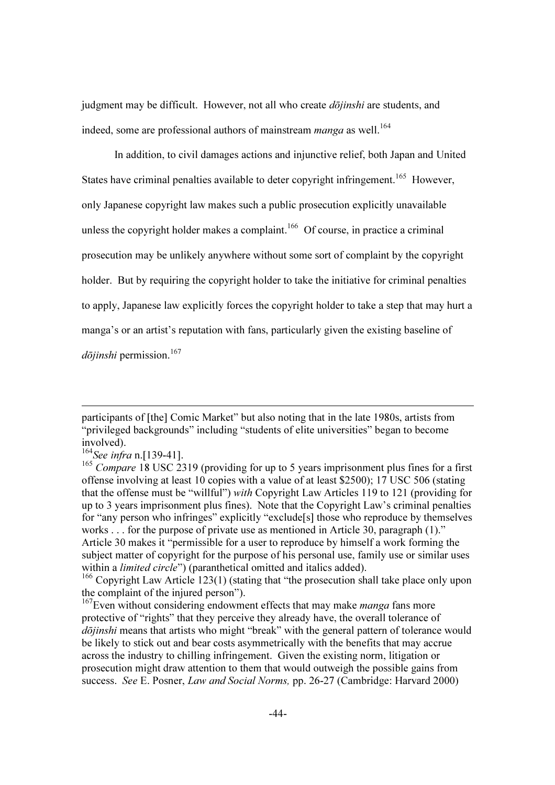judgment may be difficult. However, not all who create  $d\bar{o}jinshi$  are students, and indeed, some are professional authors of mainstream manga as well.<sup>164</sup>

In addition, to civil damages actions and injunctive relief, both Japan and United States have criminal penalties available to deter copyright infringement.<sup>165</sup> However, only Japanese copyright law makes such a public prosecution explicitly unavailable unless the copyright holder makes a complaint.<sup>166</sup> Of course, in practice a criminal prosecution may be unlikely anywhere without some sort of complaint by the copyright holder. But by requiring the copyright holder to take the initiative for criminal penalties to apply, Japanese law explicitly forces the copyright holder to take a step that may hurt a manga's or an artist's reputation with fans, particularly given the existing baseline of  $d\bar{\text{o}}$ *iinshi* permission.<sup>167</sup>

participants of [the] Comic Market" but also noting that in the late 1980s, artists from "privileged backgrounds" including "students of elite universities" began to become involved).

 $164$ See infra n.[139-41].

<sup>&</sup>lt;sup>165</sup> Compare 18 USC 2319 (providing for up to 5 years imprisonment plus fines for a first offense involving at least 10 copies with a value of at least \$2500); 17 USC 506 (stating that the offense must be "willful") with Copyright Law Articles 119 to 121 (providing for up to 3 years imprisonment plus fines). Note that the Copyright Law's criminal penalties for "any person who infringes" explicitly "exclude[s] those who reproduce by themselves works . . . for the purpose of private use as mentioned in Article 30, paragraph (1)." Article 30 makes it "permissible for a user to reproduce by himself a work forming the subject matter of copyright for the purpose of his personal use, family use or similar uses within a *limited circle*") (paranthetical omitted and italics added).

<sup>&</sup>lt;sup>166</sup> Copyright Law Article 123(1) (stating that "the prosecution shall take place only upon the complaint of the injured person").

 $167$  Even without considering endowment effects that may make *manga* fans more protective of "rights" that they perceive they already have, the overall tolerance of dōjinshi means that artists who might "break" with the general pattern of tolerance would be likely to stick out and bear costs asymmetrically with the benefits that may accrue across the industry to chilling infringement. Given the existing norm, litigation or prosecution might draw attention to them that would outweigh the possible gains from success. See E. Posner, Law and Social Norms, pp. 26-27 (Cambridge: Harvard 2000)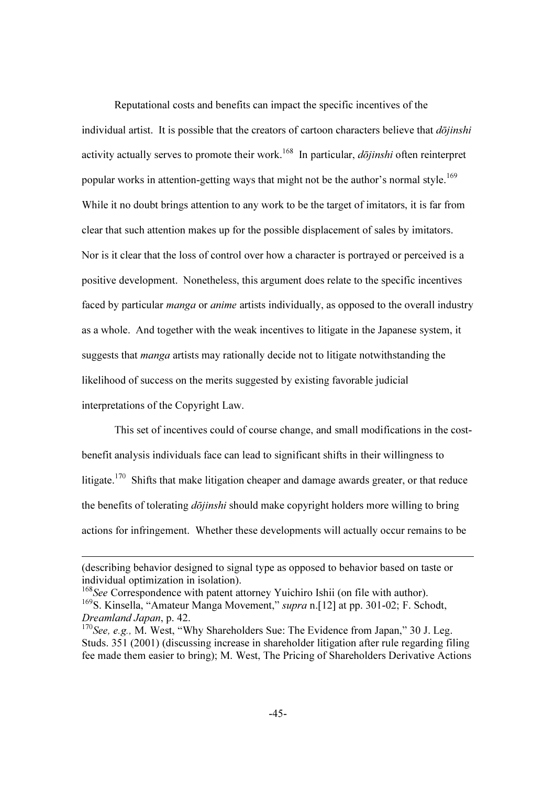Reputational costs and benefits can impact the specific incentives of the individual artist. It is possible that the creators of cartoon characters believe that  $d\overline{\overline{o}}$ *iinshi* activity actually serves to promote their work.<sup>168</sup> In particular, *dojinshi* often reinterpret popular works in attention-getting ways that might not be the author's normal style.<sup>169</sup> While it no doubt brings attention to any work to be the target of imitators, it is far from clear that such attention makes up for the possible displacement of sales by imitators. Nor is it clear that the loss of control over how a character is portrayed or perceived is a positive development. Nonetheless, this argument does relate to the specific incentives faced by particular manga or anime artists individually, as opposed to the overall industry as a whole. And together with the weak incentives to litigate in the Japanese system, it suggests that *manga* artists may rationally decide not to litigate notwithstanding the likelihood of success on the merits suggested by existing favorable judicial interpretations of the Copyright Law.

This set of incentives could of course change, and small modifications in the costbenefit analysis individuals face can lead to significant shifts in their willingness to litigate.<sup>170</sup> Shifts that make litigation cheaper and damage awards greater, or that reduce the benefits of tolerating  $d\bar{o}jinshi$  should make copyright holders more willing to bring actions for infringement. Whether these developments will actually occur remains to be

<sup>(</sup>describing behavior designed to signal type as opposed to behavior based on taste or individual optimization in isolation).

<sup>&</sup>lt;sup>168</sup>See Correspondence with patent attorney Yuichiro Ishii (on file with author). <sup>169</sup>S. Kinsella, "Amateur Manga Movement," *supra* n. [12] at pp. 301-02; F. Schodt, Dreamland Japan, p. 42.

 $170$  See, e.g., M. West, "Why Shareholders Sue: The Evidence from Japan," 30 J. Leg. Studs. 351 (2001) (discussing increase in shareholder litigation after rule regarding filing fee made them easier to bring); M. West, The Pricing of Shareholders Derivative Actions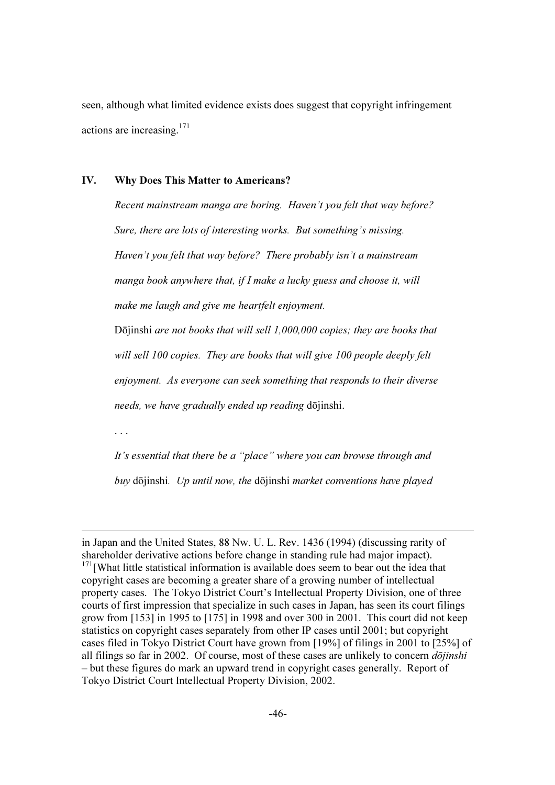seen, although what limited evidence exists does suggest that copyright infringement actions are increasing.<sup>171</sup>

### IV. Why Does This Matter to Americans?

Recent mainstream manga are boring. Haven't you felt that way before? Sure, there are lots of interesting works. But something's missing. Haven't you felt that way before? There probably isn't a mainstream manga book anywhere that, if I make a lucky guess and choose it, will make me laugh and give me heartfelt enjoyment.

Dōjinshi are not books that will sell 1,000,000 copies; they are books that will sell 100 copies. They are books that will give 100 people deeply felt enjoyment. As everyone can seek something that responds to their diverse needs, we have gradually ended up reading dōjinshi.

. . .

-

It's essential that there be a "place" where you can browse through and buy dōjinshi. Up until now, the dōjinshi market conventions have played

in Japan and the United States, 88 Nw. U. L. Rev. 1436 (1994) (discussing rarity of shareholder derivative actions before change in standing rule had major impact).  $171$ [What little statistical information is available does seem to bear out the idea that copyright cases are becoming a greater share of a growing number of intellectual property cases. The Tokyo District Court's Intellectual Property Division, one of three courts of first impression that specialize in such cases in Japan, has seen its court filings grow from [153] in 1995 to [175] in 1998 and over 300 in 2001. This court did not keep statistics on copyright cases separately from other IP cases until 2001; but copyright cases filed in Tokyo District Court have grown from [19%] of filings in 2001 to [25%] of all filings so far in 2002. Of course, most of these cases are unlikely to concern  $d\bar{o}jinshi$ – but these figures do mark an upward trend in copyright cases generally. Report of Tokyo District Court Intellectual Property Division, 2002.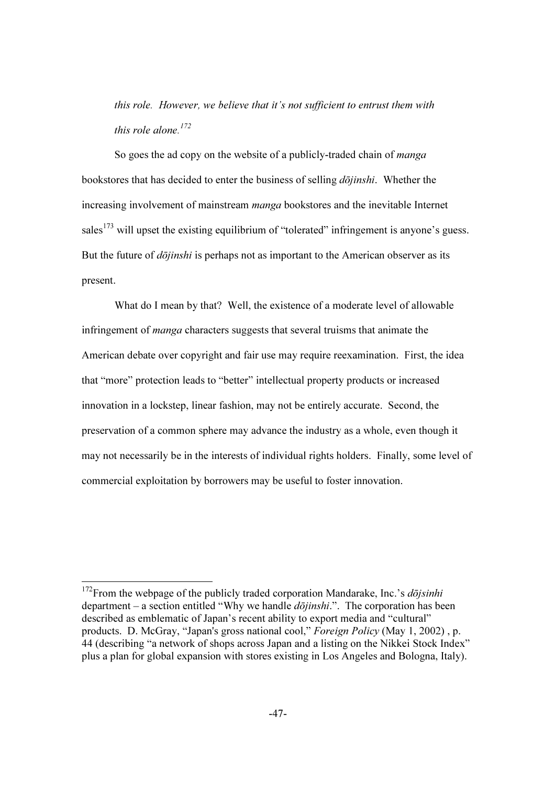this role. However, we believe that it's not sufficient to entrust them with this role alone.<sup>172</sup>

So goes the ad copy on the website of a publicly-traded chain of *manga* bookstores that has decided to enter the business of selling  $d\bar{o}jinshi$ . Whether the increasing involvement of mainstream *manga* bookstores and the inevitable Internet sales<sup>173</sup> will upset the existing equilibrium of "tolerated" infringement is anyone's guess. But the future of  $d\bar{\sigma}$ *jinshi* is perhaps not as important to the American observer as its present.

What do I mean by that? Well, the existence of a moderate level of allowable infringement of *manga* characters suggests that several truisms that animate the American debate over copyright and fair use may require reexamination. First, the idea that "more" protection leads to "better" intellectual property products or increased innovation in a lockstep, linear fashion, may not be entirely accurate. Second, the preservation of a common sphere may advance the industry as a whole, even though it may not necessarily be in the interests of individual rights holders. Finally, some level of commercial exploitation by borrowers may be useful to foster innovation.

 $\overline{\phantom{a}}$ 

 $172$ From the webpage of the publicly traded corporation Mandarake, Inc.'s *dōjsinhi* department – a section entitled "Why we handle  $d\overline{\overline{oj}}$  inshi.". The corporation has been described as emblematic of Japan's recent ability to export media and "cultural" products. D. McGray, "Japan's gross national cool," Foreign Policy (May 1, 2002) , p. 44 (describing "a network of shops across Japan and a listing on the Nikkei Stock Index" plus a plan for global expansion with stores existing in Los Angeles and Bologna, Italy).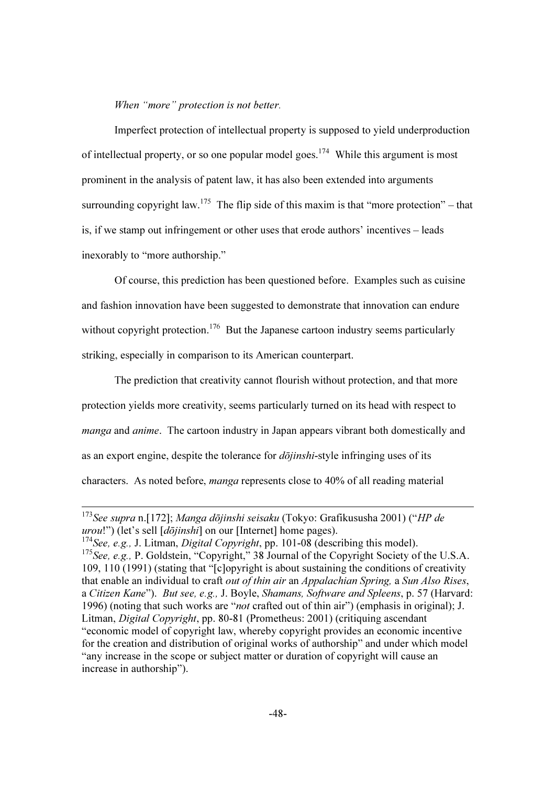When "more" protection is not better.

Imperfect protection of intellectual property is supposed to yield underproduction of intellectual property, or so one popular model goes.<sup>174</sup> While this argument is most prominent in the analysis of patent law, it has also been extended into arguments surrounding copyright law.<sup>175</sup> The flip side of this maxim is that "more protection" – that is, if we stamp out infringement or other uses that erode authors' incentives – leads inexorably to "more authorship."

Of course, this prediction has been questioned before. Examples such as cuisine and fashion innovation have been suggested to demonstrate that innovation can endure without copyright protection.<sup>176</sup> But the Japanese cartoon industry seems particularly striking, especially in comparison to its American counterpart.

The prediction that creativity cannot flourish without protection, and that more protection yields more creativity, seems particularly turned on its head with respect to manga and anime. The cartoon industry in Japan appears vibrant both domestically and as an export engine, despite the tolerance for  $d\bar{o}jinshi$ -style infringing uses of its characters. As noted before, manga represents close to 40% of all reading material

<sup>&</sup>lt;sup>173</sup>See supra n.[172]; Manga dōjinshi seisaku (Tokyo: Grafikususha 2001) ("HP de urou!") (let's sell  $[d\bar{o}jinshi]$  on our [Internet] home pages).

<sup>&</sup>lt;sup>174</sup>See, e.g., J. Litman, *Digital Copyright*, pp. 101-08 (describing this model).

<sup>&</sup>lt;sup>175</sup>See, e.g., P. Goldstein, "Copyright," 38 Journal of the Copyright Society of the U.S.A. 109, 110 (1991) (stating that "[c]opyright is about sustaining the conditions of creativity that enable an individual to craft *out of thin air an Appalachian Spring*, a *Sun Also Rises*, a Citizen Kane"). But see, e.g., J. Boyle, Shamans, Software and Spleens, p. 57 (Harvard: 1996) (noting that such works are "not crafted out of thin air") (emphasis in original); J. Litman, Digital Copyright, pp. 80-81 (Prometheus: 2001) (critiquing ascendant "economic model of copyright law, whereby copyright provides an economic incentive for the creation and distribution of original works of authorship" and under which model "any increase in the scope or subject matter or duration of copyright will cause an increase in authorship").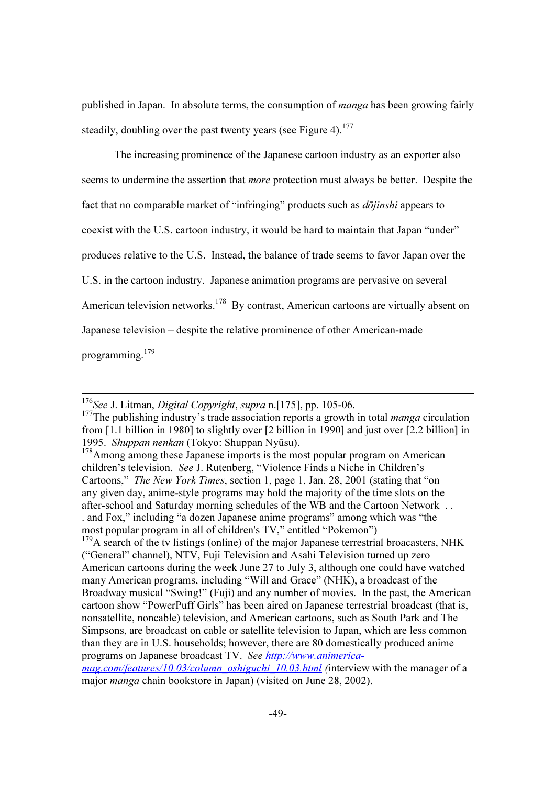published in Japan. In absolute terms, the consumption of *manga* has been growing fairly steadily, doubling over the past twenty years (see Figure 4).<sup>177</sup>

The increasing prominence of the Japanese cartoon industry as an exporter also seems to undermine the assertion that more protection must always be better. Despite the fact that no comparable market of "infringing" products such as *dojinshi* appears to coexist with the U.S. cartoon industry, it would be hard to maintain that Japan "under" produces relative to the U.S. Instead, the balance of trade seems to favor Japan over the U.S. in the cartoon industry. Japanese animation programs are pervasive on several American television networks.<sup>178</sup> By contrast, American cartoons are virtually absent on Japanese television – despite the relative prominence of other American-made programming.<sup>179</sup>

 $176$ See J. Litman, *Digital Copyright, supra* n. [175], pp. 105-06.

<sup>&</sup>lt;sup>177</sup>The publishing industry's trade association reports a growth in total *manga* circulation from [1.1 billion in 1980] to slightly over [2 billion in 1990] and just over [2.2 billion] in 1995. Shuppan nenkan (Tokyo: Shuppan Nyūsu).

 $178$ Among among these Japanese imports is the most popular program on American children's television. See J. Rutenberg, "Violence Finds a Niche in Children's Cartoons," The New York Times, section 1, page 1, Jan. 28, 2001 (stating that "on any given day, anime-style programs may hold the majority of the time slots on the after-school and Saturday morning schedules of the WB and the Cartoon Network . . . and Fox," including "a dozen Japanese anime programs" among which was "the most popular program in all of children's TV," entitled "Pokemon")

 $179A$  search of the tv listings (online) of the major Japanese terrestrial broacasters, NHK ("General" channel), NTV, Fuji Television and Asahi Television turned up zero American cartoons during the week June 27 to July 3, although one could have watched many American programs, including "Will and Grace" (NHK), a broadcast of the Broadway musical "Swing!" (Fuji) and any number of movies. In the past, the American cartoon show "PowerPuff Girls" has been aired on Japanese terrestrial broadcast (that is, nonsatellite, noncable) television, and American cartoons, such as South Park and The Simpsons, are broadcast on cable or satellite television to Japan, which are less common than they are in U.S. households; however, there are 80 domestically produced anime programs on Japanese broadcast TV. See http://www.animerica-

mag.com/features/10.03/column\_oshiguchi\_10.03.html (interview with the manager of a major manga chain bookstore in Japan) (visited on June 28, 2002).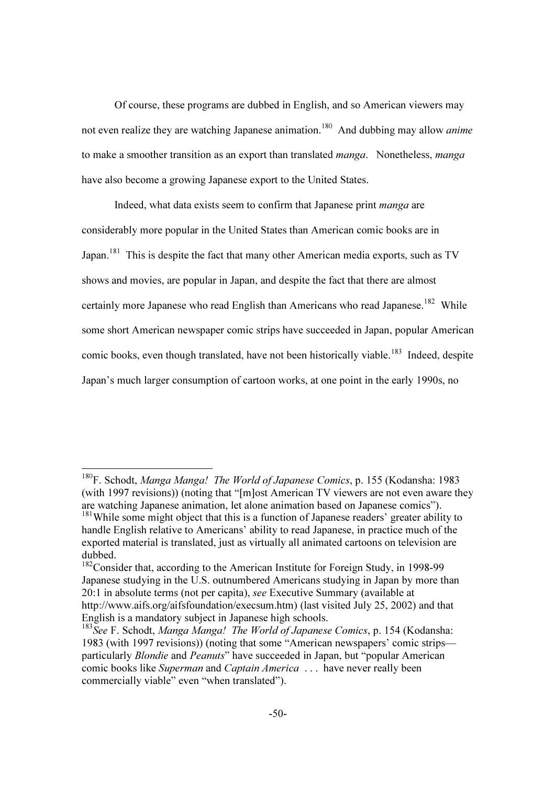Of course, these programs are dubbed in English, and so American viewers may not even realize they are watching Japanese animation.<sup>180</sup> And dubbing may allow *anime* to make a smoother transition as an export than translated *manga*. Nonetheless, *manga* have also become a growing Japanese export to the United States.

Indeed, what data exists seem to confirm that Japanese print *manga* are considerably more popular in the United States than American comic books are in Japan.<sup>181</sup> This is despite the fact that many other American media exports, such as TV shows and movies, are popular in Japan, and despite the fact that there are almost certainly more Japanese who read English than Americans who read Japanese.<sup>182</sup> While some short American newspaper comic strips have succeeded in Japan, popular American comic books, even though translated, have not been historically viable.<sup>183</sup> Indeed, despite Japan's much larger consumption of cartoon works, at one point in the early 1990s, no

 $\overline{\phantom{a}}$ 

<sup>&</sup>lt;sup>180</sup>F. Schodt, Manga Manga! The World of Japanese Comics, p. 155 (Kodansha: 1983 (with 1997 revisions)) (noting that "[m]ost American TV viewers are not even aware they are watching Japanese animation, let alone animation based on Japanese comics").

<sup>&</sup>lt;sup>181</sup>While some might object that this is a function of Japanese readers' greater ability to handle English relative to Americans' ability to read Japanese, in practice much of the exported material is translated, just as virtually all animated cartoons on television are dubbed.

<sup>&</sup>lt;sup>182</sup>Consider that, according to the American Institute for Foreign Study, in 1998-99 Japanese studying in the U.S. outnumbered Americans studying in Japan by more than 20:1 in absolute terms (not per capita), see Executive Summary (available at http://www.aifs.org/aifsfoundation/execsum.htm) (last visited July 25, 2002) and that English is a mandatory subject in Japanese high schools.

 $183$  See F. Schodt, Manga Manga! The World of Japanese Comics, p. 154 (Kodansha: 1983 (with 1997 revisions)) (noting that some "American newspapers' comic strips particularly *Blondie* and *Peanuts*" have succeeded in Japan, but "popular American comic books like Superman and Captain America . . . have never really been commercially viable" even "when translated").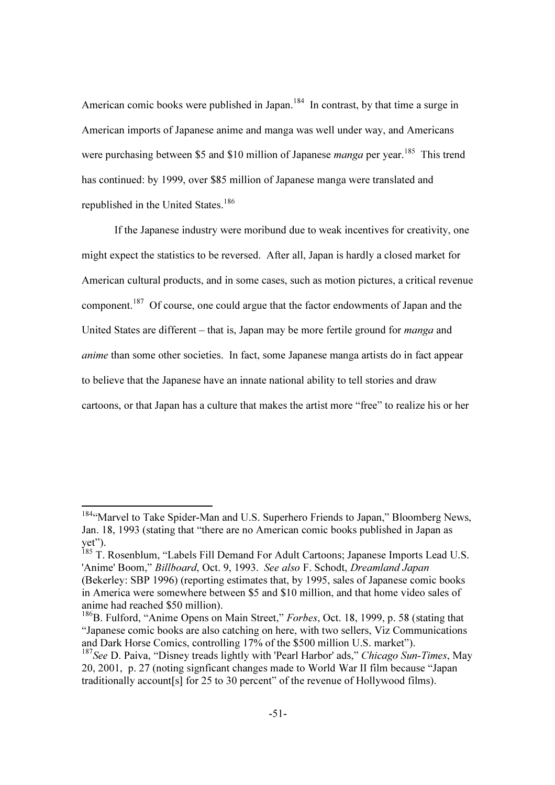American comic books were published in Japan.<sup>184</sup> In contrast, by that time a surge in American imports of Japanese anime and manga was well under way, and Americans were purchasing between \$5 and \$10 million of Japanese *manga* per year.<sup>185</sup> This trend has continued: by 1999, over \$85 million of Japanese manga were translated and republished in the United States.<sup>186</sup>

If the Japanese industry were moribund due to weak incentives for creativity, one might expect the statistics to be reversed. After all, Japan is hardly a closed market for American cultural products, and in some cases, such as motion pictures, a critical revenue component.<sup>187</sup> Of course, one could argue that the factor endowments of Japan and the United States are different – that is, Japan may be more fertile ground for *manga* and anime than some other societies. In fact, some Japanese manga artists do in fact appear to believe that the Japanese have an innate national ability to tell stories and draw cartoons, or that Japan has a culture that makes the artist more "free" to realize his or her

<sup>184&</sup>quot;Marvel to Take Spider-Man and U.S. Superhero Friends to Japan," Bloomberg News, Jan. 18, 1993 (stating that "there are no American comic books published in Japan as yet").

<sup>185</sup> T. Rosenblum, "Labels Fill Demand For Adult Cartoons; Japanese Imports Lead U.S. 'Anime' Boom," Billboard, Oct. 9, 1993. See also F. Schodt, Dreamland Japan (Bekerley: SBP 1996) (reporting estimates that, by 1995, sales of Japanese comic books in America were somewhere between \$5 and \$10 million, and that home video sales of anime had reached \$50 million).

<sup>&</sup>lt;sup>186</sup>B. Fulford, "Anime Opens on Main Street," Forbes, Oct. 18, 1999, p. 58 (stating that "Japanese comic books are also catching on here, with two sellers, Viz Communications and Dark Horse Comics, controlling 17% of the \$500 million U.S. market").

<sup>&</sup>lt;sup>187</sup>See D. Paiva, "Disney treads lightly with 'Pearl Harbor' ads," Chicago Sun-Times, May 20, 2001, p. 27 (noting signficant changes made to World War II film because "Japan traditionally account[s] for 25 to 30 percent" of the revenue of Hollywood films).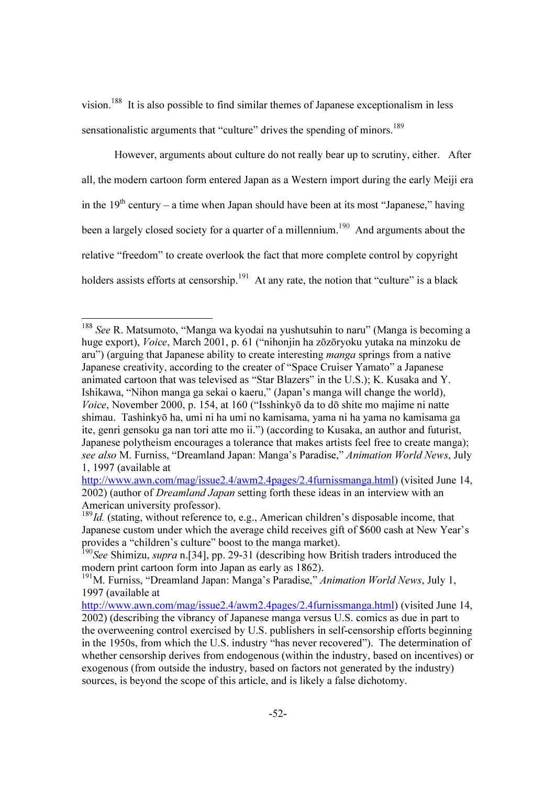vision.<sup>188</sup> It is also possible to find similar themes of Japanese exceptionalism in less sensationalistic arguments that "culture" drives the spending of minors.<sup>189</sup>

However, arguments about culture do not really bear up to scrutiny, either. After all, the modern cartoon form entered Japan as a Western import during the early Meiji era in the  $19<sup>th</sup>$  century – a time when Japan should have been at its most "Japanese," having been a largely closed society for a quarter of a millennium.<sup>190</sup> And arguments about the relative "freedom" to create overlook the fact that more complete control by copyright holders assists efforts at censorship.<sup>191</sup> At any rate, the notion that "culture" is a black

 $\overline{\phantom{a}}$ 

<sup>&</sup>lt;sup>188</sup> See R. Matsumoto, "Manga wa kyodai na yushutsuhin to naru" (Manga is becoming a huge export), Voice, March 2001, p. 61 ("nihonjin ha zōzōryoku yutaka na minzoku de aru") (arguing that Japanese ability to create interesting manga springs from a native Japanese creativity, according to the creater of "Space Cruiser Yamato" a Japanese animated cartoon that was televised as "Star Blazers" in the U.S.); K. Kusaka and Y. Ishikawa, "Nihon manga ga sekai o kaeru," (Japan's manga will change the world), Voice, November 2000, p. 154, at 160 ("Isshinkyō da to dō shite mo majime ni natte shimau. Tashinkyō ha, umi ni ha umi no kamisama, yama ni ha yama no kamisama ga ite, genri gensoku ga nan tori atte mo ii.") (according to Kusaka, an author and futurist, Japanese polytheism encourages a tolerance that makes artists feel free to create manga); see also M. Furniss, "Dreamland Japan: Manga's Paradise," Animation World News, July 1, 1997 (available at

http://www.awn.com/mag/issue2.4/awm2.4pages/2.4furnissmanga.html) (visited June 14, 2002) (author of Dreamland Japan setting forth these ideas in an interview with an American university professor).

 $189$ Id. (stating, without reference to, e.g., American children's disposable income, that Japanese custom under which the average child receives gift of \$600 cash at New Year's provides a "children's culture" boost to the manga market).

<sup>&</sup>lt;sup>190</sup>See Shimizu, *supra* n. [34], pp. 29-31 (describing how British traders introduced the modern print cartoon form into Japan as early as 1862).

<sup>&</sup>lt;sup>191</sup>M. Furniss, "Dreamland Japan: Manga's Paradise," *Animation World News*, July 1, 1997 (available at

http://www.awn.com/mag/issue2.4/awm2.4pages/2.4furnissmanga.html) (visited June 14, 2002) (describing the vibrancy of Japanese manga versus U.S. comics as due in part to the overweening control exercised by U.S. publishers in self-censorship efforts beginning in the 1950s, from which the U.S. industry "has never recovered"). The determination of whether censorship derives from endogenous (within the industry, based on incentives) or exogenous (from outside the industry, based on factors not generated by the industry) sources, is beyond the scope of this article, and is likely a false dichotomy.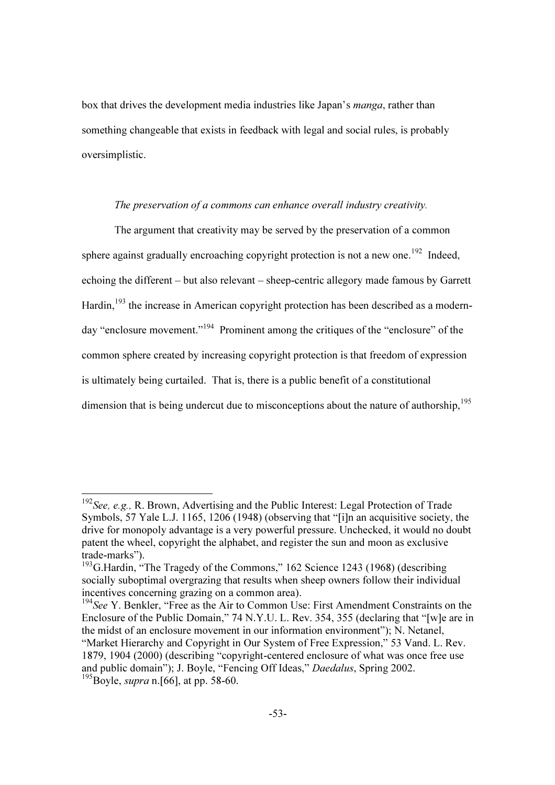box that drives the development media industries like Japan's *manga*, rather than something changeable that exists in feedback with legal and social rules, is probably oversimplistic.

## The preservation of a commons can enhance overall industry creativity.

 The argument that creativity may be served by the preservation of a common sphere against gradually encroaching copyright protection is not a new one.<sup>192</sup> Indeed, echoing the different – but also relevant – sheep-centric allegory made famous by Garrett Hardin,<sup>193</sup> the increase in American copyright protection has been described as a modernday "enclosure movement."<sup>194</sup> Prominent among the critiques of the "enclosure" of the common sphere created by increasing copyright protection is that freedom of expression is ultimately being curtailed. That is, there is a public benefit of a constitutional dimension that is being undercut due to misconceptions about the nature of authorship, $195$ 

 $192$  See, e.g., R. Brown, Advertising and the Public Interest: Legal Protection of Trade Symbols, 57 Yale L.J. 1165, 1206 (1948) (observing that "[i]n an acquisitive society, the drive for monopoly advantage is a very powerful pressure. Unchecked, it would no doubt patent the wheel, copyright the alphabet, and register the sun and moon as exclusive trade-marks").

 $193$ <sup>O</sup>G.Hardin, "The Tragedy of the Commons," 162 Science 1243 (1968) (describing socially suboptimal overgrazing that results when sheep owners follow their individual incentives concerning grazing on a common area).

 $194$  See Y. Benkler, "Free as the Air to Common Use: First Amendment Constraints on the Enclosure of the Public Domain," 74 N.Y.U. L. Rev. 354, 355 (declaring that "[w]e are in the midst of an enclosure movement in our information environment"); N. Netanel, "Market Hierarchy and Copyright in Our System of Free Expression," 53 Vand. L. Rev. 1879, 1904 (2000) (describing "copyright-centered enclosure of what was once free use and public domain"); J. Boyle, "Fencing Off Ideas," Daedalus, Spring 2002.  $195B$ oyle, *supra* n. [66], at pp. 58-60.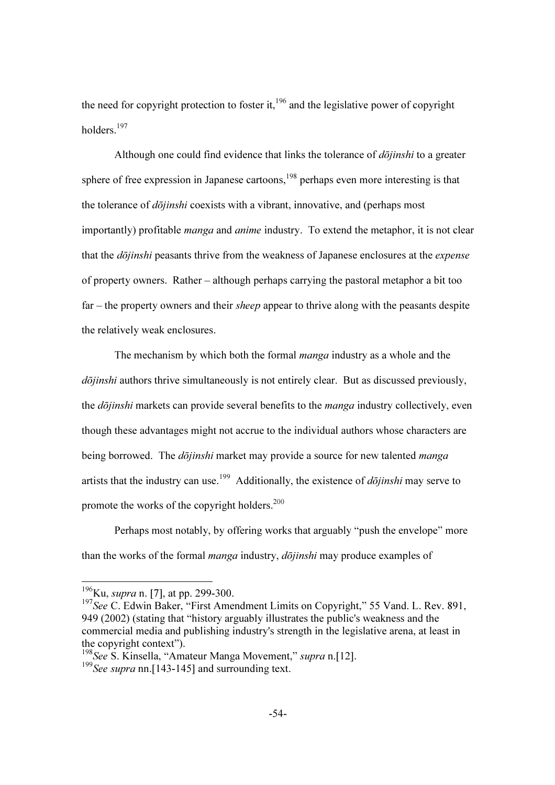the need for copyright protection to foster it, $196$  and the legislative power of copyright holders.<sup>197</sup>

Although one could find evidence that links the tolerance of  $d\overline{\phi}$ *jinshi* to a greater sphere of free expression in Japanese cartoons, $198$  perhaps even more interesting is that the tolerance of dōjinshi coexists with a vibrant, innovative, and (perhaps most importantly) profitable *manga* and *anime* industry. To extend the metaphor, it is not clear that the *dōjinshi* peasants thrive from the weakness of Japanese enclosures at the *expense* of property owners. Rather – although perhaps carrying the pastoral metaphor a bit too far – the property owners and their *sheep* appear to thrive along with the peasants despite the relatively weak enclosures.

The mechanism by which both the formal *manga* industry as a whole and the dōjinshi authors thrive simultaneously is not entirely clear. But as discussed previously, the *dōjinshi* markets can provide several benefits to the *manga* industry collectively, even though these advantages might not accrue to the individual authors whose characters are being borrowed. The *dōjinshi* market may provide a source for new talented *manga* artists that the industry can use.<sup>199</sup> Additionally, the existence of  $d\overline{\overline{oj}}$ *inshi* may serve to promote the works of the copyright holders. $200$ 

Perhaps most notably, by offering works that arguably "push the envelope" more than the works of the formal *manga* industry, *dōjinshi* may produce examples of

 $\overline{\phantom{a}}$ 

 $196$ Ku, *supra* n. [7], at pp. 299-300.

 $197$ See C. Edwin Baker, "First Amendment Limits on Copyright," 55 Vand. L. Rev. 891, 949 (2002) (stating that "history arguably illustrates the public's weakness and the commercial media and publishing industry's strength in the legislative arena, at least in the copyright context").

 $198$  See S. Kinsella, "Amateur Manga Movement," supra n.[12].

 $199$ See supra nn. [143-145] and surrounding text.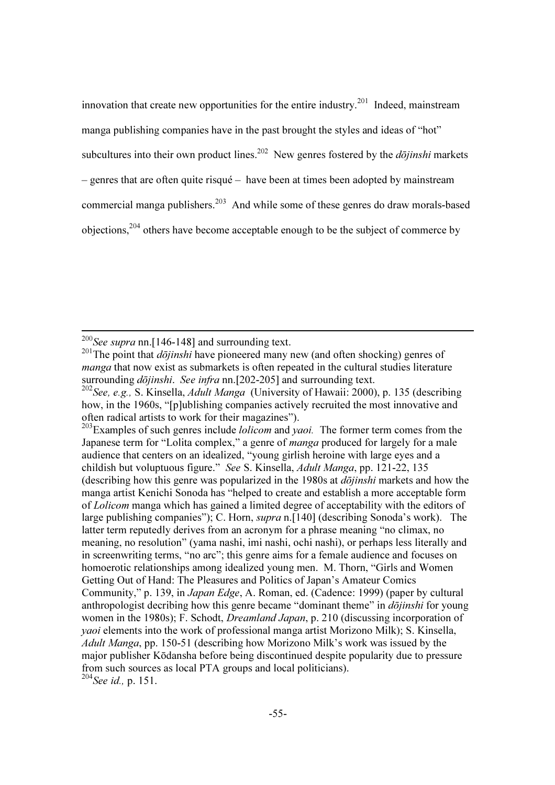innovation that create new opportunities for the entire industry.<sup>201</sup> Indeed, mainstream manga publishing companies have in the past brought the styles and ideas of "hot" subcultures into their own product lines.<sup>202</sup> New genres fostered by the *dōjinshi* markets – genres that are often quite risqué – have been at times been adopted by mainstream commercial manga publishers.<sup>203</sup> And while some of these genres do draw morals-based objections,<sup>204</sup> others have become acceptable enough to be the subject of commerce by

 $203$  Examples of such genres include *lolicom* and *yaoi*. The former term comes from the Japanese term for "Lolita complex," a genre of *manga* produced for largely for a male audience that centers on an idealized, "young girlish heroine with large eyes and a childish but voluptuous figure." See S. Kinsella, Adult Manga, pp. 121-22, 135 (describing how this genre was popularized in the 1980s at  $d\overline{\phi}$ *jinshi* markets and how the manga artist Kenichi Sonoda has "helped to create and establish a more acceptable form of Lolicom manga which has gained a limited degree of acceptability with the editors of large publishing companies"); C. Horn, supra n.[140] (describing Sonoda's work). The latter term reputedly derives from an acronym for a phrase meaning "no climax, no meaning, no resolution" (yama nashi, imi nashi, ochi nashi), or perhaps less literally and in screenwriting terms, "no arc"; this genre aims for a female audience and focuses on homoerotic relationships among idealized young men. M. Thorn, "Girls and Women Getting Out of Hand: The Pleasures and Politics of Japan's Amateur Comics Community," p. 139, in Japan Edge, A. Roman, ed. (Cadence: 1999) (paper by cultural anthropologist decribing how this genre became "dominant theme" in *dojinshi* for young women in the 1980s); F. Schodt, Dreamland Japan, p. 210 (discussing incorporation of yaoi elements into the work of professional manga artist Morizono Milk); S. Kinsella, Adult Manga, pp. 150-51 (describing how Morizono Milk's work was issued by the major publisher Kōdansha before being discontinued despite popularity due to pressure from such sources as local PTA groups and local politicians).

<sup>204</sup>See id., p. 151.

<sup>&</sup>lt;sup>200</sup>See supra nn. [146-148] and surrounding text.

<sup>&</sup>lt;sup>201</sup>The point that  $d\overline{\overline{oj}}$  inships have pioneered many new (and often shocking) genres of manga that now exist as submarkets is often repeated in the cultural studies literature surrounding *dōjinshi*. See infra nn.[202-205] and surrounding text.

<sup>&</sup>lt;sup>202</sup>See, e.g., S. Kinsella, *Adult Manga* (University of Hawaii: 2000), p. 135 (describing how, in the 1960s, "[p]ublishing companies actively recruited the most innovative and often radical artists to work for their magazines").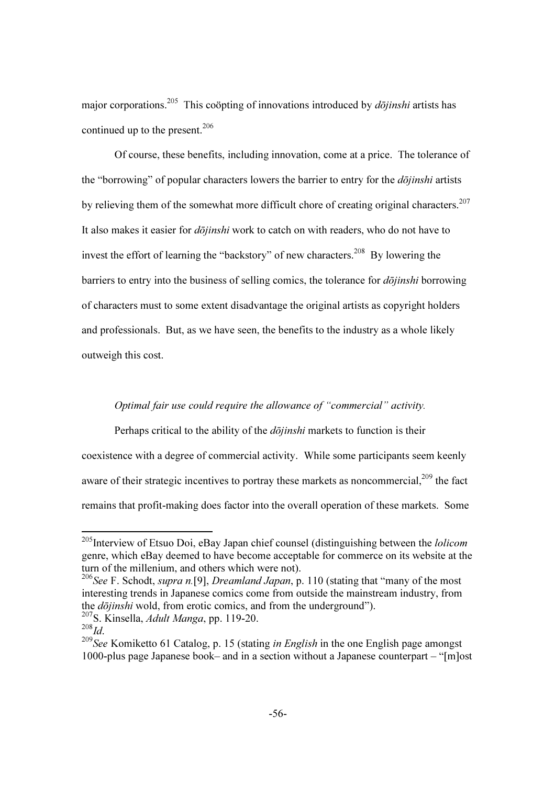major corporations.<sup>205</sup> This coöpting of innovations introduced by  $d\bar{o}jinshi$  artists has continued up to the present. $206$ 

Of course, these benefits, including innovation, come at a price. The tolerance of the "borrowing" of popular characters lowers the barrier to entry for the  $d\overline{\overline{oj}}$  inshi artists by relieving them of the somewhat more difficult chore of creating original characters.<sup>207</sup> It also makes it easier for *dōjinshi* work to catch on with readers, who do not have to invest the effort of learning the "backstory" of new characters.<sup>208</sup> By lowering the barriers to entry into the business of selling comics, the tolerance for  $d\overline{\overline{oj}}$  inshi borrowing of characters must to some extent disadvantage the original artists as copyright holders and professionals. But, as we have seen, the benefits to the industry as a whole likely outweigh this cost.

# Optimal fair use could require the allowance of "commercial" activity.

Perhaps critical to the ability of the *dojinshi* markets to function is their coexistence with a degree of commercial activity. While some participants seem keenly aware of their strategic incentives to portray these markets as noncommercial, $^{209}$  the fact remains that profit-making does factor into the overall operation of these markets. Some

<sup>&</sup>lt;sup>205</sup>Interview of Etsuo Doi, eBay Japan chief counsel (distinguishing between the *lolicom* genre, which eBay deemed to have become acceptable for commerce on its website at the turn of the millenium, and others which were not).

<sup>&</sup>lt;sup>206</sup>See F. Schodt, *supra n*.[9], *Dreamland Japan*, p. 110 (stating that "many of the most" interesting trends in Japanese comics come from outside the mainstream industry, from the dōjinshi wold, from erotic comics, and from the underground"). <sup>207</sup>S. Kinsella, *Adult Manga*, pp. 119-20.<br><sup>208</sup>*Id* 

 $209$ See Komiketto 61 Catalog, p. 15 (stating *in English* in the one English page amongst 1000-plus page Japanese book– and in a section without a Japanese counterpart – "[m]ost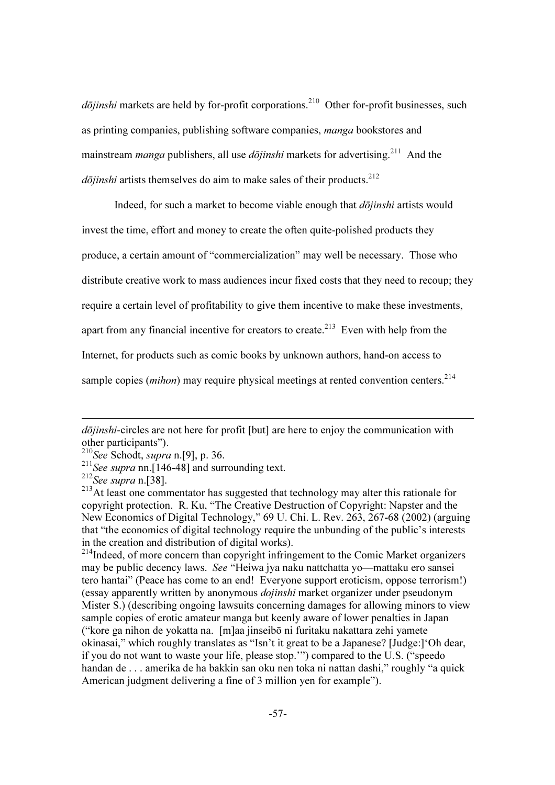$d\bar{o}jinshi$  markets are held by for-profit corporations.<sup>210</sup> Other for-profit businesses, such as printing companies, publishing software companies, manga bookstores and mainstream *manga* publishers, all use *dojinshi* markets for advertising.<sup>211</sup> And the  $d\bar{o}jinshi$  artists themselves do aim to make sales of their products.<sup>212</sup>

Indeed, for such a market to become viable enough that *dōjinshi* artists would invest the time, effort and money to create the often quite-polished products they produce, a certain amount of "commercialization" may well be necessary. Those who distribute creative work to mass audiences incur fixed costs that they need to recoup; they require a certain level of profitability to give them incentive to make these investments, apart from any financial incentive for creators to create.<sup>213</sup> Even with help from the Internet, for products such as comic books by unknown authors, hand-on access to sample copies (*mihon*) may require physical meetings at rented convention centers.<sup>214</sup>

dōjinshi-circles are not here for profit [but] are here to enjoy the communication with other participants").

 $^{210}$ See Schodt, *supra* n.[9], p. 36.

<sup>&</sup>lt;sup>211</sup>See supra nn. [146-48] and surrounding text.

 $212$ See supra n.[38].

<sup>&</sup>lt;sup>213</sup>At least one commentator has suggested that technology may alter this rationale for copyright protection. R. Ku, "The Creative Destruction of Copyright: Napster and the New Economics of Digital Technology," 69 U. Chi. L. Rev. 263, 267-68 (2002) (arguing that "the economics of digital technology require the unbunding of the public's interests in the creation and distribution of digital works).

 $214$ Indeed, of more concern than copyright infringement to the Comic Market organizers may be public decency laws. See "Heiwa jya naku nattchatta yo—mattaku ero sansei tero hantai" (Peace has come to an end! Everyone support eroticism, oppose terrorism!) (essay apparently written by anonymous dojinshi market organizer under pseudonym Mister S.) (describing ongoing lawsuits concerning damages for allowing minors to view sample copies of erotic amateur manga but keenly aware of lower penalties in Japan ("kore ga nihon de yokatta na. [m]aa jinseibō ni furitaku nakattara zehi yamete okinasai," which roughly translates as "Isn't it great to be a Japanese? [Judge:]'Oh dear, if you do not want to waste your life, please stop.'") compared to the U.S. ("speedo handan de . . . amerika de ha bakkin san oku nen toka ni nattan dashi," roughly "a quick American judgment delivering a fine of 3 million yen for example").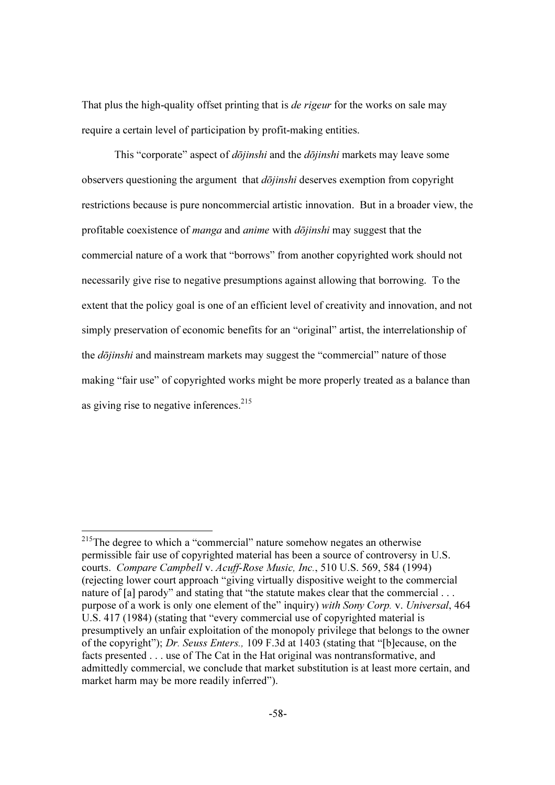That plus the high-quality offset printing that is *de rigeur* for the works on sale may require a certain level of participation by profit-making entities.

This "corporate" aspect of *dōjinshi* and the *dōjinshi* markets may leave some observers questioning the argument that  $d\bar{\sigma}$ *iinshi* deserves exemption from copyright restrictions because is pure noncommercial artistic innovation. But in a broader view, the profitable coexistence of *manga* and *anime* with *dōjinshi* may suggest that the commercial nature of a work that "borrows" from another copyrighted work should not necessarily give rise to negative presumptions against allowing that borrowing. To the extent that the policy goal is one of an efficient level of creativity and innovation, and not simply preservation of economic benefits for an "original" artist, the interrelationship of the *dōjinshi* and mainstream markets may suggest the "commercial" nature of those making "fair use" of copyrighted works might be more properly treated as a balance than as giving rise to negative inferences.  $215$ 

<sup>&</sup>lt;sup>215</sup>The degree to which a "commercial" nature somehow negates an otherwise permissible fair use of copyrighted material has been a source of controversy in U.S. courts. Compare Campbell v. Acuff-Rose Music, Inc., 510 U.S. 569, 584 (1994) (rejecting lower court approach "giving virtually dispositive weight to the commercial nature of [a] parody" and stating that "the statute makes clear that the commercial . . . purpose of a work is only one element of the" inquiry) with Sony Corp. v. Universal, 464 U.S. 417 (1984) (stating that "every commercial use of copyrighted material is presumptively an unfair exploitation of the monopoly privilege that belongs to the owner of the copyright"); Dr. Seuss Enters., 109 F.3d at 1403 (stating that "[b]ecause, on the facts presented . . . use of The Cat in the Hat original was nontransformative, and admittedly commercial, we conclude that market substitution is at least more certain, and market harm may be more readily inferred").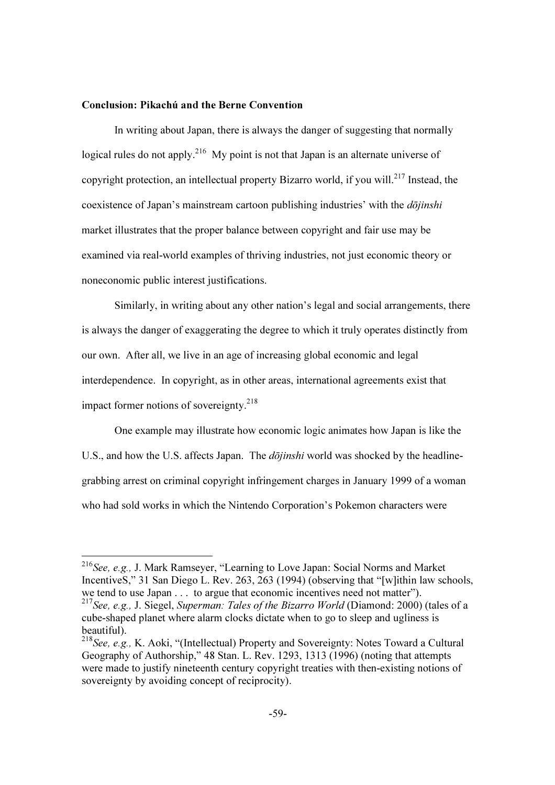### Conclusion: Pikachú and the Berne Convention

-

 In writing about Japan, there is always the danger of suggesting that normally logical rules do not apply.<sup>216</sup> My point is not that Japan is an alternate universe of copyright protection, an intellectual property Bizarro world, if you will.<sup>217</sup> Instead, the coexistence of Japan's mainstream cartoon publishing industries' with the *dōjinshi* market illustrates that the proper balance between copyright and fair use may be examined via real-world examples of thriving industries, not just economic theory or noneconomic public interest justifications.

 Similarly, in writing about any other nation's legal and social arrangements, there is always the danger of exaggerating the degree to which it truly operates distinctly from our own. After all, we live in an age of increasing global economic and legal interdependence. In copyright, as in other areas, international agreements exist that impact former notions of sovereignty. $218$ 

 One example may illustrate how economic logic animates how Japan is like the U.S., and how the U.S. affects Japan. The *dojinshi* world was shocked by the headlinegrabbing arrest on criminal copyright infringement charges in January 1999 of a woman who had sold works in which the Nintendo Corporation's Pokemon characters were

 $2^{16}$ See, e.g., J. Mark Ramseyer, "Learning to Love Japan: Social Norms and Market IncentiveS," 31 San Diego L. Rev. 263, 263 (1994) (observing that "[w]ithin law schools, we tend to use Japan . . . to argue that economic incentives need not matter").

<sup>217</sup>See, e.g., J. Siegel, Superman: Tales of the Bizarro World (Diamond: 2000) (tales of a cube-shaped planet where alarm clocks dictate when to go to sleep and ugliness is beautiful).

<sup>&</sup>lt;sup>218</sup>See, e.g., K. Aoki, "(Intellectual) Property and Sovereignty: Notes Toward a Cultural Geography of Authorship," 48 Stan. L. Rev. 1293, 1313 (1996) (noting that attempts were made to justify nineteenth century copyright treaties with then-existing notions of sovereignty by avoiding concept of reciprocity).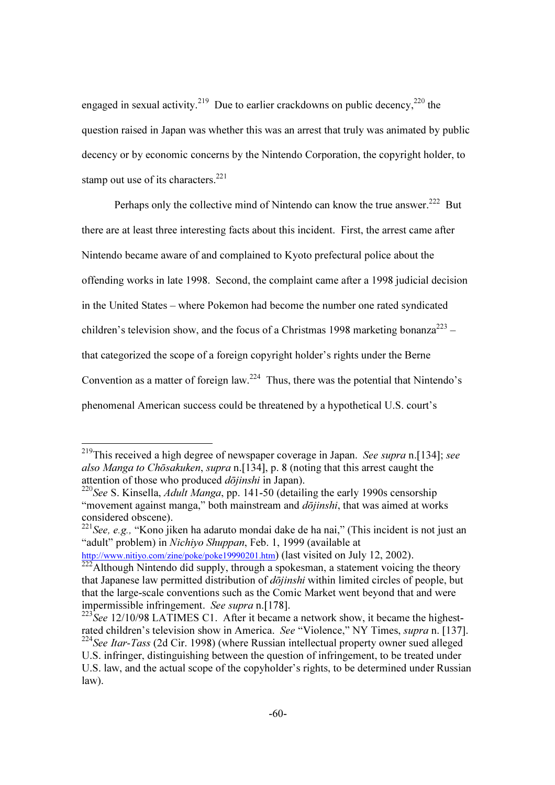engaged in sexual activity.<sup>219</sup> Due to earlier crackdowns on public decency,<sup>220</sup> the question raised in Japan was whether this was an arrest that truly was animated by public decency or by economic concerns by the Nintendo Corporation, the copyright holder, to stamp out use of its characters.<sup>221</sup>

Perhaps only the collective mind of Nintendo can know the true answer.<sup>222</sup> But there are at least three interesting facts about this incident. First, the arrest came after Nintendo became aware of and complained to Kyoto prefectural police about the offending works in late 1998. Second, the complaint came after a 1998 judicial decision in the United States – where Pokemon had become the number one rated syndicated children's television show, and the focus of a Christmas 1998 marketing bonanza<sup>223</sup> – that categorized the scope of a foreign copyright holder's rights under the Berne Convention as a matter of foreign law.<sup>224</sup> Thus, there was the potential that Nintendo's phenomenal American success could be threatened by a hypothetical U.S. court's

<sup>&</sup>lt;sup>219</sup>This received a high degree of newspaper coverage in Japan. See supra n.[134]; see also Manga to Chōsakuken, supra n.[134], p. 8 (noting that this arrest caught the attention of those who produced  $d\bar{o}jinski$  in Japan).

<sup>&</sup>lt;sup>220</sup>See S. Kinsella, *Adult Manga*, pp. 141-50 (detailing the early 1990s censorship "movement against manga," both mainstream and  $d\bar{o}jinski$ , that was aimed at works considered obscene).

 $2^{21}$ See, e.g., "Kono jiken ha adaruto mondai dake de ha nai," (This incident is not just an "adult" problem) in Nichiyo Shuppan, Feb. 1, 1999 (available at

http://www.nitiyo.com/zine/poke/poke19990201.htm) (last visited on July 12, 2002).

 $\frac{222}{222}$ Although Nintendo did supply, through a spokesman, a statement voicing the theory that Japanese law permitted distribution of  $d\overline{\phi}$ *jinshi* within limited circles of people, but that the large-scale conventions such as the Comic Market went beyond that and were impermissible infringement. See supra n.[178].

 $^{223}$ See 12/10/98 LATIMES C1. After it became a network show, it became the highestrated children's television show in America. See "Violence," NY Times, supra n. [137].  $224$ See Itar-Tass (2d Cir. 1998) (where Russian intellectual property owner sued alleged U.S. infringer, distinguishing between the question of infringement, to be treated under U.S. law, and the actual scope of the copyholder's rights, to be determined under Russian law).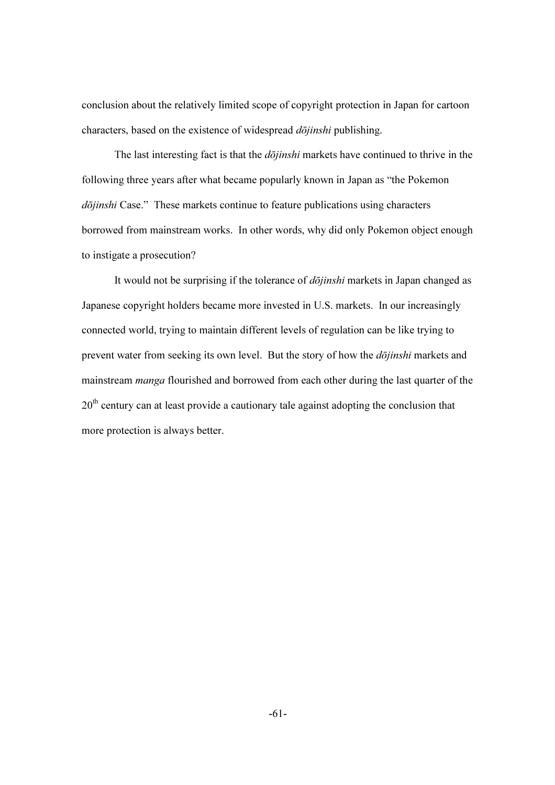conclusion about the relatively limited scope of copyright protection in Japan for cartoon characters, based on the existence of widespread  $d\bar{o}jinshi$  publishing.

The last interesting fact is that the  $d\bar{\tilde{o}}jinshi$  markets have continued to thrive in the following three years after what became popularly known in Japan as "the Pokemon dōjinshi Case." These markets continue to feature publications using characters borrowed from mainstream works. In other words, why did only Pokemon object enough to instigate a prosecution?

It would not be surprising if the tolerance of *dōjinshi* markets in Japan changed as Japanese copyright holders became more invested in U.S. markets. In our increasingly connected world, trying to maintain different levels of regulation can be like trying to prevent water from seeking its own level. But the story of how the *dōjinshi* markets and mainstream *manga* flourished and borrowed from each other during the last quarter of the  $20<sup>th</sup>$  century can at least provide a cautionary tale against adopting the conclusion that more protection is always better.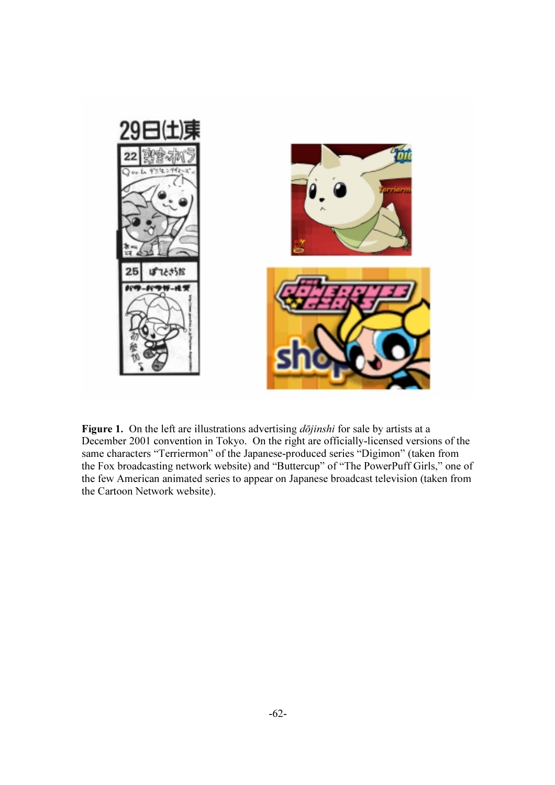

Figure 1. On the left are illustrations advertising  $d\bar{o}jinshi$  for sale by artists at a December 2001 convention in Tokyo. On the right are officially-licensed versions of the same characters "Terriermon" of the Japanese-produced series "Digimon" (taken from the Fox broadcasting network website) and "Buttercup" of "The PowerPuff Girls," one of the few American animated series to appear on Japanese broadcast television (taken from the Cartoon Network website).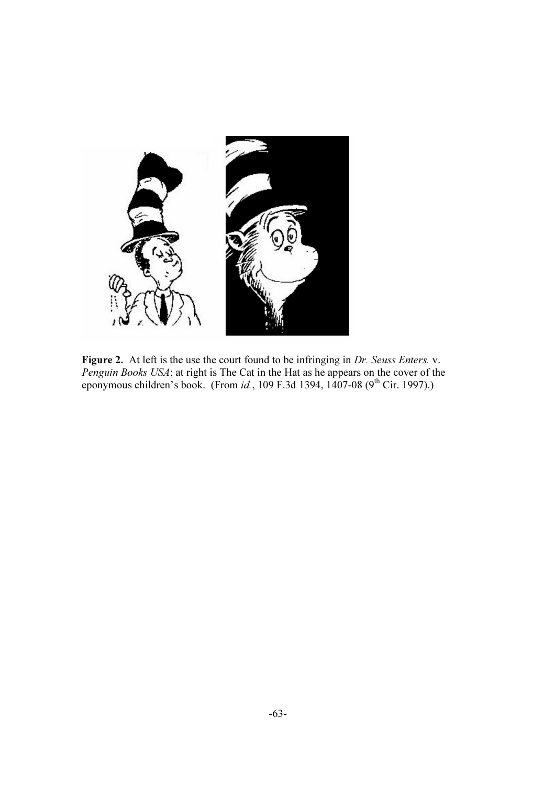

Figure 2. At left is the use the court found to be infringing in Dr. Seuss Enters. v. Penguin Books USA; at right is The Cat in the Hat as he appears on the cover of the eponymous children's book. (From *id.*, 109 F.3d 1394, 1407-08 (9<sup>th</sup> Cir. 1997).)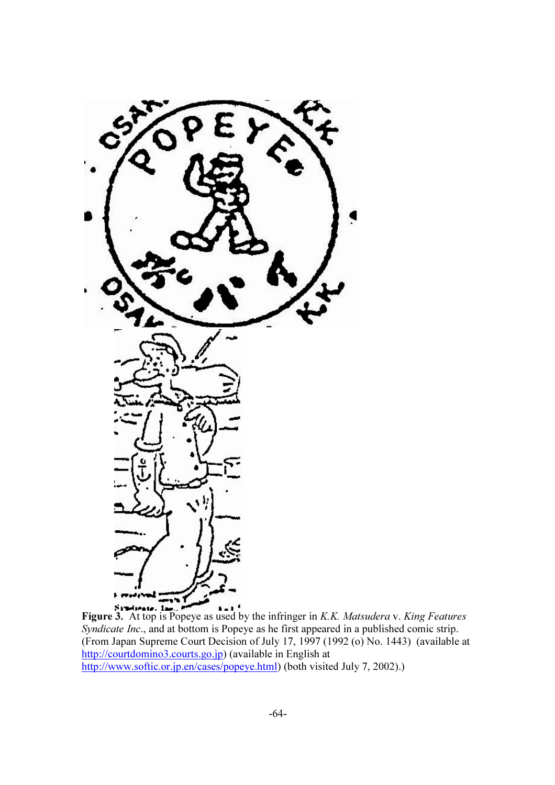

**Figure 3.** At top is Popeye as used by the infringer in *K.K. Matsudera v. King Features* Syndicate Inc., and at bottom is Popeye as he first appeared in a published comic strip. (From Japan Supreme Court Decision of July 17, 1997 (1992 (o) No. 1443) (available at http://courtdomino3.courts.go.jp) (available in English at http://www.softic.or.jp.en/cases/popeye.html) (both visited July 7, 2002).)